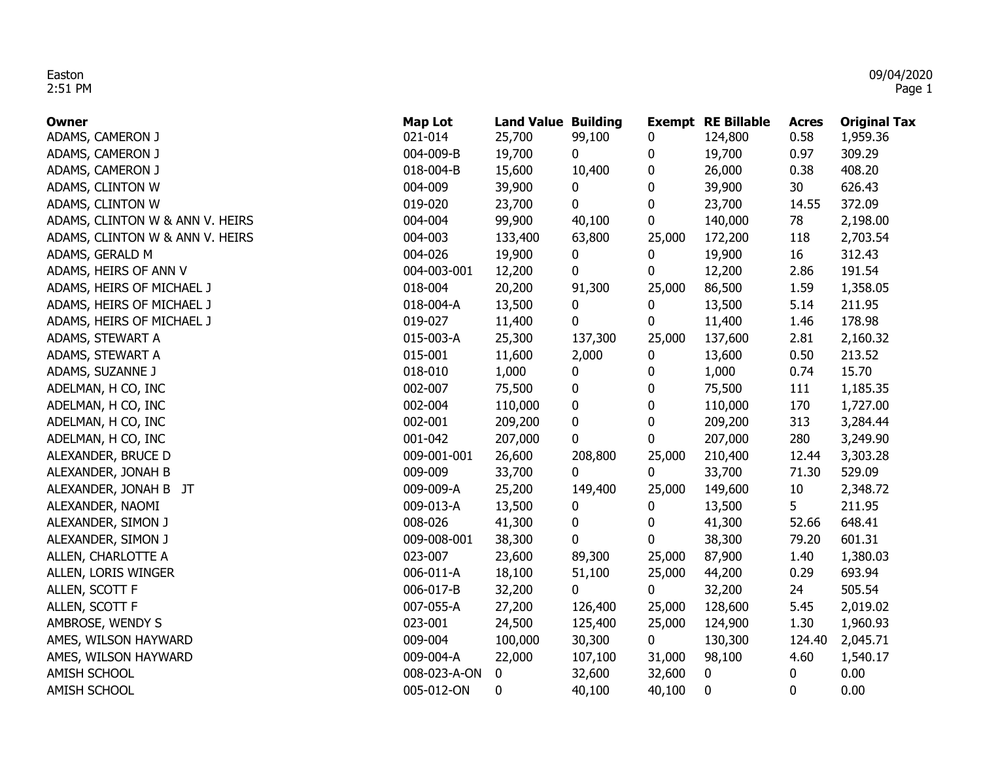| Owner                           | <b>Map Lot</b> | <b>Land Value Building</b> |         |                  | <b>Exempt RE Billable</b> | <b>Acres</b> | <b>Original Tax</b> |
|---------------------------------|----------------|----------------------------|---------|------------------|---------------------------|--------------|---------------------|
| ADAMS, CAMERON J                | 021-014        | 25,700                     | 99,100  | 0                | 124,800                   | 0.58         | 1,959.36            |
| ADAMS, CAMERON J                | 004-009-B      | 19,700                     | 0       | 0                | 19,700                    | 0.97         | 309.29              |
| ADAMS, CAMERON J                | 018-004-B      | 15,600                     | 10,400  | 0                | 26,000                    | 0.38         | 408.20              |
| ADAMS, CLINTON W                | 004-009        | 39,900                     | 0       | 0                | 39,900                    | 30           | 626.43              |
| ADAMS, CLINTON W                | 019-020        | 23,700                     | 0       | 0                | 23,700                    | 14.55        | 372.09              |
| ADAMS, CLINTON W & ANN V. HEIRS | 004-004        | 99,900                     | 40,100  | 0                | 140,000                   | 78           | 2,198.00            |
| ADAMS, CLINTON W & ANN V. HEIRS | 004-003        | 133,400                    | 63,800  | 25,000           | 172,200                   | 118          | 2,703.54            |
| ADAMS, GERALD M                 | 004-026        | 19,900                     | 0       | 0                | 19,900                    | 16           | 312.43              |
| ADAMS, HEIRS OF ANN V           | 004-003-001    | 12,200                     | 0       | 0                | 12,200                    | 2.86         | 191.54              |
| ADAMS, HEIRS OF MICHAEL J       | 018-004        | 20,200                     | 91,300  | 25,000           | 86,500                    | 1.59         | 1,358.05            |
| ADAMS, HEIRS OF MICHAEL J       | 018-004-A      | 13,500                     | 0       | 0                | 13,500                    | 5.14         | 211.95              |
| ADAMS, HEIRS OF MICHAEL J       | 019-027        | 11,400                     | 0       | 0                | 11,400                    | 1.46         | 178.98              |
| ADAMS, STEWART A                | 015-003-A      | 25,300                     | 137,300 | 25,000           | 137,600                   | 2.81         | 2,160.32            |
| ADAMS, STEWART A                | 015-001        | 11,600                     | 2,000   | 0                | 13,600                    | 0.50         | 213.52              |
| ADAMS, SUZANNE J                | 018-010        | 1,000                      | 0       | 0                | 1,000                     | 0.74         | 15.70               |
| ADELMAN, H CO, INC              | 002-007        | 75,500                     | 0       | 0                | 75,500                    | 111          | 1,185.35            |
| ADELMAN, H CO, INC              | 002-004        | 110,000                    | 0       | $\boldsymbol{0}$ | 110,000                   | 170          | 1,727.00            |
| ADELMAN, H CO, INC              | 002-001        | 209,200                    | 0       | 0                | 209,200                   | 313          | 3,284.44            |
| ADELMAN, H CO, INC              | 001-042        | 207,000                    | 0       | 0                | 207,000                   | 280          | 3,249.90            |
| ALEXANDER, BRUCE D              | 009-001-001    | 26,600                     | 208,800 | 25,000           | 210,400                   | 12.44        | 3,303.28            |
| ALEXANDER, JONAH B              | 009-009        | 33,700                     | 0       | 0                | 33,700                    | 71.30        | 529.09              |
| ALEXANDER, JONAH B JT           | 009-009-A      | 25,200                     | 149,400 | 25,000           | 149,600                   | 10           | 2,348.72            |
| ALEXANDER, NAOMI                | 009-013-A      | 13,500                     | 0       | 0                | 13,500                    | 5            | 211.95              |
| ALEXANDER, SIMON J              | 008-026        | 41,300                     | 0       | 0                | 41,300                    | 52.66        | 648.41              |
| ALEXANDER, SIMON J              | 009-008-001    | 38,300                     | 0       | 0                | 38,300                    | 79.20        | 601.31              |
| ALLEN, CHARLOTTE A              | 023-007        | 23,600                     | 89,300  | 25,000           | 87,900                    | 1.40         | 1,380.03            |
| ALLEN, LORIS WINGER             | 006-011-A      | 18,100                     | 51,100  | 25,000           | 44,200                    | 0.29         | 693.94              |
| ALLEN, SCOTT F                  | 006-017-B      | 32,200                     | 0       | $\mathbf 0$      | 32,200                    | 24           | 505.54              |
| ALLEN, SCOTT F                  | 007-055-A      | 27,200                     | 126,400 | 25,000           | 128,600                   | 5.45         | 2,019.02            |
| AMBROSE, WENDY S                | 023-001        | 24,500                     | 125,400 | 25,000           | 124,900                   | 1.30         | 1,960.93            |
| AMES, WILSON HAYWARD            | 009-004        | 100,000                    | 30,300  | $\mathbf 0$      | 130,300                   | 124.40       | 2,045.71            |
| AMES, WILSON HAYWARD            | 009-004-A      | 22,000                     | 107,100 | 31,000           | 98,100                    | 4.60         | 1,540.17            |
| AMISH SCHOOL                    | 008-023-A-ON   | $\mathbf 0$                | 32,600  | 32,600           | 0                         | 0            | 0.00                |
| AMISH SCHOOL                    | 005-012-ON     | 0                          | 40,100  | 40,100           | $\bf{0}$                  | 0            | 0.00                |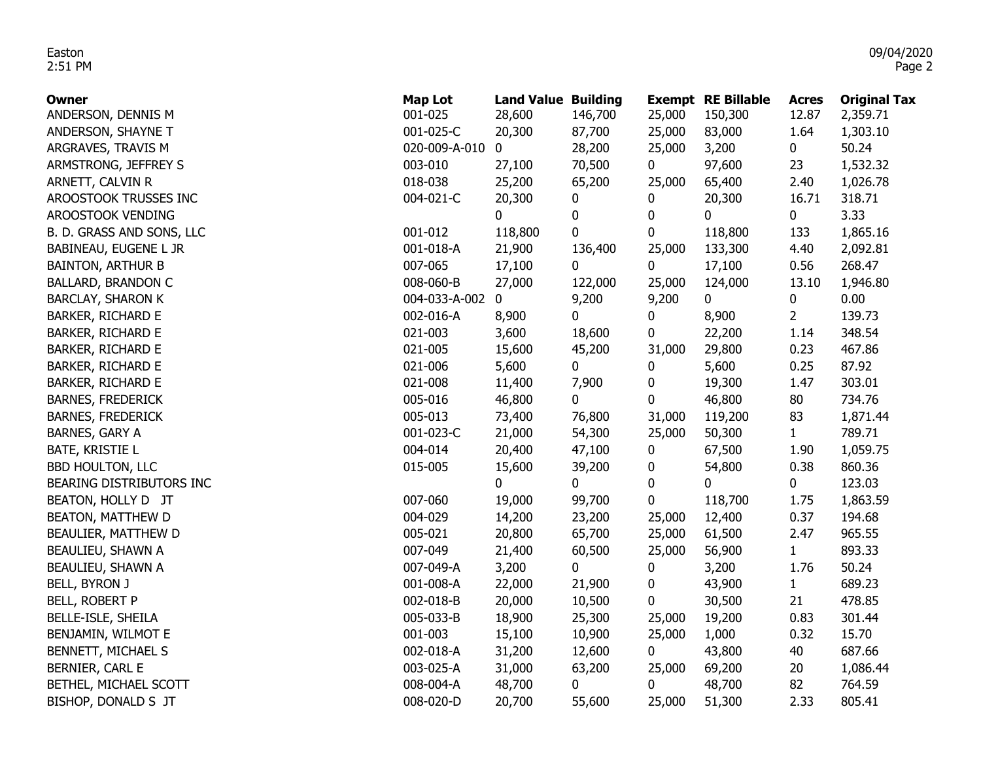| <b>Owner</b>              | <b>Map Lot</b> | <b>Land Value Building</b> |              |             | <b>Exempt RE Billable</b> | <b>Acres</b>   | <b>Original Tax</b> |
|---------------------------|----------------|----------------------------|--------------|-------------|---------------------------|----------------|---------------------|
| ANDERSON, DENNIS M        | 001-025        | 28,600                     | 146,700      | 25,000      | 150,300                   | 12.87          | 2,359.71            |
| ANDERSON, SHAYNE T        | 001-025-C      | 20,300                     | 87,700       | 25,000      | 83,000                    | 1.64           | 1,303.10            |
| ARGRAVES, TRAVIS M        | 020-009-A-010  | 0                          | 28,200       | 25,000      | 3,200                     | 0              | 50.24               |
| ARMSTRONG, JEFFREY S      | 003-010        | 27,100                     | 70,500       | 0           | 97,600                    | 23             | 1,532.32            |
| ARNETT, CALVIN R          | 018-038        | 25,200                     | 65,200       | 25,000      | 65,400                    | 2.40           | 1,026.78            |
| AROOSTOOK TRUSSES INC     | 004-021-C      | 20,300                     | 0            | 0           | 20,300                    | 16.71          | 318.71              |
| AROOSTOOK VENDING         |                | 0                          | $\pmb{0}$    | 0           | 0                         | 0              | 3.33                |
| B. D. GRASS AND SONS, LLC | 001-012        | 118,800                    | 0            | 0           | 118,800                   | 133            | 1,865.16            |
| BABINEAU, EUGENE L JR     | 001-018-A      | 21,900                     | 136,400      | 25,000      | 133,300                   | 4.40           | 2,092.81            |
| <b>BAINTON, ARTHUR B</b>  | 007-065        | 17,100                     | $\mathbf 0$  | $\mathbf 0$ | 17,100                    | 0.56           | 268.47              |
| <b>BALLARD, BRANDON C</b> | 008-060-B      | 27,000                     | 122,000      | 25,000      | 124,000                   | 13.10          | 1,946.80            |
| <b>BARCLAY, SHARON K</b>  | 004-033-A-002  | 0                          | 9,200        | 9,200       | $\mathbf 0$               | 0              | 0.00                |
| <b>BARKER, RICHARD E</b>  | 002-016-A      | 8,900                      | 0            | 0           | 8,900                     | $\overline{2}$ | 139.73              |
| <b>BARKER, RICHARD E</b>  | 021-003        | 3,600                      | 18,600       | 0           | 22,200                    | 1.14           | 348.54              |
| <b>BARKER, RICHARD E</b>  | 021-005        | 15,600                     | 45,200       | 31,000      | 29,800                    | 0.23           | 467.86              |
| <b>BARKER, RICHARD E</b>  | 021-006        | 5,600                      | 0            | 0           | 5,600                     | 0.25           | 87.92               |
| <b>BARKER, RICHARD E</b>  | 021-008        | 11,400                     | 7,900        | 0           | 19,300                    | 1.47           | 303.01              |
| <b>BARNES, FREDERICK</b>  | 005-016        | 46,800                     | 0            | 0           | 46,800                    | 80             | 734.76              |
| <b>BARNES, FREDERICK</b>  | 005-013        | 73,400                     | 76,800       | 31,000      | 119,200                   | 83             | 1,871.44            |
| BARNES, GARY A            | 001-023-C      | 21,000                     | 54,300       | 25,000      | 50,300                    | $\mathbf{1}$   | 789.71              |
| <b>BATE, KRISTIE L</b>    | 004-014        | 20,400                     | 47,100       | 0           | 67,500                    | 1.90           | 1,059.75            |
| <b>BBD HOULTON, LLC</b>   | 015-005        | 15,600                     | 39,200       | 0           | 54,800                    | 0.38           | 860.36              |
| BEARING DISTRIBUTORS INC  |                | 0                          | 0            | 0           | 0                         | 0              | 123.03              |
| BEATON, HOLLY D JT        | 007-060        | 19,000                     | 99,700       | 0           | 118,700                   | 1.75           | 1,863.59            |
| BEATON, MATTHEW D         | 004-029        | 14,200                     | 23,200       | 25,000      | 12,400                    | 0.37           | 194.68              |
| BEAULIER, MATTHEW D       | 005-021        | 20,800                     | 65,700       | 25,000      | 61,500                    | 2.47           | 965.55              |
| BEAULIEU, SHAWN A         | 007-049        | 21,400                     | 60,500       | 25,000      | 56,900                    | $1 \quad$      | 893.33              |
| BEAULIEU, SHAWN A         | 007-049-A      | 3,200                      | $\mathbf{0}$ | 0           | 3,200                     | 1.76           | 50.24               |
| BELL, BYRON J             | 001-008-A      | 22,000                     | 21,900       | 0           | 43,900                    | $\mathbf{1}$   | 689.23              |
| BELL, ROBERT P            | 002-018-B      | 20,000                     | 10,500       | 0           | 30,500                    | 21             | 478.85              |
| BELLE-ISLE, SHEILA        | 005-033-B      | 18,900                     | 25,300       | 25,000      | 19,200                    | 0.83           | 301.44              |
| BENJAMIN, WILMOT E        | 001-003        | 15,100                     | 10,900       | 25,000      | 1,000                     | 0.32           | 15.70               |
| BENNETT, MICHAEL S        | 002-018-A      | 31,200                     | 12,600       | 0           | 43,800                    | 40             | 687.66              |
| BERNIER, CARL E           | 003-025-A      | 31,000                     | 63,200       | 25,000      | 69,200                    | 20             | 1,086.44            |
| BETHEL, MICHAEL SCOTT     | 008-004-A      | 48,700                     | 0            | 0           | 48,700                    | 82             | 764.59              |
| BISHOP, DONALD S JT       | 008-020-D      | 20,700                     | 55,600       | 25,000      | 51,300                    | 2.33           | 805.41              |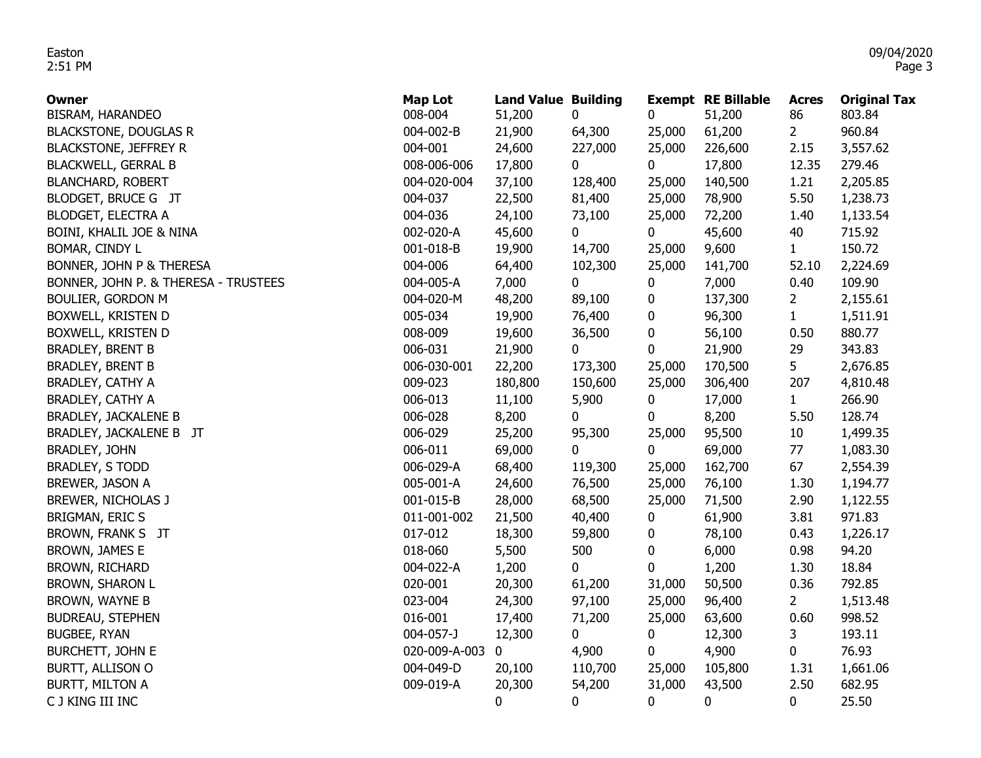| <b>Owner</b>                         | <b>Map Lot</b> | <b>Land Value Building</b> |         |        | <b>Exempt RE Billable</b> | <b>Acres</b>    | <b>Original Tax</b> |
|--------------------------------------|----------------|----------------------------|---------|--------|---------------------------|-----------------|---------------------|
| BISRAM, HARANDEO                     | 008-004        | 51,200                     | 0       | 0      | 51,200                    | 86              | 803.84              |
| <b>BLACKSTONE, DOUGLAS R</b>         | 004-002-B      | 21,900                     | 64,300  | 25,000 | 61,200                    | $2^{\circ}$     | 960.84              |
| <b>BLACKSTONE, JEFFREY R</b>         | 004-001        | 24,600                     | 227,000 | 25,000 | 226,600                   | 2.15            | 3,557.62            |
| <b>BLACKWELL, GERRAL B</b>           | 008-006-006    | 17,800                     | 0       | 0      | 17,800                    | 12.35           | 279.46              |
| <b>BLANCHARD, ROBERT</b>             | 004-020-004    | 37,100                     | 128,400 | 25,000 | 140,500                   | 1.21            | 2,205.85            |
| BLODGET, BRUCE G JT                  | 004-037        | 22,500                     | 81,400  | 25,000 | 78,900                    | 5.50            | 1,238.73            |
| <b>BLODGET, ELECTRA A</b>            | 004-036        | 24,100                     | 73,100  | 25,000 | 72,200                    | 1.40            | 1,133.54            |
| BOINI, KHALIL JOE & NINA             | 002-020-A      | 45,600                     | 0       | 0      | 45,600                    | 40              | 715.92              |
| BOMAR, CINDY L                       | 001-018-B      | 19,900                     | 14,700  | 25,000 | 9,600                     | $\mathbf{1}$    | 150.72              |
| BONNER, JOHN P & THERESA             | 004-006        | 64,400                     | 102,300 | 25,000 | 141,700                   | 52.10           | 2,224.69            |
| BONNER, JOHN P. & THERESA - TRUSTEES | 004-005-A      | 7,000                      | 0       | 0      | 7,000                     | 0.40            | 109.90              |
| <b>BOULIER, GORDON M</b>             | 004-020-M      | 48,200                     | 89,100  | 0      | 137,300                   | 2               | 2,155.61            |
| BOXWELL, KRISTEN D                   | 005-034        | 19,900                     | 76,400  | 0      | 96,300                    | $\mathbf{1}$    | 1,511.91            |
| BOXWELL, KRISTEN D                   | 008-009        | 19,600                     | 36,500  | 0      | 56,100                    | 0.50            | 880.77              |
| <b>BRADLEY, BRENT B</b>              | 006-031        | 21,900                     | 0       | 0      | 21,900                    | 29              | 343.83              |
| <b>BRADLEY, BRENT B</b>              | 006-030-001    | 22,200                     | 173,300 | 25,000 | 170,500                   | 5               | 2,676.85            |
| <b>BRADLEY, CATHY A</b>              | 009-023        | 180,800                    | 150,600 | 25,000 | 306,400                   | 207             | 4,810.48            |
| BRADLEY, CATHY A                     | 006-013        | 11,100                     | 5,900   | 0      | 17,000                    | 1               | 266.90              |
| <b>BRADLEY, JACKALENE B</b>          | 006-028        | 8,200                      | 0       | 0      | 8,200                     | 5.50            | 128.74              |
| BRADLEY, JACKALENE B JT              | 006-029        | 25,200                     | 95,300  | 25,000 | 95,500                    | 10 <sup>°</sup> | 1,499.35            |
| BRADLEY, JOHN                        | 006-011        | 69,000                     | 0       | 0      | 69,000                    | 77              | 1,083.30            |
| <b>BRADLEY, S TODD</b>               | 006-029-A      | 68,400                     | 119,300 | 25,000 | 162,700                   | 67              | 2,554.39            |
| BREWER, JASON A                      | 005-001-A      | 24,600                     | 76,500  | 25,000 | 76,100                    | 1.30            | 1,194.77            |
| BREWER, NICHOLAS J                   | 001-015-B      | 28,000                     | 68,500  | 25,000 | 71,500                    | 2.90            | 1,122.55            |
| BRIGMAN, ERIC S                      | 011-001-002    | 21,500                     | 40,400  | 0      | 61,900                    | 3.81            | 971.83              |
| BROWN, FRANK S JT                    | 017-012        | 18,300                     | 59,800  | 0      | 78,100                    | 0.43            | 1,226.17            |
| BROWN, JAMES E                       | 018-060        | 5,500                      | 500     | 0      | 6,000                     | 0.98            | 94.20               |
| BROWN, RICHARD                       | 004-022-A      | 1,200                      | 0       | 0      | 1,200                     | 1.30            | 18.84               |
| BROWN, SHARON L                      | 020-001        | 20,300                     | 61,200  | 31,000 | 50,500                    | 0.36            | 792.85              |
| BROWN, WAYNE B                       | 023-004        | 24,300                     | 97,100  | 25,000 | 96,400                    | 2               | 1,513.48            |
| <b>BUDREAU, STEPHEN</b>              | 016-001        | 17,400                     | 71,200  | 25,000 | 63,600                    | 0.60            | 998.52              |
| <b>BUGBEE, RYAN</b>                  | 004-057-J      | 12,300                     | 0       | 0      | 12,300                    | 3               | 193.11              |
| BURCHETT, JOHN E                     | 020-009-A-003  | 0                          | 4,900   | 0      | 4,900                     | 0               | 76.93               |
| BURTT, ALLISON O                     | 004-049-D      | 20,100                     | 110,700 | 25,000 | 105,800                   | 1.31            | 1,661.06            |
| BURTT, MILTON A                      | 009-019-A      | 20,300                     | 54,200  | 31,000 | 43,500                    | 2.50            | 682.95              |
| C J KING III INC                     |                | $\mathbf{0}$               | 0       | 0      | $\mathbf 0$               | 0               | 25.50               |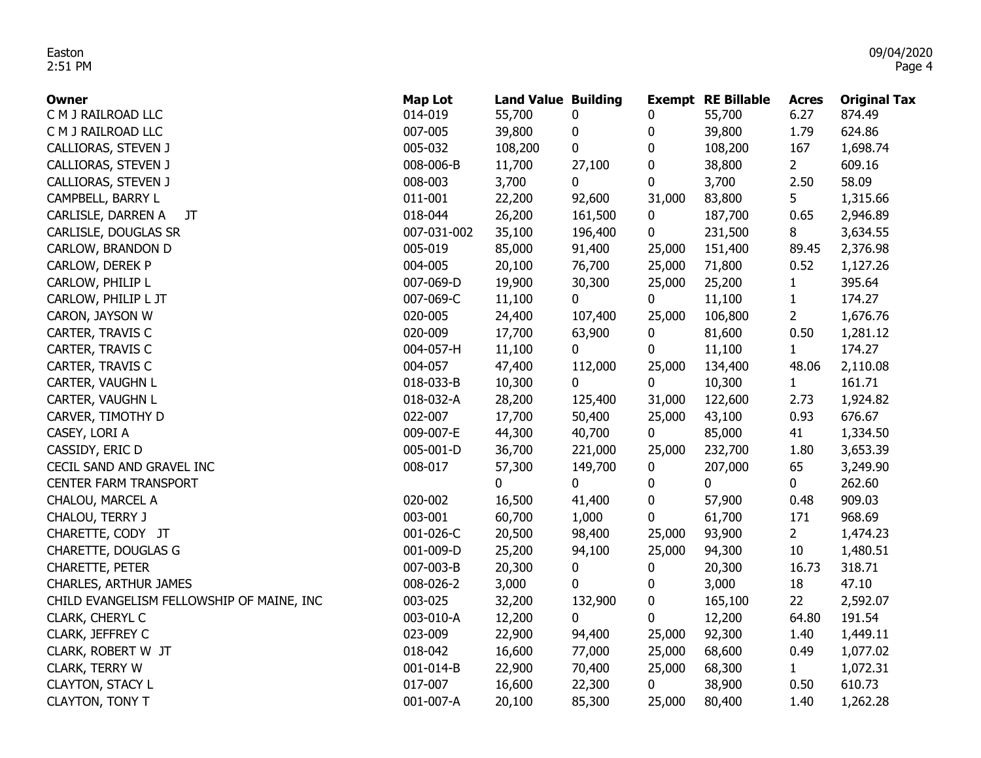| Owner                                     | <b>Map Lot</b> | <b>Land Value Building</b> |           |                  | <b>Exempt RE Billable</b> | <b>Acres</b>   | <b>Original Tax</b> |
|-------------------------------------------|----------------|----------------------------|-----------|------------------|---------------------------|----------------|---------------------|
| C M J RAILROAD LLC                        | 014-019        | 55,700                     | 0         | 0                | 55,700                    | 6.27           | 874.49              |
| C M J RAILROAD LLC                        | 007-005        | 39,800                     | 0         | 0                | 39,800                    | 1.79           | 624.86              |
| CALLIORAS, STEVEN J                       | 005-032        | 108,200                    | $\pmb{0}$ | 0                | 108,200                   | 167            | 1,698.74            |
| CALLIORAS, STEVEN J                       | 008-006-B      | 11,700                     | 27,100    | 0                | 38,800                    | $2^{\circ}$    | 609.16              |
| CALLIORAS, STEVEN J                       | 008-003        | 3,700                      | 0         | 0                | 3,700                     | 2.50           | 58.09               |
| CAMPBELL, BARRY L                         | 011-001        | 22,200                     | 92,600    | 31,000           | 83,800                    | $5 -$          | 1,315.66            |
| CARLISLE, DARREN A<br>JT                  | 018-044        | 26,200                     | 161,500   | 0                | 187,700                   | 0.65           | 2,946.89            |
| CARLISLE, DOUGLAS SR                      | 007-031-002    | 35,100                     | 196,400   | 0                | 231,500                   | 8              | 3,634.55            |
| CARLOW, BRANDON D                         | 005-019        | 85,000                     | 91,400    | 25,000           | 151,400                   | 89.45          | 2,376.98            |
| CARLOW, DEREK P                           | 004-005        | 20,100                     | 76,700    | 25,000           | 71,800                    | 0.52           | 1,127.26            |
| CARLOW, PHILIP L                          | 007-069-D      | 19,900                     | 30,300    | 25,000           | 25,200                    | $\mathbf{1}$   | 395.64              |
| CARLOW, PHILIP L JT                       | 007-069-C      | 11,100                     | 0         | $\mathbf 0$      | 11,100                    | $\mathbf{1}$   | 174.27              |
| CARON, JAYSON W                           | 020-005        | 24,400                     | 107,400   | 25,000           | 106,800                   | $\overline{2}$ | 1,676.76            |
| CARTER, TRAVIS C                          | 020-009        | 17,700                     | 63,900    | 0                | 81,600                    | 0.50           | 1,281.12            |
| CARTER, TRAVIS C                          | 004-057-H      | 11,100                     | 0         | 0                | 11,100                    | 1              | 174.27              |
| CARTER, TRAVIS C                          | 004-057        | 47,400                     | 112,000   | 25,000           | 134,400                   | 48.06          | 2,110.08            |
| CARTER, VAUGHN L                          | 018-033-B      | 10,300                     | 0         | 0                | 10,300                    | 1              | 161.71              |
| CARTER, VAUGHN L                          | 018-032-A      | 28,200                     | 125,400   | 31,000           | 122,600                   | 2.73           | 1,924.82            |
| CARVER, TIMOTHY D                         | 022-007        | 17,700                     | 50,400    | 25,000           | 43,100                    | 0.93           | 676.67              |
| CASEY, LORI A                             | 009-007-E      | 44,300                     | 40,700    | $\mathbf 0$      | 85,000                    | 41             | 1,334.50            |
| CASSIDY, ERIC D                           | 005-001-D      | 36,700                     | 221,000   | 25,000           | 232,700                   | 1.80           | 3,653.39            |
| CECIL SAND AND GRAVEL INC                 | 008-017        | 57,300                     | 149,700   | $\boldsymbol{0}$ | 207,000                   | 65             | 3,249.90            |
| <b>CENTER FARM TRANSPORT</b>              |                | $\mathbf 0$                | 0         | 0                | 0                         | 0              | 262.60              |
| CHALOU, MARCEL A                          | 020-002        | 16,500                     | 41,400    | 0                | 57,900                    | 0.48           | 909.03              |
| CHALOU, TERRY J                           | 003-001        | 60,700                     | 1,000     | 0                | 61,700                    | 171            | 968.69              |
| CHARETTE, CODY JT                         | 001-026-C      | 20,500                     | 98,400    | 25,000           | 93,900                    | 2 <sup>1</sup> | 1,474.23            |
| CHARETTE, DOUGLAS G                       | 001-009-D      | 25,200                     | 94,100    | 25,000           | 94,300                    | 10             | 1,480.51            |
| CHARETTE, PETER                           | 007-003-B      | 20,300                     | 0         | 0                | 20,300                    | 16.73          | 318.71              |
| CHARLES, ARTHUR JAMES                     | 008-026-2      | 3,000                      | 0         | 0                | 3,000                     | 18             | 47.10               |
| CHILD EVANGELISM FELLOWSHIP OF MAINE, INC | 003-025        | 32,200                     | 132,900   | 0                | 165,100                   | 22             | 2,592.07            |
| CLARK, CHERYL C                           | 003-010-A      | 12,200                     | 0         | 0                | 12,200                    | 64.80          | 191.54              |
| CLARK, JEFFREY C                          | 023-009        | 22,900                     | 94,400    | 25,000           | 92,300                    | 1.40           | 1,449.11            |
| CLARK, ROBERT W JT                        | 018-042        | 16,600                     | 77,000    | 25,000           | 68,600                    | 0.49           | 1,077.02            |
| CLARK, TERRY W                            | 001-014-B      | 22,900                     | 70,400    | 25,000           | 68,300                    | 1              | 1,072.31            |
| <b>CLAYTON, STACY L</b>                   | 017-007        | 16,600                     | 22,300    | $\mathbf 0$      | 38,900                    | 0.50           | 610.73              |
| <b>CLAYTON, TONY T</b>                    | 001-007-A      | 20,100                     | 85,300    | 25,000           | 80,400                    | 1.40           | 1,262.28            |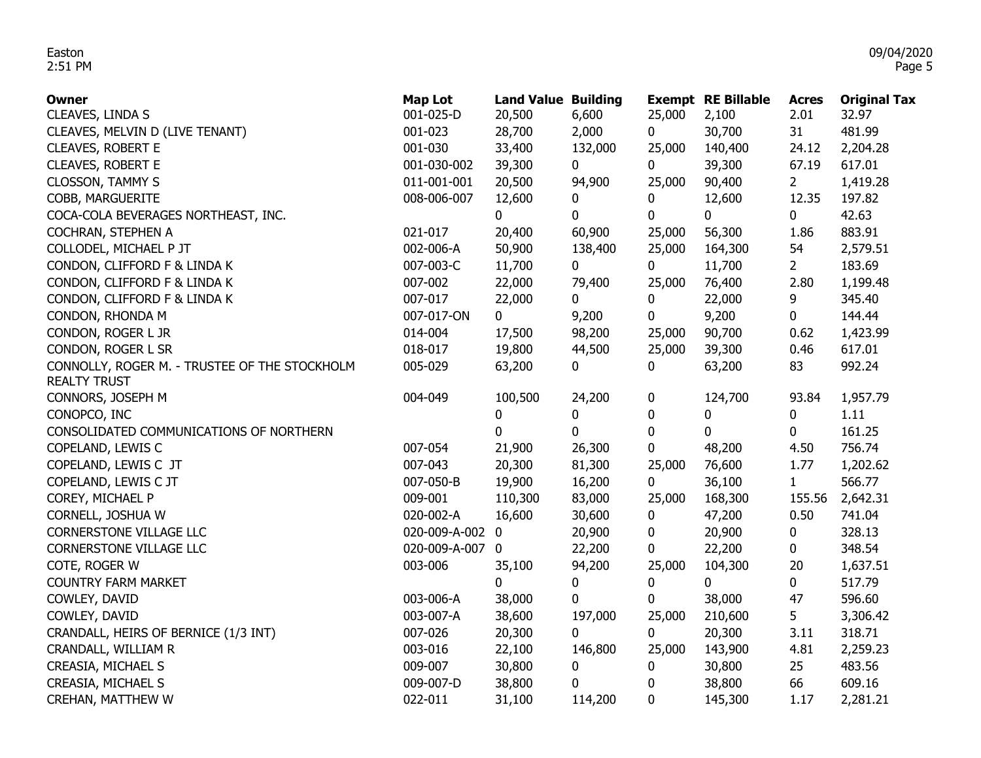| <b>Owner</b>                                  | Map Lot         | <b>Land Value Building</b> |         |          | <b>Exempt RE Billable</b> | <b>Acres</b>   | <b>Original Tax</b> |
|-----------------------------------------------|-----------------|----------------------------|---------|----------|---------------------------|----------------|---------------------|
| CLEAVES, LINDA S                              | 001-025-D       | 20,500                     | 6,600   | 25,000   | 2,100                     | 2.01           | 32.97               |
| CLEAVES, MELVIN D (LIVE TENANT)               | 001-023         | 28,700                     | 2,000   | 0        | 30,700                    | 31             | 481.99              |
| CLEAVES, ROBERT E                             | 001-030         | 33,400                     | 132,000 | 25,000   | 140,400                   | 24.12          | 2,204.28            |
| <b>CLEAVES, ROBERT E</b>                      | 001-030-002     | 39,300                     | 0       | 0        | 39,300                    | 67.19          | 617.01              |
| <b>CLOSSON, TAMMY S</b>                       | 011-001-001     | 20,500                     | 94,900  | 25,000   | 90,400                    | $\overline{2}$ | 1,419.28            |
| COBB, MARGUERITE                              | 008-006-007     | 12,600                     | 0       | 0        | 12,600                    | 12.35          | 197.82              |
| COCA-COLA BEVERAGES NORTHEAST, INC.           |                 | 0                          | 0       | 0        | 0                         | 0              | 42.63               |
| COCHRAN, STEPHEN A                            | 021-017         | 20,400                     | 60,900  | 25,000   | 56,300                    | 1.86           | 883.91              |
| COLLODEL, MICHAEL P JT                        | 002-006-A       | 50,900                     | 138,400 | 25,000   | 164,300                   | 54             | 2,579.51            |
| CONDON, CLIFFORD F & LINDA K                  | 007-003-C       | 11,700                     | 0       | 0        | 11,700                    | $\overline{2}$ | 183.69              |
| CONDON, CLIFFORD F & LINDA K                  | 007-002         | 22,000                     | 79,400  | 25,000   | 76,400                    | 2.80           | 1,199.48            |
| CONDON, CLIFFORD F & LINDA K                  | 007-017         | 22,000                     | 0       | 0        | 22,000                    | 9              | 345.40              |
| CONDON, RHONDA M                              | 007-017-ON      | $\mathbf{0}$               | 9,200   | 0        | 9,200                     | 0              | 144.44              |
| CONDON, ROGER L JR                            | 014-004         | 17,500                     | 98,200  | 25,000   | 90,700                    | 0.62           | 1,423.99            |
| CONDON, ROGER L SR                            | 018-017         | 19,800                     | 44,500  | 25,000   | 39,300                    | 0.46           | 617.01              |
| CONNOLLY, ROGER M. - TRUSTEE OF THE STOCKHOLM | 005-029         | 63,200                     | 0       | 0        | 63,200                    | 83             | 992.24              |
| <b>REALTY TRUST</b>                           |                 |                            |         |          |                           |                |                     |
| CONNORS, JOSEPH M                             | 004-049         | 100,500                    | 24,200  | 0        | 124,700                   | 93.84          | 1,957.79            |
| CONOPCO, INC                                  |                 | 0                          | 0       | $\bf{0}$ | 0                         | 0              | 1.11                |
| CONSOLIDATED COMMUNICATIONS OF NORTHERN       |                 | 0                          | 0       | $\bf{0}$ | $\mathbf{0}$              | 0              | 161.25              |
| COPELAND, LEWIS C                             | 007-054         | 21,900                     | 26,300  | 0        | 48,200                    | 4.50           | 756.74              |
| COPELAND, LEWIS C JT                          | 007-043         | 20,300                     | 81,300  | 25,000   | 76,600                    | 1.77           | 1,202.62            |
| COPELAND, LEWIS C JT                          | 007-050-B       | 19,900                     | 16,200  | 0        | 36,100                    | 1              | 566.77              |
| COREY, MICHAEL P                              | 009-001         | 110,300                    | 83,000  | 25,000   | 168,300                   | 155.56         | 2,642.31            |
| CORNELL, JOSHUA W                             | 020-002-A       | 16,600                     | 30,600  | 0        | 47,200                    | 0.50           | 741.04              |
| CORNERSTONE VILLAGE LLC                       | 020-009-A-002 0 |                            | 20,900  | 0        | 20,900                    | 0              | 328.13              |
| CORNERSTONE VILLAGE LLC                       | 020-009-A-007 0 |                            | 22,200  | 0        | 22,200                    | 0              | 348.54              |
| COTE, ROGER W                                 | 003-006         | 35,100                     | 94,200  | 25,000   | 104,300                   | 20             | 1,637.51            |
| <b>COUNTRY FARM MARKET</b>                    |                 | 0                          | 0       | 0        | 0                         | 0              | 517.79              |
| COWLEY, DAVID                                 | 003-006-A       | 38,000                     | 0       | 0        | 38,000                    | 47             | 596.60              |
| COWLEY, DAVID                                 | 003-007-A       | 38,600                     | 197,000 | 25,000   | 210,600                   | 5              | 3,306.42            |
| CRANDALL, HEIRS OF BERNICE (1/3 INT)          | 007-026         | 20,300                     | 0       | 0        | 20,300                    | 3.11           | 318.71              |
| CRANDALL, WILLIAM R                           | 003-016         | 22,100                     | 146,800 | 25,000   | 143,900                   | 4.81           | 2,259.23            |
| CREASIA, MICHAEL S                            | 009-007         | 30,800                     | 0       | 0        | 30,800                    | 25             | 483.56              |
| CREASIA, MICHAEL S                            | 009-007-D       | 38,800                     | 0       | 0        | 38,800                    | 66             | 609.16              |
| CREHAN, MATTHEW W                             | 022-011         | 31,100                     | 114,200 | 0        | 145,300                   | 1.17           | 2,281.21            |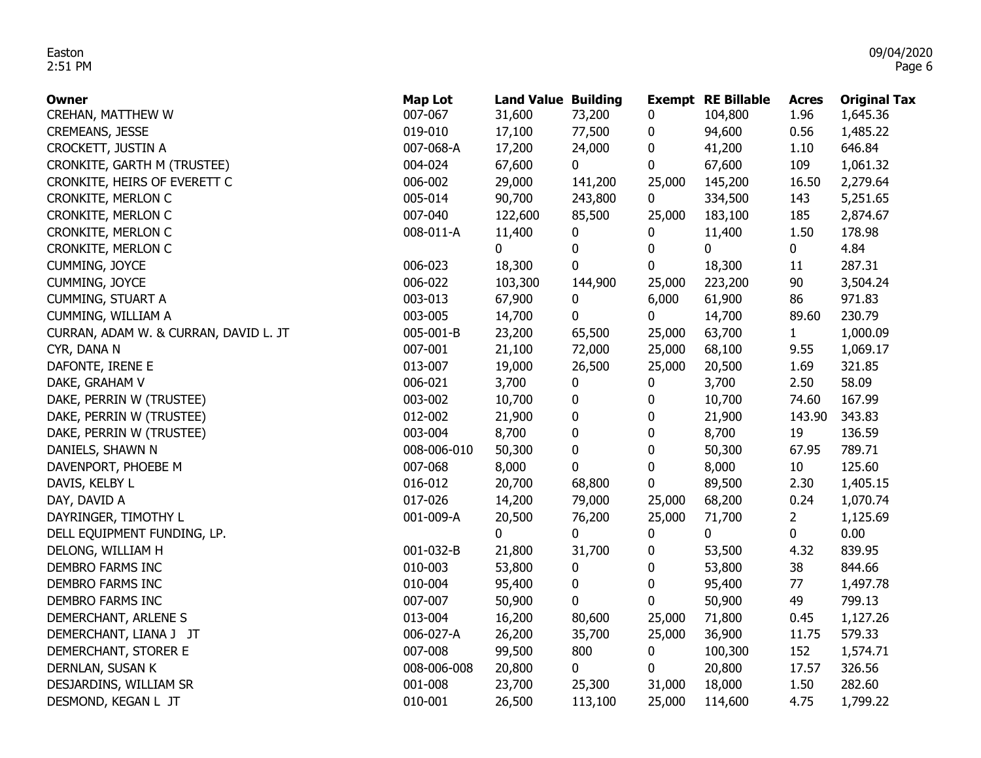| <b>Owner</b>                          | <b>Map Lot</b> | <b>Land Value Building</b> |         |             | <b>Exempt RE Billable</b> | <b>Acres</b>    | <b>Original Tax</b> |
|---------------------------------------|----------------|----------------------------|---------|-------------|---------------------------|-----------------|---------------------|
| CREHAN, MATTHEW W                     | 007-067        | 31,600                     | 73,200  | 0           | 104,800                   | 1.96            | 1,645.36            |
| <b>CREMEANS, JESSE</b>                | 019-010        | 17,100                     | 77,500  | 0           | 94,600                    | 0.56            | 1,485.22            |
| CROCKETT, JUSTIN A                    | 007-068-A      | 17,200                     | 24,000  | 0           | 41,200                    | 1.10            | 646.84              |
| CRONKITE, GARTH M (TRUSTEE)           | 004-024        | 67,600                     | 0       | 0           | 67,600                    | 109             | 1,061.32            |
| CRONKITE, HEIRS OF EVERETT C          | 006-002        | 29,000                     | 141,200 | 25,000      | 145,200                   | 16.50           | 2,279.64            |
| CRONKITE, MERLON C                    | 005-014        | 90,700                     | 243,800 | $\mathbf 0$ | 334,500                   | 143             | 5,251.65            |
| CRONKITE, MERLON C                    | 007-040        | 122,600                    | 85,500  | 25,000      | 183,100                   | 185             | 2,874.67            |
| CRONKITE, MERLON C                    | 008-011-A      | 11,400                     | 0       | 0           | 11,400                    | 1.50            | 178.98              |
| CRONKITE, MERLON C                    |                | 0                          | 0       | 0           | 0                         | 0               | 4.84                |
| CUMMING, JOYCE                        | 006-023        | 18,300                     | 0       | 0           | 18,300                    | 11              | 287.31              |
| CUMMING, JOYCE                        | 006-022        | 103,300                    | 144,900 | 25,000      | 223,200                   | 90              | 3,504.24            |
| <b>CUMMING, STUART A</b>              | 003-013        | 67,900                     | 0       | 6,000       | 61,900                    | 86              | 971.83              |
| CUMMING, WILLIAM A                    | 003-005        | 14,700                     | 0       | 0           | 14,700                    | 89.60           | 230.79              |
| CURRAN, ADAM W. & CURRAN, DAVID L. JT | 005-001-B      | 23,200                     | 65,500  | 25,000      | 63,700                    | $\mathbf{1}$    | 1,000.09            |
| CYR, DANA N                           | 007-001        | 21,100                     | 72,000  | 25,000      | 68,100                    | 9.55            | 1,069.17            |
| DAFONTE, IRENE E                      | 013-007        | 19,000                     | 26,500  | 25,000      | 20,500                    | 1.69            | 321.85              |
| DAKE, GRAHAM V                        | 006-021        | 3,700                      | 0       | 0           | 3,700                     | 2.50            | 58.09               |
| DAKE, PERRIN W (TRUSTEE)              | 003-002        | 10,700                     | 0       | 0           | 10,700                    | 74.60           | 167.99              |
| DAKE, PERRIN W (TRUSTEE)              | 012-002        | 21,900                     | 0       | 0           | 21,900                    | 143.90          | 343.83              |
| DAKE, PERRIN W (TRUSTEE)              | 003-004        | 8,700                      | 0       | 0           | 8,700                     | 19              | 136.59              |
| DANIELS, SHAWN N                      | 008-006-010    | 50,300                     | 0       | 0           | 50,300                    | 67.95           | 789.71              |
| DAVENPORT, PHOEBE M                   | 007-068        | 8,000                      | 0       | 0           | 8,000                     | 10 <sup>°</sup> | 125.60              |
| DAVIS, KELBY L                        | 016-012        | 20,700                     | 68,800  | 0           | 89,500                    | 2.30            | 1,405.15            |
| DAY, DAVID A                          | 017-026        | 14,200                     | 79,000  | 25,000      | 68,200                    | 0.24            | 1,070.74            |
| DAYRINGER, TIMOTHY L                  | 001-009-A      | 20,500                     | 76,200  | 25,000      | 71,700                    | $\overline{2}$  | 1,125.69            |
| DELL EQUIPMENT FUNDING, LP.           |                | 0                          | 0       | 0           | 0                         | 0               | 0.00                |
| DELONG, WILLIAM H                     | 001-032-B      | 21,800                     | 31,700  | 0           | 53,500                    | 4.32            | 839.95              |
| DEMBRO FARMS INC                      | 010-003        | 53,800                     | 0       | 0           | 53,800                    | 38              | 844.66              |
| DEMBRO FARMS INC                      | 010-004        | 95,400                     | 0       | 0           | 95,400                    | 77              | 1,497.78            |
| DEMBRO FARMS INC                      | 007-007        | 50,900                     | 0       | 0           | 50,900                    | 49              | 799.13              |
| DEMERCHANT, ARLENE S                  | 013-004        | 16,200                     | 80,600  | 25,000      | 71,800                    | 0.45            | 1,127.26            |
| DEMERCHANT, LIANA J JT                | 006-027-A      | 26,200                     | 35,700  | 25,000      | 36,900                    | 11.75           | 579.33              |
| DEMERCHANT, STORER E                  | 007-008        | 99,500                     | 800     | 0           | 100,300                   | 152             | 1,574.71            |
| DERNLAN, SUSAN K                      | 008-006-008    | 20,800                     | 0       | 0           | 20,800                    | 17.57           | 326.56              |
| DESJARDINS, WILLIAM SR                | 001-008        | 23,700                     | 25,300  | 31,000      | 18,000                    | 1.50            | 282.60              |
| DESMOND, KEGAN L JT                   | 010-001        | 26,500                     | 113,100 | 25,000      | 114,600                   | 4.75            | 1,799.22            |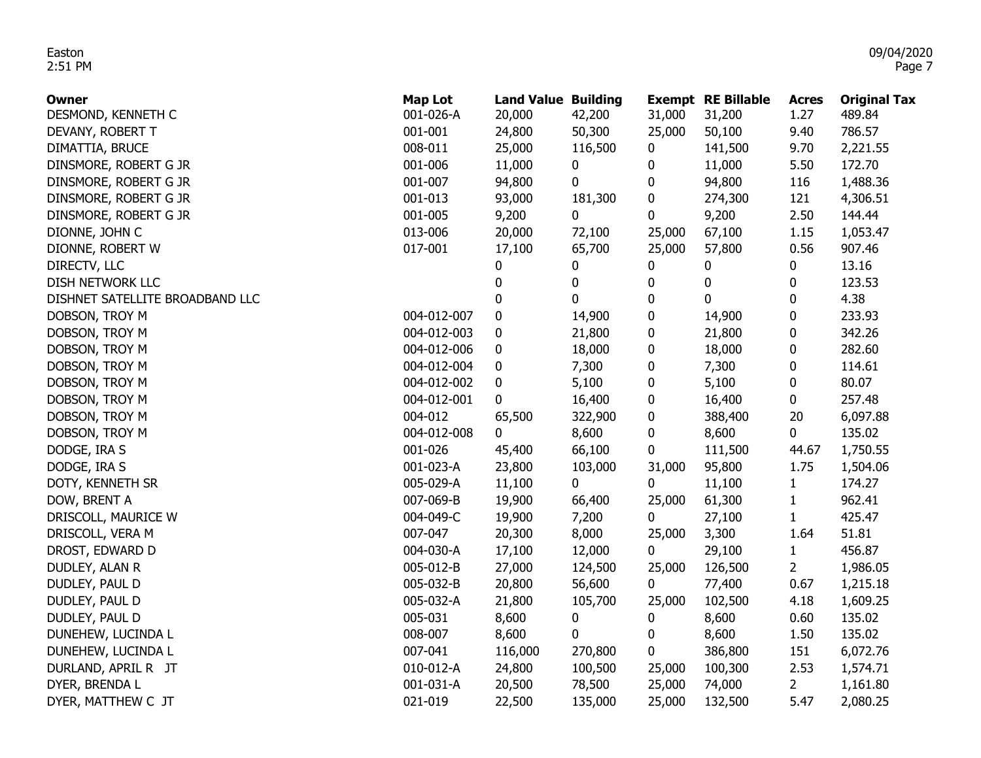| <b>Owner</b>                    | <b>Map Lot</b> | <b>Land Value Building</b> |           |             | <b>Exempt RE Billable</b> | <b>Acres</b>    | <b>Original Tax</b> |
|---------------------------------|----------------|----------------------------|-----------|-------------|---------------------------|-----------------|---------------------|
| DESMOND, KENNETH C              | 001-026-A      | 20,000                     | 42,200    | 31,000      | 31,200                    | 1.27            | 489.84              |
| DEVANY, ROBERT T                | 001-001        | 24,800                     | 50,300    | 25,000      | 50,100                    | 9.40            | 786.57              |
| DIMATTIA, BRUCE                 | 008-011        | 25,000                     | 116,500   | $\bf{0}$    | 141,500                   | 9.70            | 2,221.55            |
| DINSMORE, ROBERT G JR           | 001-006        | 11,000                     | 0         | 0           | 11,000                    | 5.50            | 172.70              |
| DINSMORE, ROBERT G JR           | 001-007        | 94,800                     | 0         | 0           | 94,800                    | 116             | 1,488.36            |
| DINSMORE, ROBERT G JR           | 001-013        | 93,000                     | 181,300   | 0           | 274,300                   | 121             | 4,306.51            |
| DINSMORE, ROBERT G JR           | 001-005        | 9,200                      | 0         | 0           | 9,200                     | 2.50            | 144.44              |
| DIONNE, JOHN C                  | 013-006        | 20,000                     | 72,100    | 25,000      | 67,100                    | 1.15            | 1,053.47            |
| DIONNE, ROBERT W                | 017-001        | 17,100                     | 65,700    | 25,000      | 57,800                    | 0.56            | 907.46              |
| DIRECTV, LLC                    |                | 0                          | 0         | 0           | 0                         | 0               | 13.16               |
| DISH NETWORK LLC                |                | $\pmb{0}$                  | $\pmb{0}$ | 0           | $\bf{0}$                  | 0               | 123.53              |
| DISHNET SATELLITE BROADBAND LLC |                | 0                          | $\pmb{0}$ | $\pmb{0}$   | 0                         | 0               | 4.38                |
| DOBSON, TROY M                  | 004-012-007    | 0                          | 14,900    | 0           | 14,900                    | 0               | 233.93              |
| DOBSON, TROY M                  | 004-012-003    | 0                          | 21,800    | $\pmb{0}$   | 21,800                    | 0               | 342.26              |
| DOBSON, TROY M                  | 004-012-006    | 0                          | 18,000    | $\pmb{0}$   | 18,000                    | 0               | 282.60              |
| DOBSON, TROY M                  | 004-012-004    | 0                          | 7,300     | 0           | 7,300                     | 0               | 114.61              |
| DOBSON, TROY M                  | 004-012-002    | 0                          | 5,100     | 0           | 5,100                     | 0               | 80.07               |
| DOBSON, TROY M                  | 004-012-001    | $\mathbf{0}$               | 16,400    | $\pmb{0}$   | 16,400                    | 0               | 257.48              |
| DOBSON, TROY M                  | 004-012        | 65,500                     | 322,900   | $\pmb{0}$   | 388,400                   | 20              | 6,097.88            |
| DOBSON, TROY M                  | 004-012-008    | 0                          | 8,600     | 0           | 8,600                     | 0               | 135.02              |
| DODGE, IRA S                    | 001-026        | 45,400                     | 66,100    | 0           | 111,500                   | 44.67           | 1,750.55            |
| DODGE, IRA S                    | 001-023-A      | 23,800                     | 103,000   | 31,000      | 95,800                    | 1.75            | 1,504.06            |
| DOTY, KENNETH SR                | 005-029-A      | 11,100                     | 0         | 0           | 11,100                    | $\mathbf{1}$    | 174.27              |
| DOW, BRENT A                    | 007-069-B      | 19,900                     | 66,400    | 25,000      | 61,300                    | $\mathbf{1}$    | 962.41              |
| DRISCOLL, MAURICE W             | 004-049-C      | 19,900                     | 7,200     | $\mathbf 0$ | 27,100                    | $1\overline{ }$ | 425.47              |
| DRISCOLL, VERA M                | 007-047        | 20,300                     | 8,000     | 25,000      | 3,300                     | 1.64            | 51.81               |
| DROST, EDWARD D                 | 004-030-A      | 17,100                     | 12,000    | $\mathbf 0$ | 29,100                    | $\mathbf{1}$    | 456.87              |
| DUDLEY, ALAN R                  | 005-012-B      | 27,000                     | 124,500   | 25,000      | 126,500                   | $\mathbf{2}$    | 1,986.05            |
| DUDLEY, PAUL D                  | 005-032-B      | 20,800                     | 56,600    | $\mathbf 0$ | 77,400                    | 0.67            | 1,215.18            |
| DUDLEY, PAUL D                  | 005-032-A      | 21,800                     | 105,700   | 25,000      | 102,500                   | 4.18            | 1,609.25            |
| DUDLEY, PAUL D                  | 005-031        | 8,600                      | 0         | 0           | 8,600                     | 0.60            | 135.02              |
| DUNEHEW, LUCINDA L              | 008-007        | 8,600                      | 0         | 0           | 8,600                     | 1.50            | 135.02              |
| DUNEHEW, LUCINDA L              | 007-041        | 116,000                    | 270,800   | 0           | 386,800                   | 151             | 6,072.76            |
| DURLAND, APRIL R JT             | 010-012-A      | 24,800                     | 100,500   | 25,000      | 100,300                   | 2.53            | 1,574.71            |
| DYER, BRENDA L                  | 001-031-A      | 20,500                     | 78,500    | 25,000      | 74,000                    | $\overline{2}$  | 1,161.80            |
| DYER, MATTHEW C JT              | 021-019        | 22,500                     | 135,000   | 25,000      | 132,500                   | 5.47            | 2,080.25            |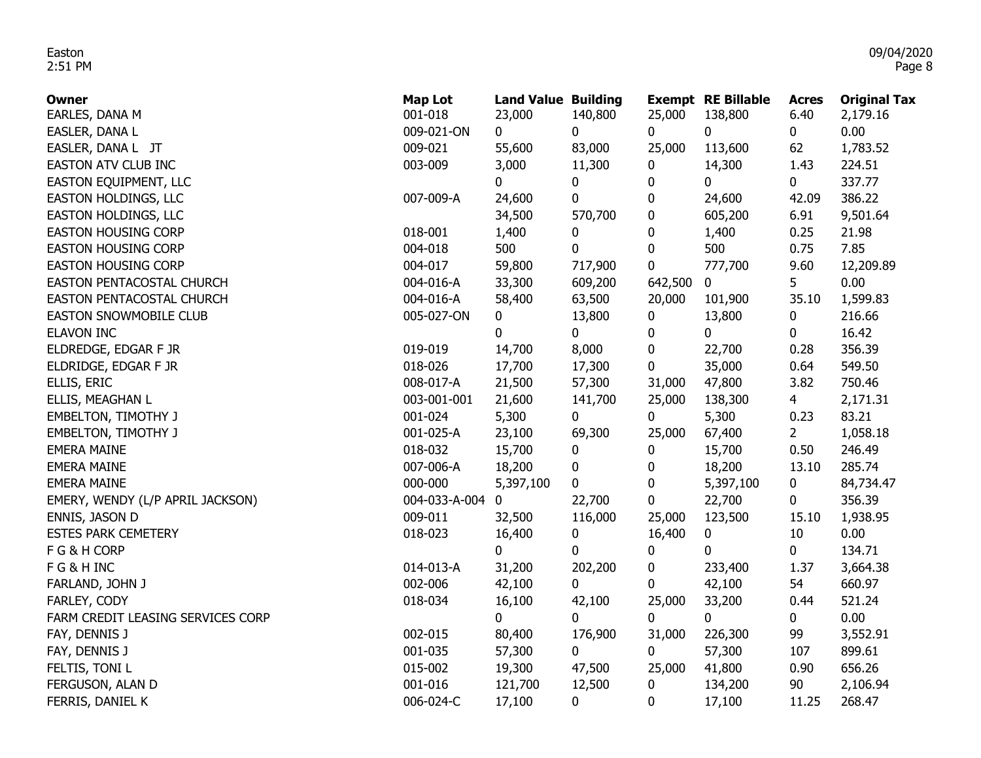| <b>Owner</b>                      | <b>Map Lot</b> | <b>Land Value Building</b> |           |             | <b>Exempt RE Billable</b> | <b>Acres</b> | <b>Original Tax</b> |
|-----------------------------------|----------------|----------------------------|-----------|-------------|---------------------------|--------------|---------------------|
| EARLES, DANA M                    | 001-018        | 23,000                     | 140,800   | 25,000      | 138,800                   | 6.40         | 2,179.16            |
| EASLER, DANA L                    | 009-021-ON     | 0                          | 0         | $\mathbf 0$ | $\mathbf 0$               | 0            | 0.00                |
| EASLER, DANA L JT                 | 009-021        | 55,600                     | 83,000    | 25,000      | 113,600                   | 62           | 1,783.52            |
| EASTON ATV CLUB INC               | 003-009        | 3,000                      | 11,300    | 0           | 14,300                    | 1.43         | 224.51              |
| EASTON EQUIPMENT, LLC             |                | 0                          | 0         | 0           | 0                         | 0            | 337.77              |
| EASTON HOLDINGS, LLC              | 007-009-A      | 24,600                     | $\pmb{0}$ | 0           | 24,600                    | 42.09        | 386.22              |
| EASTON HOLDINGS, LLC              |                | 34,500                     | 570,700   | 0           | 605,200                   | 6.91         | 9,501.64            |
| <b>EASTON HOUSING CORP</b>        | 018-001        | 1,400                      | 0         | 0           | 1,400                     | 0.25         | 21.98               |
| <b>EASTON HOUSING CORP</b>        | 004-018        | 500                        | 0         | 0           | 500                       | 0.75         | 7.85                |
| <b>EASTON HOUSING CORP</b>        | 004-017        | 59,800                     | 717,900   | 0           | 777,700                   | 9.60         | 12,209.89           |
| EASTON PENTACOSTAL CHURCH         | 004-016-A      | 33,300                     | 609,200   | 642,500     | 0                         | 5            | 0.00                |
| EASTON PENTACOSTAL CHURCH         | 004-016-A      | 58,400                     | 63,500    | 20,000      | 101,900                   | 35.10        | 1,599.83            |
| EASTON SNOWMOBILE CLUB            | 005-027-ON     | 0                          | 13,800    | 0           | 13,800                    | 0            | 216.66              |
| <b>ELAVON INC</b>                 |                | 0                          | 0         | 0           | 0                         | 0            | 16.42               |
| ELDREDGE, EDGAR F JR              | 019-019        | 14,700                     | 8,000     | 0           | 22,700                    | 0.28         | 356.39              |
| ELDRIDGE, EDGAR F JR              | 018-026        | 17,700                     | 17,300    | 0           | 35,000                    | 0.64         | 549.50              |
| ELLIS, ERIC                       | 008-017-A      | 21,500                     | 57,300    | 31,000      | 47,800                    | 3.82         | 750.46              |
| ELLIS, MEAGHAN L                  | 003-001-001    | 21,600                     | 141,700   | 25,000      | 138,300                   | $4 -$        | 2,171.31            |
| <b>EMBELTON, TIMOTHY J</b>        | 001-024        | 5,300                      | 0         | $\mathbf 0$ | 5,300                     | 0.23         | 83.21               |
| <b>EMBELTON, TIMOTHY J</b>        | 001-025-A      | 23,100                     | 69,300    | 25,000      | 67,400                    | $2^{\circ}$  | 1,058.18            |
| <b>EMERA MAINE</b>                | 018-032        | 15,700                     | 0         | 0           | 15,700                    | 0.50         | 246.49              |
| <b>EMERA MAINE</b>                | 007-006-A      | 18,200                     | 0         | 0           | 18,200                    | 13.10        | 285.74              |
| <b>EMERA MAINE</b>                | 000-000        | 5,397,100                  | 0         | 0           | 5,397,100                 | 0            | 84,734.47           |
| EMERY, WENDY (L/P APRIL JACKSON)  | 004-033-A-004  | 0                          | 22,700    | 0           | 22,700                    | 0            | 356.39              |
| ENNIS, JASON D                    | 009-011        | 32,500                     | 116,000   | 25,000      | 123,500                   | 15.10        | 1,938.95            |
| <b>ESTES PARK CEMETERY</b>        | 018-023        | 16,400                     | 0         | 16,400      | 0                         | 10           | 0.00                |
| F G & H CORP                      |                | 0                          | 0         | 0           | $\mathbf{0}$              | 0            | 134.71              |
| FG&HINC                           | 014-013-A      | 31,200                     | 202,200   | 0           | 233,400                   | 1.37         | 3,664.38            |
| FARLAND, JOHN J                   | 002-006        | 42,100                     | 0         | 0           | 42,100                    | 54           | 660.97              |
| FARLEY, CODY                      | 018-034        | 16,100                     | 42,100    | 25,000      | 33,200                    | 0.44         | 521.24              |
| FARM CREDIT LEASING SERVICES CORP |                | 0                          | 0         | 0           | $\mathbf 0$               | 0            | 0.00                |
| FAY, DENNIS J                     | 002-015        | 80,400                     | 176,900   | 31,000      | 226,300                   | 99           | 3,552.91            |
| FAY, DENNIS J                     | 001-035        | 57,300                     | 0         | 0           | 57,300                    | 107          | 899.61              |
| FELTIS, TONI L                    | 015-002        | 19,300                     | 47,500    | 25,000      | 41,800                    | 0.90         | 656.26              |
| FERGUSON, ALAN D                  | 001-016        | 121,700                    | 12,500    | 0           | 134,200                   | 90           | 2,106.94            |
| FERRIS, DANIEL K                  | 006-024-C      | 17,100                     | 0         | 0           | 17,100                    | 11.25        | 268.47              |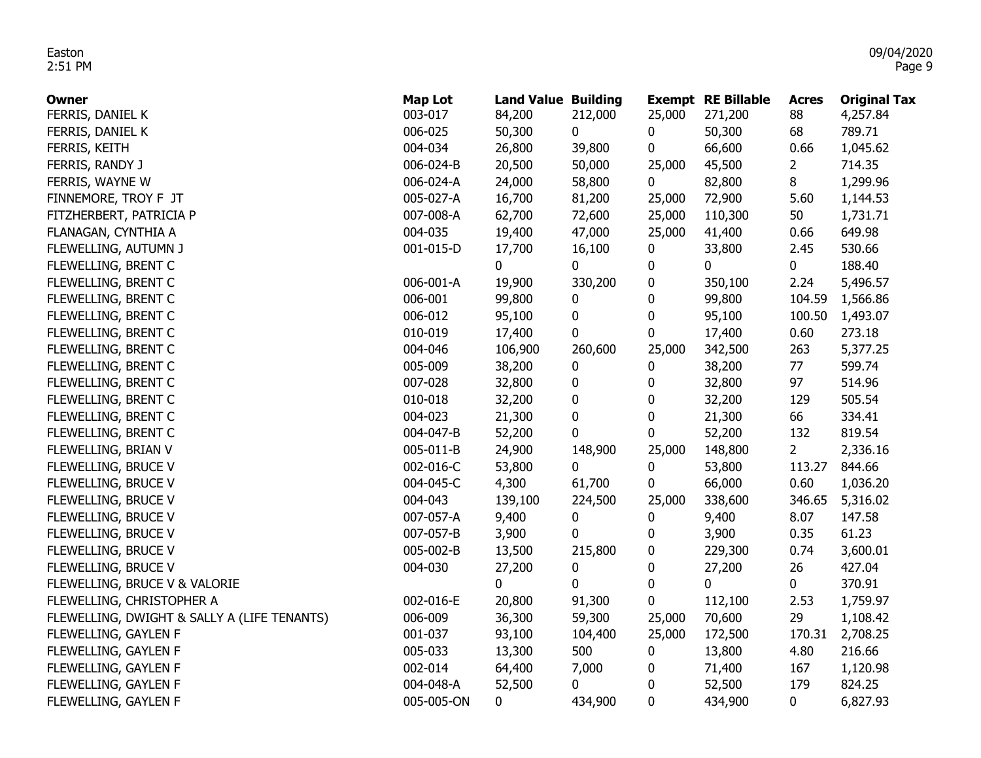| Owner                                       | <b>Map Lot</b> | <b>Land Value Building</b> |             |             | <b>Exempt RE Billable</b> | <b>Acres</b>   | <b>Original Tax</b> |
|---------------------------------------------|----------------|----------------------------|-------------|-------------|---------------------------|----------------|---------------------|
| FERRIS, DANIEL K                            | 003-017        | 84,200                     | 212,000     | 25,000      | 271,200                   | 88             | 4,257.84            |
| FERRIS, DANIEL K                            | 006-025        | 50,300                     | 0           | 0           | 50,300                    | 68             | 789.71              |
| FERRIS, KEITH                               | 004-034        | 26,800                     | 39,800      | 0           | 66,600                    | 0.66           | 1,045.62            |
| FERRIS, RANDY J                             | 006-024-B      | 20,500                     | 50,000      | 25,000      | 45,500                    | $\overline{2}$ | 714.35              |
| FERRIS, WAYNE W                             | 006-024-A      | 24,000                     | 58,800      | $\mathbf 0$ | 82,800                    | 8              | 1,299.96            |
| FINNEMORE, TROY F JT                        | 005-027-A      | 16,700                     | 81,200      | 25,000      | 72,900                    | 5.60           | 1,144.53            |
| FITZHERBERT, PATRICIA P                     | 007-008-A      | 62,700                     | 72,600      | 25,000      | 110,300                   | 50             | 1,731.71            |
| FLANAGAN, CYNTHIA A                         | 004-035        | 19,400                     | 47,000      | 25,000      | 41,400                    | 0.66           | 649.98              |
| FLEWELLING, AUTUMN J                        | 001-015-D      | 17,700                     | 16,100      | 0           | 33,800                    | 2.45           | 530.66              |
| FLEWELLING, BRENT C                         |                | 0                          | 0           | 0           | 0                         | $\mathbf 0$    | 188.40              |
| FLEWELLING, BRENT C                         | 006-001-A      | 19,900                     | 330,200     | 0           | 350,100                   | 2.24           | 5,496.57            |
| FLEWELLING, BRENT C                         | 006-001        | 99,800                     | 0           | 0           | 99,800                    | 104.59         | 1,566.86            |
| FLEWELLING, BRENT C                         | 006-012        | 95,100                     | 0           | 0           | 95,100                    | 100.50         | 1,493.07            |
| FLEWELLING, BRENT C                         | 010-019        | 17,400                     | 0           | 0           | 17,400                    | 0.60           | 273.18              |
| FLEWELLING, BRENT C                         | 004-046        | 106,900                    | 260,600     | 25,000      | 342,500                   | 263            | 5,377.25            |
| FLEWELLING, BRENT C                         | 005-009        | 38,200                     | 0           | 0           | 38,200                    | 77             | 599.74              |
| FLEWELLING, BRENT C                         | 007-028        | 32,800                     | 0           | 0           | 32,800                    | 97             | 514.96              |
| FLEWELLING, BRENT C                         | 010-018        | 32,200                     | 0           | 0           | 32,200                    | 129            | 505.54              |
| FLEWELLING, BRENT C                         | 004-023        | 21,300                     | 0           | 0           | 21,300                    | 66             | 334.41              |
| FLEWELLING, BRENT C                         | 004-047-B      | 52,200                     | 0           | 0           | 52,200                    | 132            | 819.54              |
| FLEWELLING, BRIAN V                         | 005-011-B      | 24,900                     | 148,900     | 25,000      | 148,800                   | $\overline{2}$ | 2,336.16            |
| FLEWELLING, BRUCE V                         | 002-016-C      | 53,800                     | 0           | 0           | 53,800                    | 113.27         | 844.66              |
| FLEWELLING, BRUCE V                         | 004-045-C      | 4,300                      | 61,700      | 0           | 66,000                    | 0.60           | 1,036.20            |
| FLEWELLING, BRUCE V                         | 004-043        | 139,100                    | 224,500     | 25,000      | 338,600                   | 346.65         | 5,316.02            |
| FLEWELLING, BRUCE V                         | 007-057-A      | 9,400                      | 0           | 0           | 9,400                     | 8.07           | 147.58              |
| FLEWELLING, BRUCE V                         | 007-057-B      | 3,900                      | 0           | 0           | 3,900                     | 0.35           | 61.23               |
| FLEWELLING, BRUCE V                         | 005-002-B      | 13,500                     | 215,800     | 0           | 229,300                   | 0.74           | 3,600.01            |
| FLEWELLING, BRUCE V                         | 004-030        | 27,200                     | 0           | 0           | 27,200                    | 26             | 427.04              |
| FLEWELLING, BRUCE V & VALORIE               |                | 0                          | $\mathbf 0$ | $\pmb{0}$   | $\mathbf{0}$              | 0              | 370.91              |
| FLEWELLING, CHRISTOPHER A                   | 002-016-E      | 20,800                     | 91,300      | 0           | 112,100                   | 2.53           | 1,759.97            |
| FLEWELLING, DWIGHT & SALLY A (LIFE TENANTS) | 006-009        | 36,300                     | 59,300      | 25,000      | 70,600                    | 29             | 1,108.42            |
| FLEWELLING, GAYLEN F                        | 001-037        | 93,100                     | 104,400     | 25,000      | 172,500                   | 170.31         | 2,708.25            |
| FLEWELLING, GAYLEN F                        | 005-033        | 13,300                     | 500         | 0           | 13,800                    | 4.80           | 216.66              |
| FLEWELLING, GAYLEN F                        | 002-014        | 64,400                     | 7,000       | 0           | 71,400                    | 167            | 1,120.98            |
| FLEWELLING, GAYLEN F                        | 004-048-A      | 52,500                     | 0           | 0           | 52,500                    | 179            | 824.25              |
| FLEWELLING, GAYLEN F                        | 005-005-ON     | 0                          | 434,900     | 0           | 434,900                   | 0              | 6,827.93            |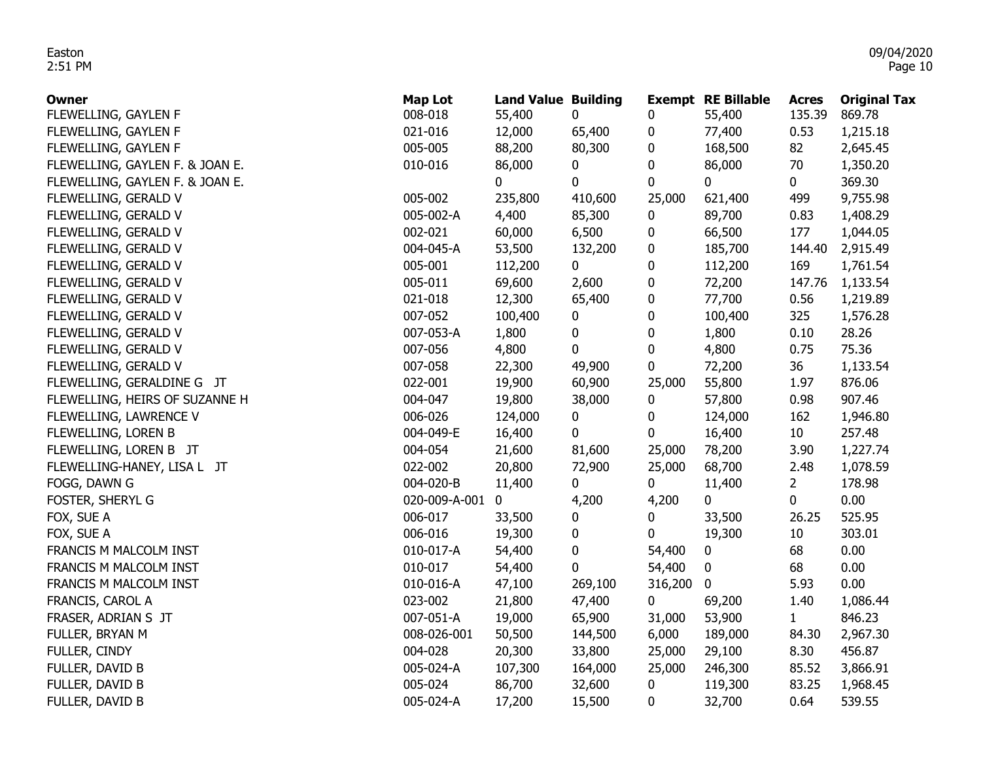| <b>Owner</b>                    | <b>Map Lot</b> | <b>Land Value Building</b> |             |             | <b>Exempt RE Billable</b> | <b>Acres</b>    | <b>Original Tax</b> |
|---------------------------------|----------------|----------------------------|-------------|-------------|---------------------------|-----------------|---------------------|
| FLEWELLING, GAYLEN F            | 008-018        | 55,400                     | 0           | 0           | 55,400                    | 135.39          | 869.78              |
| FLEWELLING, GAYLEN F            | 021-016        | 12,000                     | 65,400      | 0           | 77,400                    | 0.53            | 1,215.18            |
| FLEWELLING, GAYLEN F            | 005-005        | 88,200                     | 80,300      | 0           | 168,500                   | 82              | 2,645.45            |
| FLEWELLING, GAYLEN F. & JOAN E. | 010-016        | 86,000                     | 0           | 0           | 86,000                    | 70              | 1,350.20            |
| FLEWELLING, GAYLEN F. & JOAN E. |                | $\mathbf 0$                | $\mathbf 0$ | 0           | 0                         | $\mathbf{0}$    | 369.30              |
| FLEWELLING, GERALD V            | 005-002        | 235,800                    | 410,600     | 25,000      | 621,400                   | 499             | 9,755.98            |
| FLEWELLING, GERALD V            | 005-002-A      | 4,400                      | 85,300      | 0           | 89,700                    | 0.83            | 1,408.29            |
| FLEWELLING, GERALD V            | 002-021        | 60,000                     | 6,500       | 0           | 66,500                    | 177             | 1,044.05            |
| FLEWELLING, GERALD V            | 004-045-A      | 53,500                     | 132,200     | 0           | 185,700                   | 144.40          | 2,915.49            |
| FLEWELLING, GERALD V            | 005-001        | 112,200                    | 0           | 0           | 112,200                   | 169             | 1,761.54            |
| FLEWELLING, GERALD V            | 005-011        | 69,600                     | 2,600       | 0           | 72,200                    | 147.76          | 1,133.54            |
| FLEWELLING, GERALD V            | 021-018        | 12,300                     | 65,400      | 0           | 77,700                    | 0.56            | 1,219.89            |
| FLEWELLING, GERALD V            | 007-052        | 100,400                    | 0           | 0           | 100,400                   | 325             | 1,576.28            |
| FLEWELLING, GERALD V            | 007-053-A      | 1,800                      | 0           | 0           | 1,800                     | 0.10            | 28.26               |
| FLEWELLING, GERALD V            | 007-056        | 4,800                      | 0           | 0           | 4,800                     | 0.75            | 75.36               |
| FLEWELLING, GERALD V            | 007-058        | 22,300                     | 49,900      | 0           | 72,200                    | 36              | 1,133.54            |
| FLEWELLING, GERALDINE G JT      | 022-001        | 19,900                     | 60,900      | 25,000      | 55,800                    | 1.97            | 876.06              |
| FLEWELLING, HEIRS OF SUZANNE H  | 004-047        | 19,800                     | 38,000      | 0           | 57,800                    | 0.98            | 907.46              |
| FLEWELLING, LAWRENCE V          | 006-026        | 124,000                    | 0           | 0           | 124,000                   | 162             | 1,946.80            |
| FLEWELLING, LOREN B             | 004-049-E      | 16,400                     | 0           | 0           | 16,400                    | 10 <sub>1</sub> | 257.48              |
| FLEWELLING, LOREN B JT          | 004-054        | 21,600                     | 81,600      | 25,000      | 78,200                    | 3.90            | 1,227.74            |
| FLEWELLING-HANEY, LISA L JT     | 022-002        | 20,800                     | 72,900      | 25,000      | 68,700                    | 2.48            | 1,078.59            |
| FOGG, DAWN G                    | 004-020-B      | 11,400                     | 0           | 0           | 11,400                    | $\overline{2}$  | 178.98              |
| FOSTER, SHERYL G                | 020-009-A-001  | 0                          | 4,200       | 4,200       | 0                         | 0               | 0.00                |
| FOX, SUE A                      | 006-017        | 33,500                     | 0           | 0           | 33,500                    | 26.25           | 525.95              |
| FOX, SUE A                      | 006-016        | 19,300                     | 0           | 0           | 19,300                    | 10              | 303.01              |
| FRANCIS M MALCOLM INST          | 010-017-A      | 54,400                     | 0           | 54,400      | 0                         | 68              | 0.00                |
| FRANCIS M MALCOLM INST          | 010-017        | 54,400                     | 0           | 54,400      | 0                         | 68              | 0.00                |
| FRANCIS M MALCOLM INST          | 010-016-A      | 47,100                     | 269,100     | 316,200     | 0                         | 5.93            | 0.00                |
| FRANCIS, CAROL A                | 023-002        | 21,800                     | 47,400      | $\mathbf 0$ | 69,200                    | 1.40            | 1,086.44            |
| FRASER, ADRIAN S JT             | 007-051-A      | 19,000                     | 65,900      | 31,000      | 53,900                    | $\mathbf{1}$    | 846.23              |
| FULLER, BRYAN M                 | 008-026-001    | 50,500                     | 144,500     | 6,000       | 189,000                   | 84.30           | 2,967.30            |
| FULLER, CINDY                   | 004-028        | 20,300                     | 33,800      | 25,000      | 29,100                    | 8.30            | 456.87              |
| FULLER, DAVID B                 | 005-024-A      | 107,300                    | 164,000     | 25,000      | 246,300                   | 85.52           | 3,866.91            |
| FULLER, DAVID B                 | 005-024        | 86,700                     | 32,600      | 0           | 119,300                   | 83.25           | 1,968.45            |
| FULLER, DAVID B                 | 005-024-A      | 17,200                     | 15,500      | 0           | 32,700                    | 0.64            | 539.55              |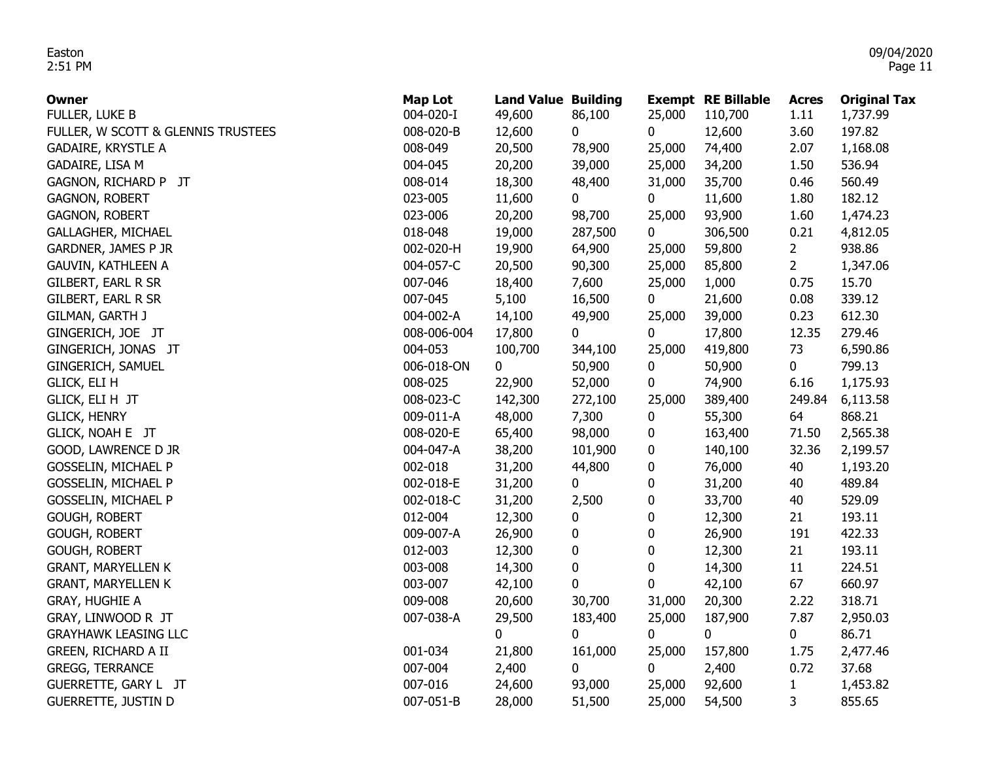| <b>Owner</b>                       | Map Lot     | <b>Land Value Building</b> |         |        | <b>Exempt RE Billable</b> | <b>Acres</b>   | <b>Original Tax</b> |
|------------------------------------|-------------|----------------------------|---------|--------|---------------------------|----------------|---------------------|
| FULLER, LUKE B                     | 004-020-I   | 49,600                     | 86,100  | 25,000 | 110,700                   | 1.11           | 1,737.99            |
| FULLER, W SCOTT & GLENNIS TRUSTEES | 008-020-B   | 12,600                     | 0       | 0      | 12,600                    | 3.60           | 197.82              |
| <b>GADAIRE, KRYSTLE A</b>          | 008-049     | 20,500                     | 78,900  | 25,000 | 74,400                    | 2.07           | 1,168.08            |
| GADAIRE, LISA M                    | 004-045     | 20,200                     | 39,000  | 25,000 | 34,200                    | 1.50           | 536.94              |
| GAGNON, RICHARD P JT               | 008-014     | 18,300                     | 48,400  | 31,000 | 35,700                    | 0.46           | 560.49              |
| <b>GAGNON, ROBERT</b>              | 023-005     | 11,600                     | 0       | 0      | 11,600                    | 1.80           | 182.12              |
| <b>GAGNON, ROBERT</b>              | 023-006     | 20,200                     | 98,700  | 25,000 | 93,900                    | 1.60           | 1,474.23            |
| <b>GALLAGHER, MICHAEL</b>          | 018-048     | 19,000                     | 287,500 | 0      | 306,500                   | 0.21           | 4,812.05            |
| GARDNER, JAMES P JR                | 002-020-H   | 19,900                     | 64,900  | 25,000 | 59,800                    | $\overline{2}$ | 938.86              |
| <b>GAUVIN, KATHLEEN A</b>          | 004-057-C   | 20,500                     | 90,300  | 25,000 | 85,800                    | $2^{\circ}$    | 1,347.06            |
| GILBERT, EARL R SR                 | 007-046     | 18,400                     | 7,600   | 25,000 | 1,000                     | 0.75           | 15.70               |
| GILBERT, EARL R SR                 | 007-045     | 5,100                      | 16,500  | 0      | 21,600                    | 0.08           | 339.12              |
| GILMAN, GARTH J                    | 004-002-A   | 14,100                     | 49,900  | 25,000 | 39,000                    | 0.23           | 612.30              |
| GINGERICH, JOE JT                  | 008-006-004 | 17,800                     | 0       | 0      | 17,800                    | 12.35          | 279.46              |
| GINGERICH, JONAS JT                | 004-053     | 100,700                    | 344,100 | 25,000 | 419,800                   | 73             | 6,590.86            |
| GINGERICH, SAMUEL                  | 006-018-ON  | $\mathbf 0$                | 50,900  | 0      | 50,900                    | $\mathbf 0$    | 799.13              |
| <b>GLICK, ELI H</b>                | 008-025     | 22,900                     | 52,000  | 0      | 74,900                    | 6.16           | 1,175.93            |
| GLICK, ELI H JT                    | 008-023-C   | 142,300                    | 272,100 | 25,000 | 389,400                   | 249.84         | 6,113.58            |
| <b>GLICK, HENRY</b>                | 009-011-A   | 48,000                     | 7,300   | 0      | 55,300                    | 64             | 868.21              |
| GLICK, NOAH E JT                   | 008-020-E   | 65,400                     | 98,000  | 0      | 163,400                   | 71.50          | 2,565.38            |
| GOOD, LAWRENCE D JR                | 004-047-A   | 38,200                     | 101,900 | 0      | 140,100                   | 32.36          | 2,199.57            |
| <b>GOSSELIN, MICHAEL P</b>         | 002-018     | 31,200                     | 44,800  | 0      | 76,000                    | 40             | 1,193.20            |
| <b>GOSSELIN, MICHAEL P</b>         | 002-018-E   | 31,200                     | 0       | 0      | 31,200                    | 40             | 489.84              |
| <b>GOSSELIN, MICHAEL P</b>         | 002-018-C   | 31,200                     | 2,500   | 0      | 33,700                    | 40             | 529.09              |
| <b>GOUGH, ROBERT</b>               | 012-004     | 12,300                     | 0       | 0      | 12,300                    | 21             | 193.11              |
| <b>GOUGH, ROBERT</b>               | 009-007-A   | 26,900                     | 0       | 0      | 26,900                    | 191            | 422.33              |
| GOUGH, ROBERT                      | 012-003     | 12,300                     | 0       | 0      | 12,300                    | 21             | 193.11              |
| <b>GRANT, MARYELLEN K</b>          | 003-008     | 14,300                     | 0       | 0      | 14,300                    | 11             | 224.51              |
| <b>GRANT, MARYELLEN K</b>          | 003-007     | 42,100                     | 0       | 0      | 42,100                    | 67             | 660.97              |
| <b>GRAY, HUGHIE A</b>              | 009-008     | 20,600                     | 30,700  | 31,000 | 20,300                    | 2.22           | 318.71              |
| GRAY, LINWOOD R JT                 | 007-038-A   | 29,500                     | 183,400 | 25,000 | 187,900                   | 7.87           | 2,950.03            |
| <b>GRAYHAWK LEASING LLC</b>        |             | 0                          | 0       | 0      | $\mathbf{0}$              | $\mathbf 0$    | 86.71               |
| GREEN, RICHARD A II                | 001-034     | 21,800                     | 161,000 | 25,000 | 157,800                   | 1.75           | 2,477.46            |
| <b>GREGG, TERRANCE</b>             | 007-004     | 2,400                      | 0       | 0      | 2,400                     | 0.72           | 37.68               |
| GUERRETTE, GARY L JT               | 007-016     | 24,600                     | 93,000  | 25,000 | 92,600                    | $\mathbf{1}$   | 1,453.82            |
| <b>GUERRETTE, JUSTIN D</b>         | 007-051-B   | 28,000                     | 51,500  | 25,000 | 54,500                    | 3              | 855.65              |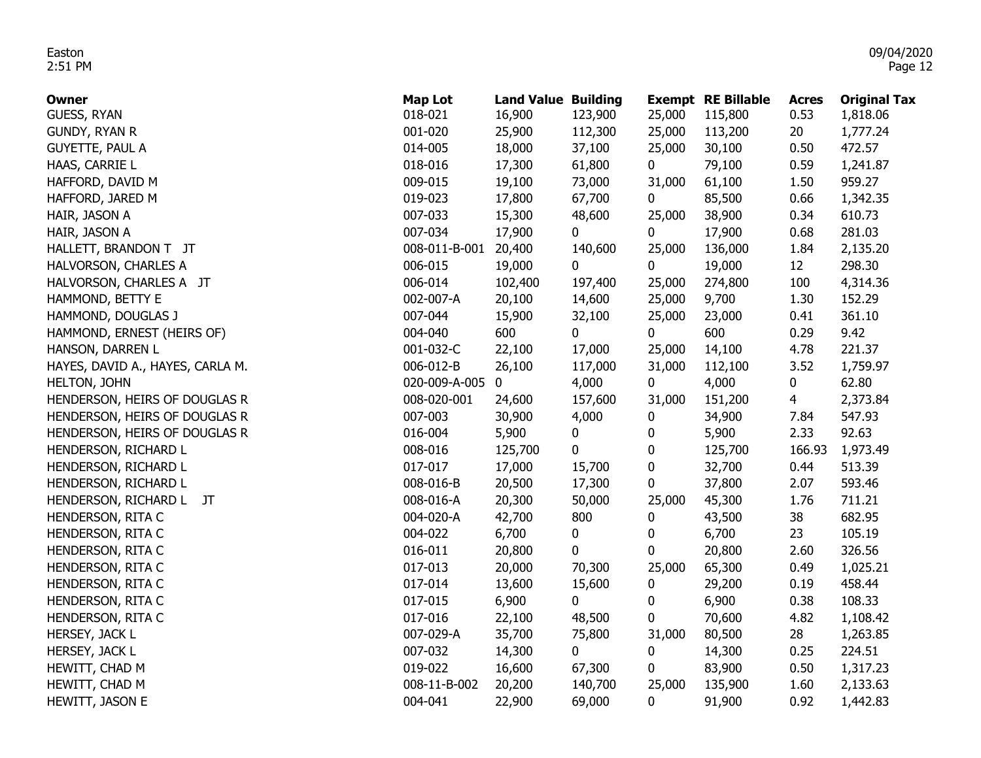| Owner                            | <b>Map Lot</b> | <b>Land Value Building</b> |              |          | <b>Exempt RE Billable</b> | <b>Acres</b>    | <b>Original Tax</b> |
|----------------------------------|----------------|----------------------------|--------------|----------|---------------------------|-----------------|---------------------|
| <b>GUESS, RYAN</b>               | 018-021        | 16,900                     | 123,900      | 25,000   | 115,800                   | 0.53            | 1,818.06            |
| <b>GUNDY, RYAN R</b>             | 001-020        | 25,900                     | 112,300      | 25,000   | 113,200                   | 20 <sub>2</sub> | 1,777.24            |
| <b>GUYETTE, PAUL A</b>           | 014-005        | 18,000                     | 37,100       | 25,000   | 30,100                    | 0.50            | 472.57              |
| HAAS, CARRIE L                   | 018-016        | 17,300                     | 61,800       | 0        | 79,100                    | 0.59            | 1,241.87            |
| HAFFORD, DAVID M                 | 009-015        | 19,100                     | 73,000       | 31,000   | 61,100                    | 1.50            | 959.27              |
| HAFFORD, JARED M                 | 019-023        | 17,800                     | 67,700       | 0        | 85,500                    | 0.66            | 1,342.35            |
| HAIR, JASON A                    | 007-033        | 15,300                     | 48,600       | 25,000   | 38,900                    | 0.34            | 610.73              |
| HAIR, JASON A                    | 007-034        | 17,900                     | $\mathbf{0}$ | 0        | 17,900                    | 0.68            | 281.03              |
| HALLETT, BRANDON T JT            | 008-011-B-001  | 20,400                     | 140,600      | 25,000   | 136,000                   | 1.84            | 2,135.20            |
| HALVORSON, CHARLES A             | 006-015        | 19,000                     | 0            | 0        | 19,000                    | 12 <sup>2</sup> | 298.30              |
| HALVORSON, CHARLES A JT          | 006-014        | 102,400                    | 197,400      | 25,000   | 274,800                   | 100             | 4,314.36            |
| HAMMOND, BETTY E                 | 002-007-A      | 20,100                     | 14,600       | 25,000   | 9,700                     | 1.30            | 152.29              |
| HAMMOND, DOUGLAS J               | 007-044        | 15,900                     | 32,100       | 25,000   | 23,000                    | 0.41            | 361.10              |
| HAMMOND, ERNEST (HEIRS OF)       | 004-040        | 600                        | 0            | 0        | 600                       | 0.29            | 9.42                |
| HANSON, DARREN L                 | 001-032-C      | 22,100                     | 17,000       | 25,000   | 14,100                    | 4.78            | 221.37              |
| HAYES, DAVID A., HAYES, CARLA M. | 006-012-B      | 26,100                     | 117,000      | 31,000   | 112,100                   | 3.52            | 1,759.97            |
| HELTON, JOHN                     | 020-009-A-005  | $\mathbf 0$                | 4,000        | 0        | 4,000                     | 0               | 62.80               |
| HENDERSON, HEIRS OF DOUGLAS R    | 008-020-001    | 24,600                     | 157,600      | 31,000   | 151,200                   | 4               | 2,373.84            |
| HENDERSON, HEIRS OF DOUGLAS R    | 007-003        | 30,900                     | 4,000        | 0        | 34,900                    | 7.84            | 547.93              |
| HENDERSON, HEIRS OF DOUGLAS R    | 016-004        | 5,900                      | 0            | 0        | 5,900                     | 2.33            | 92.63               |
| HENDERSON, RICHARD L             | 008-016        | 125,700                    | 0            | $\bf{0}$ | 125,700                   | 166.93          | 1,973.49            |
| HENDERSON, RICHARD L             | 017-017        | 17,000                     | 15,700       | 0        | 32,700                    | 0.44            | 513.39              |
| HENDERSON, RICHARD L             | 008-016-B      | 20,500                     | 17,300       | 0        | 37,800                    | 2.07            | 593.46              |
| HENDERSON, RICHARD L<br>JT       | 008-016-A      | 20,300                     | 50,000       | 25,000   | 45,300                    | 1.76            | 711.21              |
| HENDERSON, RITA C                | 004-020-A      | 42,700                     | 800          | 0        | 43,500                    | 38              | 682.95              |
| HENDERSON, RITA C                | 004-022        | 6,700                      | 0            | 0        | 6,700                     | 23              | 105.19              |
| HENDERSON, RITA C                | 016-011        | 20,800                     | 0            | 0        | 20,800                    | 2.60            | 326.56              |
| HENDERSON, RITA C                | 017-013        | 20,000                     | 70,300       | 25,000   | 65,300                    | 0.49            | 1,025.21            |
| HENDERSON, RITA C                | 017-014        | 13,600                     | 15,600       | 0        | 29,200                    | 0.19            | 458.44              |
| HENDERSON, RITA C                | 017-015        | 6,900                      | 0            | 0        | 6,900                     | 0.38            | 108.33              |
| HENDERSON, RITA C                | 017-016        | 22,100                     | 48,500       | 0        | 70,600                    | 4.82            | 1,108.42            |
| HERSEY, JACK L                   | 007-029-A      | 35,700                     | 75,800       | 31,000   | 80,500                    | 28              | 1,263.85            |
| HERSEY, JACK L                   | 007-032        | 14,300                     | 0            | 0        | 14,300                    | 0.25            | 224.51              |
| HEWITT, CHAD M                   | 019-022        | 16,600                     | 67,300       | 0        | 83,900                    | 0.50            | 1,317.23            |
| HEWITT, CHAD M                   | 008-11-B-002   | 20,200                     | 140,700      | 25,000   | 135,900                   | 1.60            | 2,133.63            |
| HEWITT, JASON E                  | 004-041        | 22,900                     | 69,000       | 0        | 91,900                    | 0.92            | 1,442.83            |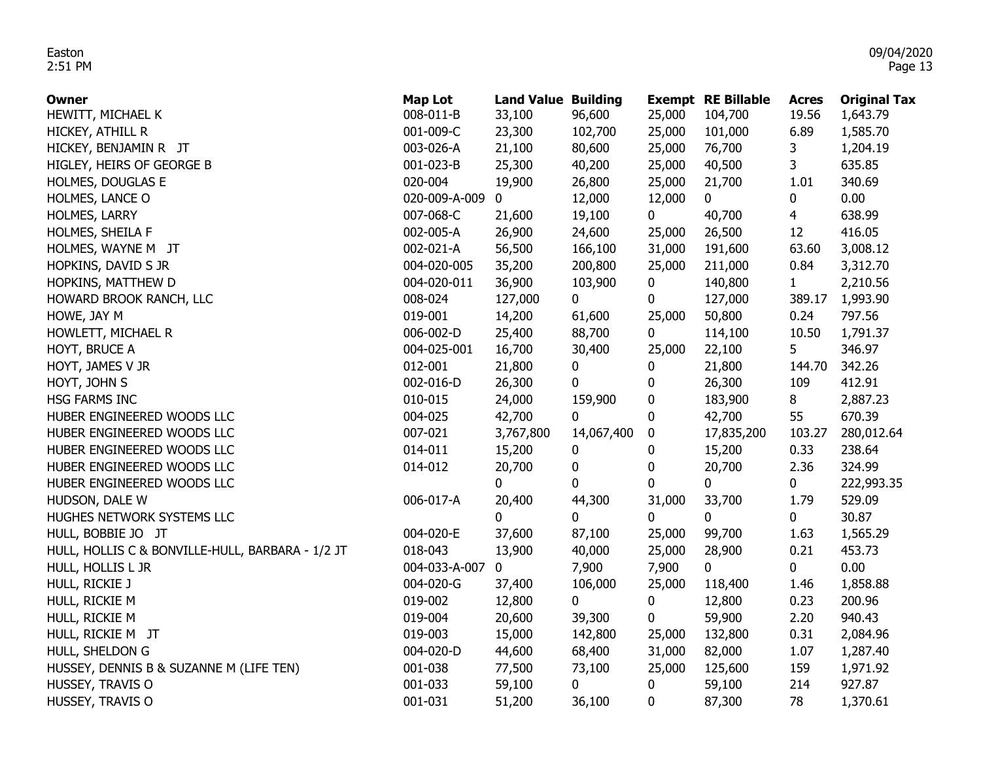| <b>Owner</b>                                     | <b>Map Lot</b> | <b>Land Value Building</b> |            |        | <b>Exempt RE Billable</b> | <b>Acres</b>   | <b>Original Tax</b> |
|--------------------------------------------------|----------------|----------------------------|------------|--------|---------------------------|----------------|---------------------|
| HEWITT, MICHAEL K                                | 008-011-B      | 33,100                     | 96,600     | 25,000 | 104,700                   | 19.56          | 1,643.79            |
| HICKEY, ATHILL R                                 | 001-009-C      | 23,300                     | 102,700    | 25,000 | 101,000                   | 6.89           | 1,585.70            |
| HICKEY, BENJAMIN R JT                            | 003-026-A      | 21,100                     | 80,600     | 25,000 | 76,700                    | 3              | 1,204.19            |
| HIGLEY, HEIRS OF GEORGE B                        | 001-023-B      | 25,300                     | 40,200     | 25,000 | 40,500                    | 3              | 635.85              |
| HOLMES, DOUGLAS E                                | 020-004        | 19,900                     | 26,800     | 25,000 | 21,700                    | 1.01           | 340.69              |
| HOLMES, LANCE O                                  | 020-009-A-009  | 0                          | 12,000     | 12,000 | $\mathbf{0}$              | 0              | 0.00                |
| HOLMES, LARRY                                    | 007-068-C      | 21,600                     | 19,100     | 0      | 40,700                    | $\overline{4}$ | 638.99              |
| HOLMES, SHEILA F                                 | 002-005-A      | 26,900                     | 24,600     | 25,000 | 26,500                    | 12             | 416.05              |
| HOLMES, WAYNE M JT                               | 002-021-A      | 56,500                     | 166,100    | 31,000 | 191,600                   | 63.60          | 3,008.12            |
| HOPKINS, DAVID S JR                              | 004-020-005    | 35,200                     | 200,800    | 25,000 | 211,000                   | 0.84           | 3,312.70            |
| HOPKINS, MATTHEW D                               | 004-020-011    | 36,900                     | 103,900    | 0      | 140,800                   | $\mathbf{1}$   | 2,210.56            |
| HOWARD BROOK RANCH, LLC                          | 008-024        | 127,000                    | 0          | 0      | 127,000                   | 389.17         | 1,993.90            |
| HOWE, JAY M                                      | 019-001        | 14,200                     | 61,600     | 25,000 | 50,800                    | 0.24           | 797.56              |
| HOWLETT, MICHAEL R                               | 006-002-D      | 25,400                     | 88,700     | 0      | 114,100                   | 10.50          | 1,791.37            |
| HOYT, BRUCE A                                    | 004-025-001    | 16,700                     | 30,400     | 25,000 | 22,100                    | 5              | 346.97              |
| HOYT, JAMES V JR                                 | 012-001        | 21,800                     | 0          | 0      | 21,800                    | 144.70         | 342.26              |
| HOYT, JOHN S                                     | 002-016-D      | 26,300                     | 0          | 0      | 26,300                    | 109            | 412.91              |
| HSG FARMS INC                                    | 010-015        | 24,000                     | 159,900    | 0      | 183,900                   | 8              | 2,887.23            |
| HUBER ENGINEERED WOODS LLC                       | 004-025        | 42,700                     | 0          | 0      | 42,700                    | 55             | 670.39              |
| HUBER ENGINEERED WOODS LLC                       | 007-021        | 3,767,800                  | 14,067,400 | 0      | 17,835,200                | 103.27         | 280,012.64          |
| HUBER ENGINEERED WOODS LLC                       | 014-011        | 15,200                     | 0          | 0      | 15,200                    | 0.33           | 238.64              |
| HUBER ENGINEERED WOODS LLC                       | 014-012        | 20,700                     | 0          | 0      | 20,700                    | 2.36           | 324.99              |
| HUBER ENGINEERED WOODS LLC                       |                | 0                          | 0          | 0      | 0                         | 0              | 222,993.35          |
| HUDSON, DALE W                                   | 006-017-A      | 20,400                     | 44,300     | 31,000 | 33,700                    | 1.79           | 529.09              |
| HUGHES NETWORK SYSTEMS LLC                       |                | 0                          | 0          | 0      | $\mathbf{0}$              | 0              | 30.87               |
| HULL, BOBBIE JO JT                               | 004-020-E      | 37,600                     | 87,100     | 25,000 | 99,700                    | 1.63           | 1,565.29            |
| HULL, HOLLIS C & BONVILLE-HULL, BARBARA - 1/2 JT | 018-043        | 13,900                     | 40,000     | 25,000 | 28,900                    | 0.21           | 453.73              |
| HULL, HOLLIS L JR                                | 004-033-A-007  | 0                          | 7,900      | 7,900  | 0                         | 0              | 0.00                |
| HULL, RICKIE J                                   | 004-020-G      | 37,400                     | 106,000    | 25,000 | 118,400                   | 1.46           | 1,858.88            |
| HULL, RICKIE M                                   | 019-002        | 12,800                     | 0          | 0      | 12,800                    | 0.23           | 200.96              |
| HULL, RICKIE M                                   | 019-004        | 20,600                     | 39,300     | 0      | 59,900                    | 2.20           | 940.43              |
| HULL, RICKIE M JT                                | 019-003        | 15,000                     | 142,800    | 25,000 | 132,800                   | 0.31           | 2,084.96            |
| HULL, SHELDON G                                  | 004-020-D      | 44,600                     | 68,400     | 31,000 | 82,000                    | 1.07           | 1,287.40            |
| HUSSEY, DENNIS B & SUZANNE M (LIFE TEN)          | 001-038        | 77,500                     | 73,100     | 25,000 | 125,600                   | 159            | 1,971.92            |
| HUSSEY, TRAVIS O                                 | 001-033        | 59,100                     | 0          | 0      | 59,100                    | 214            | 927.87              |
| HUSSEY, TRAVIS O                                 | 001-031        | 51,200                     | 36,100     | 0      | 87,300                    | 78             | 1,370.61            |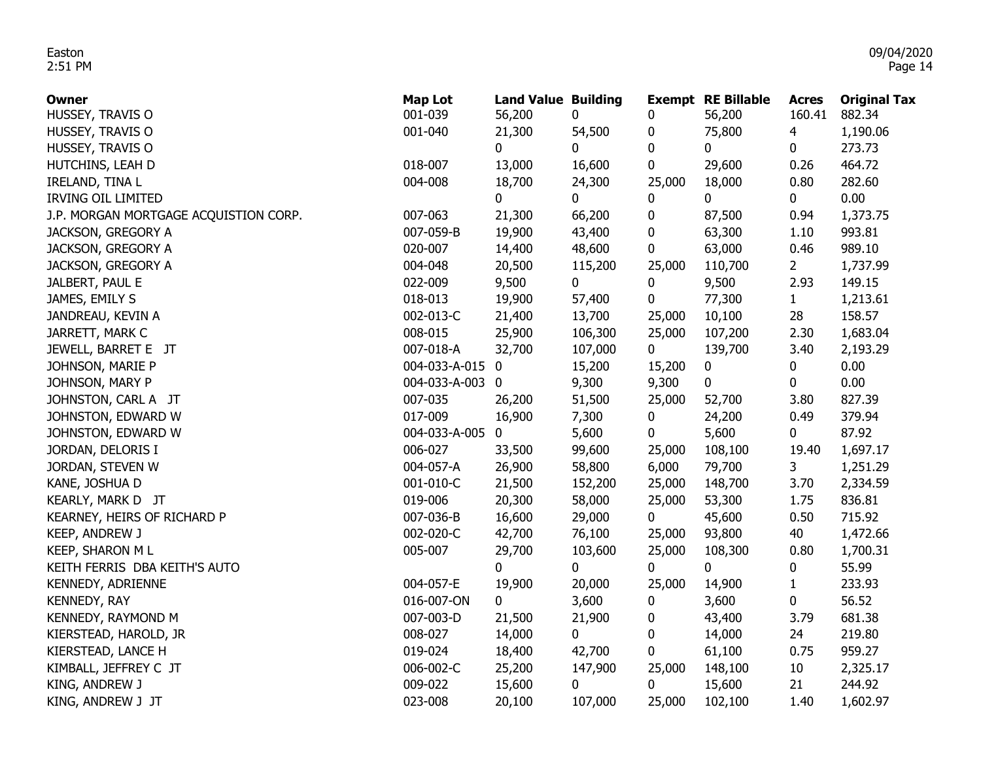| <b>Owner</b>                          | <b>Map Lot</b>  | <b>Land Value Building</b> |         |             | <b>Exempt RE Billable</b> | <b>Acres</b> | <b>Original Tax</b> |
|---------------------------------------|-----------------|----------------------------|---------|-------------|---------------------------|--------------|---------------------|
| HUSSEY, TRAVIS O                      | 001-039         | 56,200                     | 0       | 0           | 56,200                    | 160.41       | 882.34              |
| HUSSEY, TRAVIS O                      | 001-040         | 21,300                     | 54,500  | 0           | 75,800                    | 4            | 1,190.06            |
| HUSSEY, TRAVIS O                      |                 | 0                          | 0       | $\bf{0}$    | $\mathbf{0}$              | 0            | 273.73              |
| HUTCHINS, LEAH D                      | 018-007         | 13,000                     | 16,600  | 0           | 29,600                    | 0.26         | 464.72              |
| IRELAND, TINA L                       | 004-008         | 18,700                     | 24,300  | 25,000      | 18,000                    | 0.80         | 282.60              |
| <b>IRVING OIL LIMITED</b>             |                 | 0                          | 0       | 0           | $\mathbf 0$               | 0            | 0.00                |
| J.P. MORGAN MORTGAGE ACQUISTION CORP. | 007-063         | 21,300                     | 66,200  | 0           | 87,500                    | 0.94         | 1,373.75            |
| JACKSON, GREGORY A                    | 007-059-B       | 19,900                     | 43,400  | 0           | 63,300                    | 1.10         | 993.81              |
| JACKSON, GREGORY A                    | 020-007         | 14,400                     | 48,600  | 0           | 63,000                    | 0.46         | 989.10              |
| JACKSON, GREGORY A                    | 004-048         | 20,500                     | 115,200 | 25,000      | 110,700                   | $2^{\circ}$  | 1,737.99            |
| JALBERT, PAUL E                       | 022-009         | 9,500                      | 0       | 0           | 9,500                     | 2.93         | 149.15              |
| JAMES, EMILY S                        | 018-013         | 19,900                     | 57,400  | 0           | 77,300                    | $\mathbf{1}$ | 1,213.61            |
| JANDREAU, KEVIN A                     | 002-013-C       | 21,400                     | 13,700  | 25,000      | 10,100                    | 28           | 158.57              |
| JARRETT, MARK C                       | 008-015         | 25,900                     | 106,300 | 25,000      | 107,200                   | 2.30         | 1,683.04            |
| JEWELL, BARRET E JT                   | 007-018-A       | 32,700                     | 107,000 | 0           | 139,700                   | 3.40         | 2,193.29            |
| JOHNSON, MARIE P                      | 004-033-A-015 0 |                            | 15,200  | 15,200      | 0                         | 0            | 0.00                |
| JOHNSON, MARY P                       | 004-033-A-003 0 |                            | 9,300   | 9,300       | 0                         | 0            | 0.00                |
| JOHNSTON, CARL A JT                   | 007-035         | 26,200                     | 51,500  | 25,000      | 52,700                    | 3.80         | 827.39              |
| JOHNSTON, EDWARD W                    | 017-009         | 16,900                     | 7,300   | 0           | 24,200                    | 0.49         | 379.94              |
| JOHNSTON, EDWARD W                    | 004-033-A-005   | 0                          | 5,600   | 0           | 5,600                     | 0            | 87.92               |
| JORDAN, DELORIS I                     | 006-027         | 33,500                     | 99,600  | 25,000      | 108,100                   | 19.40        | 1,697.17            |
| JORDAN, STEVEN W                      | 004-057-A       | 26,900                     | 58,800  | 6,000       | 79,700                    | 3            | 1,251.29            |
| KANE, JOSHUA D                        | 001-010-C       | 21,500                     | 152,200 | 25,000      | 148,700                   | 3.70         | 2,334.59            |
| KEARLY, MARK D JT                     | 019-006         | 20,300                     | 58,000  | 25,000      | 53,300                    | 1.75         | 836.81              |
| KEARNEY, HEIRS OF RICHARD P           | 007-036-B       | 16,600                     | 29,000  | $\mathbf 0$ | 45,600                    | 0.50         | 715.92              |
| KEEP, ANDREW J                        | 002-020-C       | 42,700                     | 76,100  | 25,000      | 93,800                    | 40           | 1,472.66            |
| <b>KEEP, SHARON M L</b>               | 005-007         | 29,700                     | 103,600 | 25,000      | 108,300                   | 0.80         | 1,700.31            |
| KEITH FERRIS DBA KEITH'S AUTO         |                 | 0                          | 0       | 0           | 0                         | 0            | 55.99               |
| KENNEDY, ADRIENNE                     | 004-057-E       | 19,900                     | 20,000  | 25,000      | 14,900                    | 1            | 233.93              |
| KENNEDY, RAY                          | 016-007-ON      | 0                          | 3,600   | 0           | 3,600                     | 0            | 56.52               |
| KENNEDY, RAYMOND M                    | 007-003-D       | 21,500                     | 21,900  | 0           | 43,400                    | 3.79         | 681.38              |
| KIERSTEAD, HAROLD, JR                 | 008-027         | 14,000                     | 0       | 0           | 14,000                    | 24           | 219.80              |
| KIERSTEAD, LANCE H                    | 019-024         | 18,400                     | 42,700  | 0           | 61,100                    | 0.75         | 959.27              |
| KIMBALL, JEFFREY C JT                 | 006-002-C       | 25,200                     | 147,900 | 25,000      | 148,100                   | 10           | 2,325.17            |
| KING, ANDREW J                        | 009-022         | 15,600                     | 0       | 0           | 15,600                    | 21           | 244.92              |
| KING, ANDREW J JT                     | 023-008         | 20,100                     | 107,000 | 25,000      | 102,100                   | 1.40         | 1,602.97            |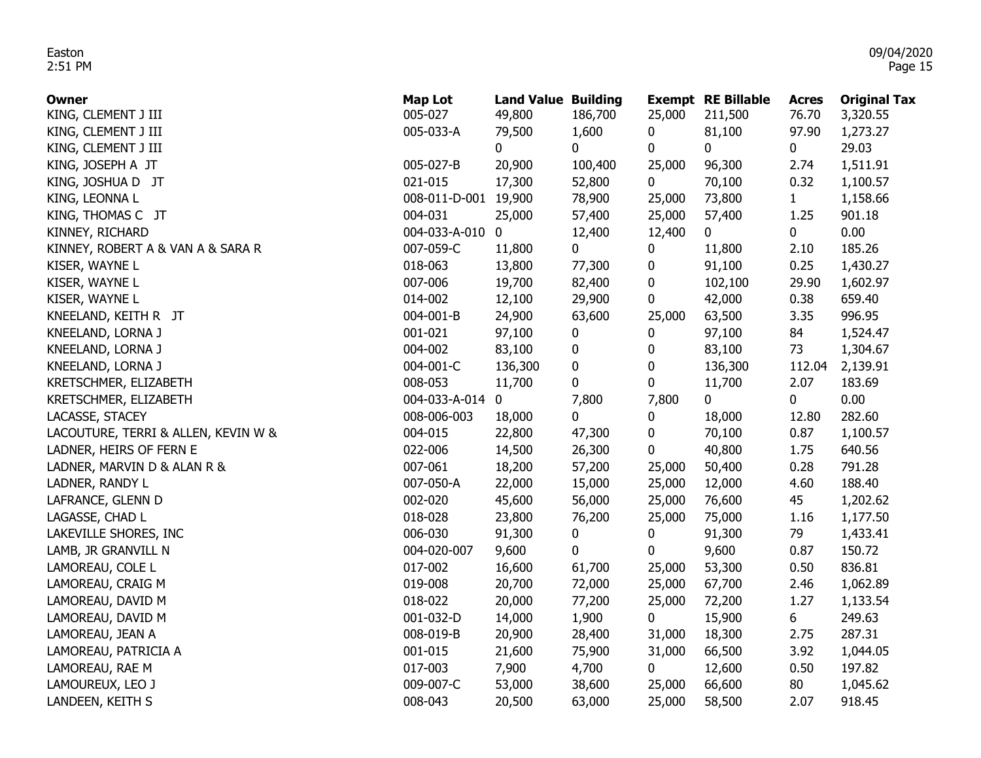| Owner                               | <b>Map Lot</b>  | <b>Land Value Building</b> |             |             | <b>Exempt RE Billable</b> | Acres  | <b>Original Tax</b> |
|-------------------------------------|-----------------|----------------------------|-------------|-------------|---------------------------|--------|---------------------|
| KING, CLEMENT J III                 | 005-027         | 49,800                     | 186,700     | 25,000      | 211,500                   | 76.70  | 3,320.55            |
| KING, CLEMENT J III                 | 005-033-A       | 79,500                     | 1,600       | $\bf{0}$    | 81,100                    | 97.90  | 1,273.27            |
| KING, CLEMENT J III                 |                 | $\mathbf 0$                | $\mathbf 0$ | $\bf{0}$    | $\mathbf 0$               | 0      | 29.03               |
| KING, JOSEPH A JT                   | 005-027-B       | 20,900                     | 100,400     | 25,000      | 96,300                    | 2.74   | 1,511.91            |
| KING, JOSHUA D JT                   | 021-015         | 17,300                     | 52,800      | $\mathbf 0$ | 70,100                    | 0.32   | 1,100.57            |
| KING, LEONNA L                      | 008-011-D-001   | 19,900                     | 78,900      | 25,000      | 73,800                    | 1      | 1,158.66            |
| KING, THOMAS C JT                   | 004-031         | 25,000                     | 57,400      | 25,000      | 57,400                    | 1.25   | 901.18              |
| KINNEY, RICHARD                     | 004-033-A-010 0 |                            | 12,400      | 12,400      | $\mathbf{0}$              | 0      | 0.00                |
| KINNEY, ROBERT A & VAN A & SARA R   | 007-059-C       | 11,800                     | 0           | 0           | 11,800                    | 2.10   | 185.26              |
| KISER, WAYNE L                      | 018-063         | 13,800                     | 77,300      | 0           | 91,100                    | 0.25   | 1,430.27            |
| KISER, WAYNE L                      | 007-006         | 19,700                     | 82,400      | 0           | 102,100                   | 29.90  | 1,602.97            |
| KISER, WAYNE L                      | 014-002         | 12,100                     | 29,900      | 0           | 42,000                    | 0.38   | 659.40              |
| KNEELAND, KEITH R JT                | 004-001-B       | 24,900                     | 63,600      | 25,000      | 63,500                    | 3.35   | 996.95              |
| KNEELAND, LORNA J                   | 001-021         | 97,100                     | 0           | 0           | 97,100                    | 84     | 1,524.47            |
| KNEELAND, LORNA J                   | 004-002         | 83,100                     | 0           | 0           | 83,100                    | 73     | 1,304.67            |
| KNEELAND, LORNA J                   | 004-001-C       | 136,300                    | 0           | $\bf{0}$    | 136,300                   | 112.04 | 2,139.91            |
| KRETSCHMER, ELIZABETH               | 008-053         | 11,700                     | $\bf{0}$    | 0           | 11,700                    | 2.07   | 183.69              |
| KRETSCHMER, ELIZABETH               | 004-033-A-014   | $\boldsymbol{0}$           | 7,800       | 7,800       | 0                         | 0      | 0.00                |
| LACASSE, STACEY                     | 008-006-003     | 18,000                     | 0           | $\bf{0}$    | 18,000                    | 12.80  | 282.60              |
| LACOUTURE, TERRI & ALLEN, KEVIN W & | 004-015         | 22,800                     | 47,300      | 0           | 70,100                    | 0.87   | 1,100.57            |
| LADNER, HEIRS OF FERN E             | 022-006         | 14,500                     | 26,300      | 0           | 40,800                    | 1.75   | 640.56              |
| LADNER, MARVIN D & ALAN R &         | 007-061         | 18,200                     | 57,200      | 25,000      | 50,400                    | 0.28   | 791.28              |
| LADNER, RANDY L                     | 007-050-A       | 22,000                     | 15,000      | 25,000      | 12,000                    | 4.60   | 188.40              |
| LAFRANCE, GLENN D                   | 002-020         | 45,600                     | 56,000      | 25,000      | 76,600                    | 45     | 1,202.62            |
| LAGASSE, CHAD L                     | 018-028         | 23,800                     | 76,200      | 25,000      | 75,000                    | 1.16   | 1,177.50            |
| LAKEVILLE SHORES, INC               | 006-030         | 91,300                     | 0           | 0           | 91,300                    | 79     | 1,433.41            |
| LAMB, JR GRANVILL N                 | 004-020-007     | 9,600                      | 0           | 0           | 9,600                     | 0.87   | 150.72              |
| LAMOREAU, COLE L                    | 017-002         | 16,600                     | 61,700      | 25,000      | 53,300                    | 0.50   | 836.81              |
| LAMOREAU, CRAIG M                   | 019-008         | 20,700                     | 72,000      | 25,000      | 67,700                    | 2.46   | 1,062.89            |
| LAMOREAU, DAVID M                   | 018-022         | 20,000                     | 77,200      | 25,000      | 72,200                    | 1.27   | 1,133.54            |
| LAMOREAU, DAVID M                   | 001-032-D       | 14,000                     | 1,900       | $\bf{0}$    | 15,900                    | 6      | 249.63              |
| LAMOREAU, JEAN A                    | 008-019-B       | 20,900                     | 28,400      | 31,000      | 18,300                    | 2.75   | 287.31              |
| LAMOREAU, PATRICIA A                | 001-015         | 21,600                     | 75,900      | 31,000      | 66,500                    | 3.92   | 1,044.05            |
| LAMOREAU, RAE M                     | 017-003         | 7,900                      | 4,700       | $\bf{0}$    | 12,600                    | 0.50   | 197.82              |
| LAMOUREUX, LEO J                    | 009-007-C       | 53,000                     | 38,600      | 25,000      | 66,600                    | 80     | 1,045.62            |
| LANDEEN, KEITH S                    | 008-043         | 20,500                     | 63,000      | 25,000      | 58,500                    | 2.07   | 918.45              |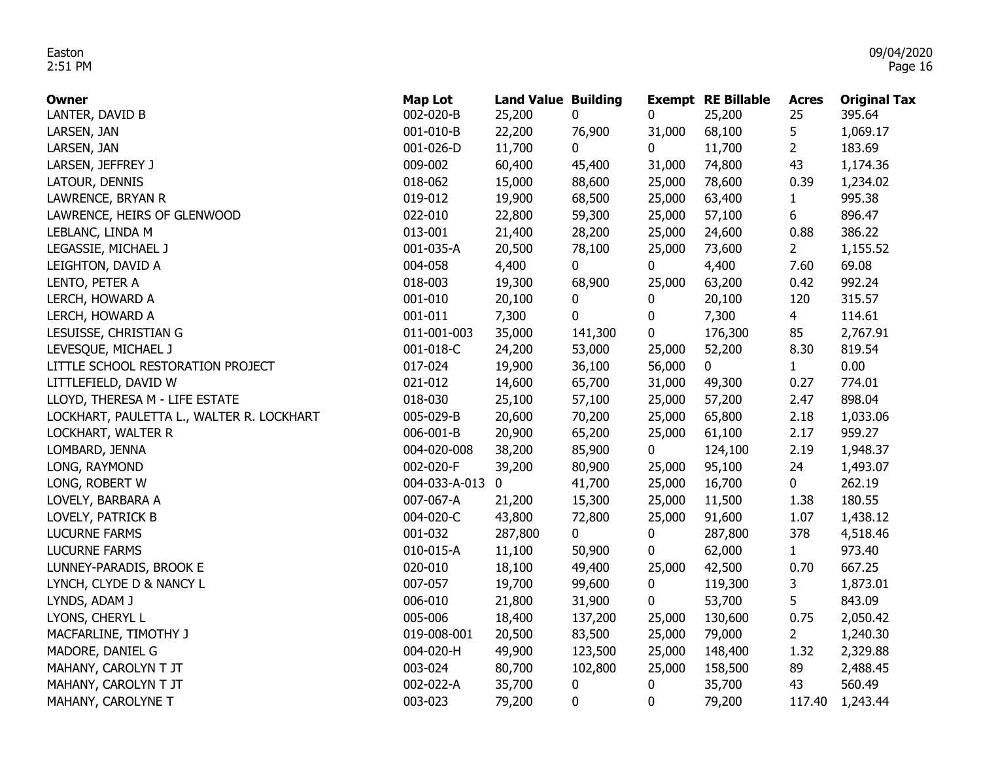| <b>Owner</b>                              | <b>Map Lot</b> | <b>Land Value Building</b> |             |             | <b>Exempt RE Billable</b> | <b>Acres</b>   | <b>Original Tax</b> |
|-------------------------------------------|----------------|----------------------------|-------------|-------------|---------------------------|----------------|---------------------|
| LANTER, DAVID B                           | 002-020-B      | 25,200                     | 0           | 0           | 25,200                    | 25             | 395.64              |
| LARSEN, JAN                               | 001-010-B      | 22,200                     | 76,900      | 31,000      | 68,100                    | 5              | 1,069.17            |
| LARSEN, JAN                               | 001-026-D      | 11,700                     | $\mathbf 0$ | $\mathbf 0$ | 11,700                    | $\overline{2}$ | 183.69              |
| LARSEN, JEFFREY J                         | 009-002        | 60,400                     | 45,400      | 31,000      | 74,800                    | 43             | 1,174.36            |
| LATOUR, DENNIS                            | 018-062        | 15,000                     | 88,600      | 25,000      | 78,600                    | 0.39           | 1,234.02            |
| LAWRENCE, BRYAN R                         | 019-012        | 19,900                     | 68,500      | 25,000      | 63,400                    | $\mathbf{1}$   | 995.38              |
| LAWRENCE, HEIRS OF GLENWOOD               | 022-010        | 22,800                     | 59,300      | 25,000      | 57,100                    | 6              | 896.47              |
| LEBLANC, LINDA M                          | 013-001        | 21,400                     | 28,200      | 25,000      | 24,600                    | 0.88           | 386.22              |
| LEGASSIE, MICHAEL J                       | 001-035-A      | 20,500                     | 78,100      | 25,000      | 73,600                    | $2^{\circ}$    | 1,155.52            |
| LEIGHTON, DAVID A                         | 004-058        | 4,400                      | 0           | 0           | 4,400                     | 7.60           | 69.08               |
| LENTO, PETER A                            | 018-003        | 19,300                     | 68,900      | 25,000      | 63,200                    | 0.42           | 992.24              |
| LERCH, HOWARD A                           | 001-010        | 20,100                     | 0           | 0           | 20,100                    | 120            | 315.57              |
| LERCH, HOWARD A                           | 001-011        | 7,300                      | $\mathbf 0$ | $\bf{0}$    | 7,300                     | $\overline{4}$ | 114.61              |
| LESUISSE, CHRISTIAN G                     | 011-001-003    | 35,000                     | 141,300     | 0           | 176,300                   | 85             | 2,767.91            |
| LEVESQUE, MICHAEL J                       | 001-018-C      | 24,200                     | 53,000      | 25,000      | 52,200                    | 8.30           | 819.54              |
| LITTLE SCHOOL RESTORATION PROJECT         | 017-024        | 19,900                     | 36,100      | 56,000      | 0                         | 1              | 0.00                |
| LITTLEFIELD, DAVID W                      | 021-012        | 14,600                     | 65,700      | 31,000      | 49,300                    | 0.27           | 774.01              |
| LLOYD, THERESA M - LIFE ESTATE            | 018-030        | 25,100                     | 57,100      | 25,000      | 57,200                    | 2.47           | 898.04              |
| LOCKHART, PAULETTA L., WALTER R. LOCKHART | 005-029-B      | 20,600                     | 70,200      | 25,000      | 65,800                    | 2.18           | 1,033.06            |
| LOCKHART, WALTER R                        | 006-001-B      | 20,900                     | 65,200      | 25,000      | 61,100                    | 2.17           | 959.27              |
| LOMBARD, JENNA                            | 004-020-008    | 38,200                     | 85,900      | $\mathbf 0$ | 124,100                   | 2.19           | 1,948.37            |
| LONG, RAYMOND                             | 002-020-F      | 39,200                     | 80,900      | 25,000      | 95,100                    | 24             | 1,493.07            |
| LONG, ROBERT W                            | 004-033-A-013  | $\mathbf 0$                | 41,700      | 25,000      | 16,700                    | $\mathbf 0$    | 262.19              |
| LOVELY, BARBARA A                         | 007-067-A      | 21,200                     | 15,300      | 25,000      | 11,500                    | 1.38           | 180.55              |
| LOVELY, PATRICK B                         | 004-020-C      | 43,800                     | 72,800      | 25,000      | 91,600                    | 1.07           | 1,438.12            |
| <b>LUCURNE FARMS</b>                      | 001-032        | 287,800                    | 0           | 0           | 287,800                   | 378            | 4,518.46            |
| <b>LUCURNE FARMS</b>                      | 010-015-A      | 11,100                     | 50,900      | 0           | 62,000                    | 1              | 973.40              |
| LUNNEY-PARADIS, BROOK E                   | 020-010        | 18,100                     | 49,400      | 25,000      | 42,500                    | 0.70           | 667.25              |
| LYNCH, CLYDE D & NANCY L                  | 007-057        | 19,700                     | 99,600      | 0           | 119,300                   | 3              | 1,873.01            |
| LYNDS, ADAM J                             | 006-010        | 21,800                     | 31,900      | 0           | 53,700                    | 5              | 843.09              |
| LYONS, CHERYL L                           | 005-006        | 18,400                     | 137,200     | 25,000      | 130,600                   | 0.75           | 2,050.42            |
| MACFARLINE, TIMOTHY J                     | 019-008-001    | 20,500                     | 83,500      | 25,000      | 79,000                    | $\overline{2}$ | 1,240.30            |
| MADORE, DANIEL G                          | 004-020-H      | 49,900                     | 123,500     | 25,000      | 148,400                   | 1.32           | 2,329.88            |
| MAHANY, CAROLYN T JT                      | 003-024        | 80,700                     | 102,800     | 25,000      | 158,500                   | 89             | 2,488.45            |
| MAHANY, CAROLYN T JT                      | 002-022-A      | 35,700                     | 0           | 0           | 35,700                    | 43             | 560.49              |
| MAHANY, CAROLYNE T                        | 003-023        | 79,200                     | $\mathbf 0$ | $\bf{0}$    | 79,200                    | 117.40         | 1,243.44            |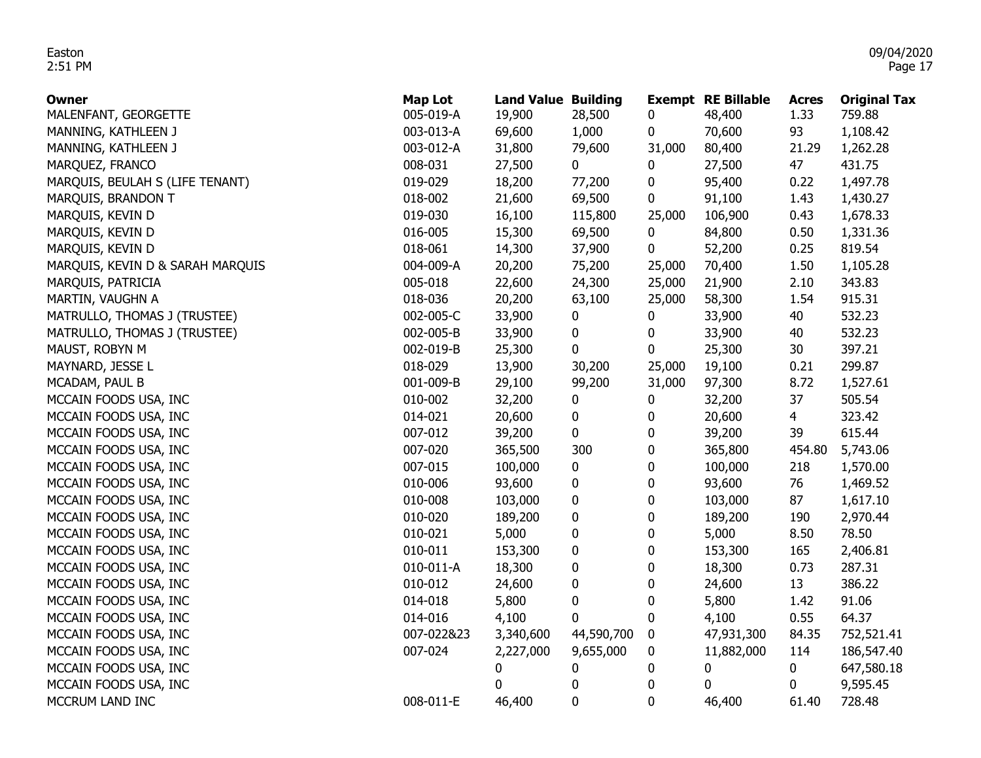| Owner                            | <b>Map Lot</b> | <b>Land Value Building</b> |            |        | <b>Exempt RE Billable</b> | <b>Acres</b> | <b>Original Tax</b> |
|----------------------------------|----------------|----------------------------|------------|--------|---------------------------|--------------|---------------------|
| MALENFANT, GEORGETTE             | 005-019-A      | 19,900                     | 28,500     | 0      | 48,400                    | 1.33         | 759.88              |
| MANNING, KATHLEEN J              | 003-013-A      | 69,600                     | 1,000      | 0      | 70,600                    | 93           | 1,108.42            |
| MANNING, KATHLEEN J              | 003-012-A      | 31,800                     | 79,600     | 31,000 | 80,400                    | 21.29        | 1,262.28            |
| MARQUEZ, FRANCO                  | 008-031        | 27,500                     | 0          | 0      | 27,500                    | 47           | 431.75              |
| MARQUIS, BEULAH S (LIFE TENANT)  | 019-029        | 18,200                     | 77,200     | 0      | 95,400                    | 0.22         | 1,497.78            |
| MARQUIS, BRANDON T               | 018-002        | 21,600                     | 69,500     | 0      | 91,100                    | 1.43         | 1,430.27            |
| MARQUIS, KEVIN D                 | 019-030        | 16,100                     | 115,800    | 25,000 | 106,900                   | 0.43         | 1,678.33            |
| MARQUIS, KEVIN D                 | 016-005        | 15,300                     | 69,500     | 0      | 84,800                    | 0.50         | 1,331.36            |
| MARQUIS, KEVIN D                 | 018-061        | 14,300                     | 37,900     | 0      | 52,200                    | 0.25         | 819.54              |
| MARQUIS, KEVIN D & SARAH MARQUIS | 004-009-A      | 20,200                     | 75,200     | 25,000 | 70,400                    | 1.50         | 1,105.28            |
| MARQUIS, PATRICIA                | 005-018        | 22,600                     | 24,300     | 25,000 | 21,900                    | 2.10         | 343.83              |
| MARTIN, VAUGHN A                 | 018-036        | 20,200                     | 63,100     | 25,000 | 58,300                    | 1.54         | 915.31              |
| MATRULLO, THOMAS J (TRUSTEE)     | 002-005-C      | 33,900                     | 0          | 0      | 33,900                    | 40           | 532.23              |
| MATRULLO, THOMAS J (TRUSTEE)     | 002-005-B      | 33,900                     | 0          | 0      | 33,900                    | 40           | 532.23              |
| MAUST, ROBYN M                   | 002-019-B      | 25,300                     | 0          | 0      | 25,300                    | 30           | 397.21              |
| MAYNARD, JESSE L                 | 018-029        | 13,900                     | 30,200     | 25,000 | 19,100                    | 0.21         | 299.87              |
| MCADAM, PAUL B                   | 001-009-B      | 29,100                     | 99,200     | 31,000 | 97,300                    | 8.72         | 1,527.61            |
| MCCAIN FOODS USA, INC            | 010-002        | 32,200                     | 0          | 0      | 32,200                    | 37           | 505.54              |
| MCCAIN FOODS USA, INC            | 014-021        | 20,600                     | 0          | 0      | 20,600                    | 4            | 323.42              |
| MCCAIN FOODS USA, INC            | 007-012        | 39,200                     | 0          | 0      | 39,200                    | 39           | 615.44              |
| MCCAIN FOODS USA, INC            | 007-020        | 365,500                    | 300        | 0      | 365,800                   | 454.80       | 5,743.06            |
| MCCAIN FOODS USA, INC            | 007-015        | 100,000                    | 0          | 0      | 100,000                   | 218          | 1,570.00            |
| MCCAIN FOODS USA, INC            | 010-006        | 93,600                     | 0          | 0      | 93,600                    | 76           | 1,469.52            |
| MCCAIN FOODS USA, INC            | 010-008        | 103,000                    | 0          | 0      | 103,000                   | 87           | 1,617.10            |
| MCCAIN FOODS USA, INC            | 010-020        | 189,200                    | 0          | 0      | 189,200                   | 190          | 2,970.44            |
| MCCAIN FOODS USA, INC            | 010-021        | 5,000                      | 0          | 0      | 5,000                     | 8.50         | 78.50               |
| MCCAIN FOODS USA, INC            | 010-011        | 153,300                    | 0          | 0      | 153,300                   | 165          | 2,406.81            |
| MCCAIN FOODS USA, INC            | 010-011-A      | 18,300                     | 0          | 0      | 18,300                    | 0.73         | 287.31              |
| MCCAIN FOODS USA, INC            | 010-012        | 24,600                     | 0          | 0      | 24,600                    | 13           | 386.22              |
| MCCAIN FOODS USA, INC            | 014-018        | 5,800                      | 0          | 0      | 5,800                     | 1.42         | 91.06               |
| MCCAIN FOODS USA, INC            | 014-016        | 4,100                      | 0          | 0      | 4,100                     | 0.55         | 64.37               |
| MCCAIN FOODS USA, INC            | 007-022&23     | 3,340,600                  | 44,590,700 | 0      | 47,931,300                | 84.35        | 752,521.41          |
| MCCAIN FOODS USA, INC            | 007-024        | 2,227,000                  | 9,655,000  | 0      | 11,882,000                | 114          | 186,547.40          |
| MCCAIN FOODS USA, INC            |                | 0                          | 0          | 0      | 0                         | 0            | 647,580.18          |
| MCCAIN FOODS USA, INC            |                | 0                          | 0          | 0      | 0                         | 0            | 9,595.45            |
| MCCRUM LAND INC                  | 008-011-E      | 46,400                     | 0          | 0      | 46,400                    | 61.40        | 728.48              |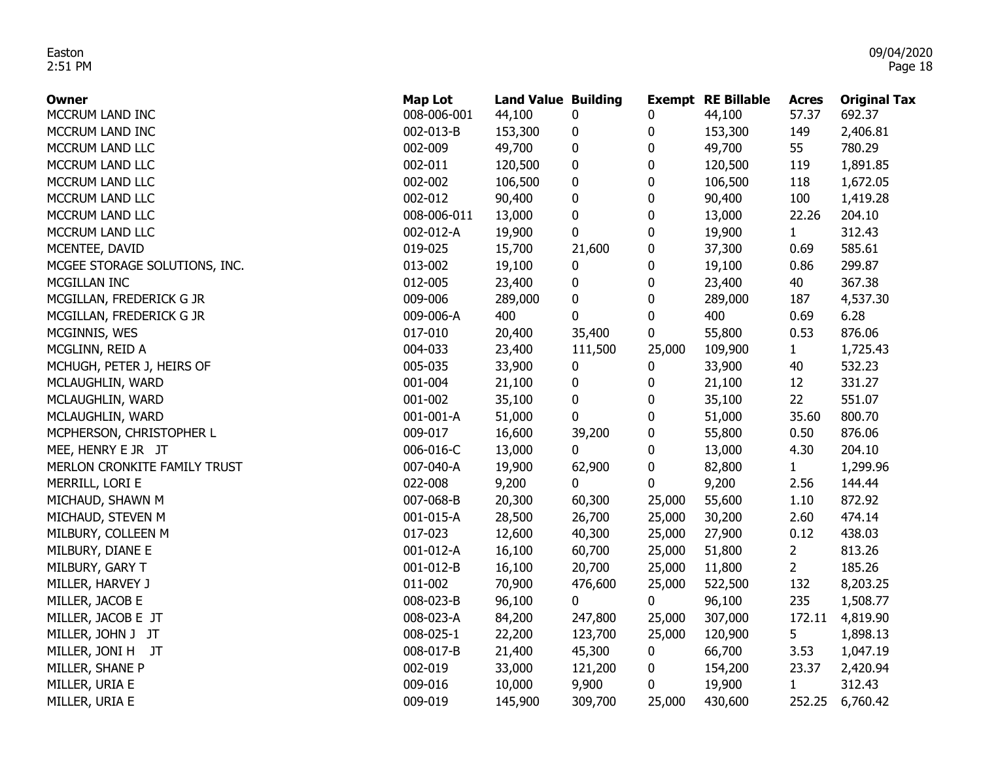| Owner                         | <b>Map Lot</b> | <b>Land Value Building</b> |           |             | <b>Exempt RE Billable</b> | <b>Acres</b>   | <b>Original Tax</b> |
|-------------------------------|----------------|----------------------------|-----------|-------------|---------------------------|----------------|---------------------|
| MCCRUM LAND INC               | 008-006-001    | 44,100                     | 0         | 0           | 44,100                    | 57.37          | 692.37              |
| MCCRUM LAND INC               | 002-013-B      | 153,300                    | 0         | 0           | 153,300                   | 149            | 2,406.81            |
| MCCRUM LAND LLC               | 002-009        | 49,700                     | $\pmb{0}$ | $\pmb{0}$   | 49,700                    | 55             | 780.29              |
| MCCRUM LAND LLC               | 002-011        | 120,500                    | 0         | $\pmb{0}$   | 120,500                   | 119            | 1,891.85            |
| MCCRUM LAND LLC               | 002-002        | 106,500                    | 0         | 0           | 106,500                   | 118            | 1,672.05            |
| MCCRUM LAND LLC               | 002-012        | 90,400                     | 0         | 0           | 90,400                    | 100            | 1,419.28            |
| MCCRUM LAND LLC               | 008-006-011    | 13,000                     | $\pmb{0}$ | $\pmb{0}$   | 13,000                    | 22.26          | 204.10              |
| MCCRUM LAND LLC               | 002-012-A      | 19,900                     | 0         | $\mathbf 0$ | 19,900                    | $\mathbf{1}$   | 312.43              |
| MCENTEE, DAVID                | 019-025        | 15,700                     | 21,600    | 0           | 37,300                    | 0.69           | 585.61              |
| MCGEE STORAGE SOLUTIONS, INC. | 013-002        | 19,100                     | 0         | 0           | 19,100                    | 0.86           | 299.87              |
| MCGILLAN INC                  | 012-005        | 23,400                     | $\pmb{0}$ | $\pmb{0}$   | 23,400                    | 40             | 367.38              |
| MCGILLAN, FREDERICK G JR      | 009-006        | 289,000                    | 0         | $\bf{0}$    | 289,000                   | 187            | 4,537.30            |
| MCGILLAN, FREDERICK G JR      | 009-006-A      | 400                        | 0         | $\bf{0}$    | 400                       | 0.69           | 6.28                |
| MCGINNIS, WES                 | 017-010        | 20,400                     | 35,400    | 0           | 55,800                    | 0.53           | 876.06              |
| MCGLINN, REID A               | 004-033        | 23,400                     | 111,500   | 25,000      | 109,900                   | $\mathbf{1}$   | 1,725.43            |
| MCHUGH, PETER J, HEIRS OF     | 005-035        | 33,900                     | 0         | 0           | 33,900                    | 40             | 532.23              |
| MCLAUGHLIN, WARD              | 001-004        | 21,100                     | 0         | 0           | 21,100                    | 12             | 331.27              |
| MCLAUGHLIN, WARD              | 001-002        | 35,100                     | $\pmb{0}$ | $\pmb{0}$   | 35,100                    | 22             | 551.07              |
| MCLAUGHLIN, WARD              | 001-001-A      | 51,000                     | 0         | $\mathbf 0$ | 51,000                    | 35.60          | 800.70              |
| MCPHERSON, CHRISTOPHER L      | 009-017        | 16,600                     | 39,200    | 0           | 55,800                    | 0.50           | 876.06              |
| MEE, HENRY E JR JT            | 006-016-C      | 13,000                     | 0         | 0           | 13,000                    | 4.30           | 204.10              |
| MERLON CRONKITE FAMILY TRUST  | 007-040-A      | 19,900                     | 62,900    | 0           | 82,800                    | 1              | 1,299.96            |
| MERRILL, LORI E               | 022-008        | 9,200                      | 0         | 0           | 9,200                     | 2.56           | 144.44              |
| MICHAUD, SHAWN M              | 007-068-B      | 20,300                     | 60,300    | 25,000      | 55,600                    | 1.10           | 872.92              |
| MICHAUD, STEVEN M             | 001-015-A      | 28,500                     | 26,700    | 25,000      | 30,200                    | 2.60           | 474.14              |
| MILBURY, COLLEEN M            | 017-023        | 12,600                     | 40,300    | 25,000      | 27,900                    | 0.12           | 438.03              |
| MILBURY, DIANE E              | 001-012-A      | 16,100                     | 60,700    | 25,000      | 51,800                    | $\overline{2}$ | 813.26              |
| MILBURY, GARY T               | 001-012-B      | 16,100                     | 20,700    | 25,000      | 11,800                    | $\overline{2}$ | 185.26              |
| MILLER, HARVEY J              | 011-002        | 70,900                     | 476,600   | 25,000      | 522,500                   | 132            | 8,203.25            |
| MILLER, JACOB E               | 008-023-B      | 96,100                     | 0         | 0           | 96,100                    | 235            | 1,508.77            |
| MILLER, JACOB E JT            | 008-023-A      | 84,200                     | 247,800   | 25,000      | 307,000                   | 172.11         | 4,819.90            |
| MILLER, JOHN J JT             | 008-025-1      | 22,200                     | 123,700   | 25,000      | 120,900                   | 5              | 1,898.13            |
| MILLER, JONI H JT             | 008-017-B      | 21,400                     | 45,300    | 0           | 66,700                    | 3.53           | 1,047.19            |
| MILLER, SHANE P               | 002-019        | 33,000                     | 121,200   | 0           | 154,200                   | 23.37          | 2,420.94            |
| MILLER, URIA E                | 009-016        | 10,000                     | 9,900     | 0           | 19,900                    | $\mathbf{1}$   | 312.43              |
| MILLER, URIA E                | 009-019        | 145,900                    | 309,700   | 25,000      | 430,600                   | 252.25         | 6,760.42            |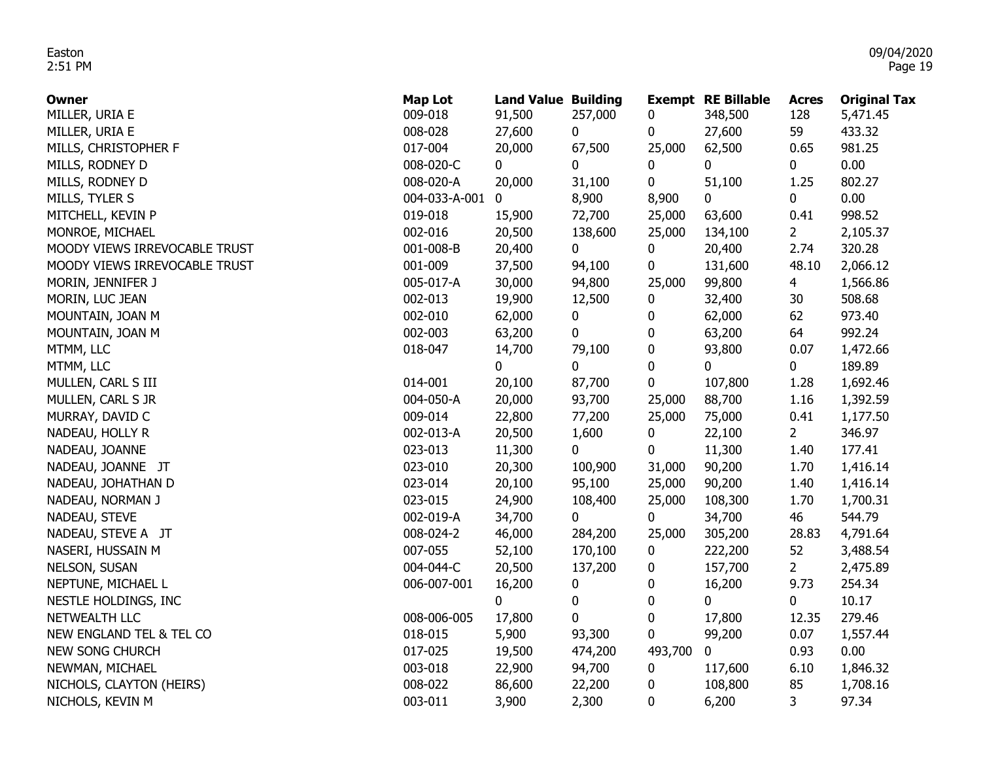| <b>Owner</b>                  | <b>Map Lot</b> | <b>Land Value Building</b> |         |         | <b>Exempt RE Billable</b> | <b>Acres</b> | <b>Original Tax</b> |
|-------------------------------|----------------|----------------------------|---------|---------|---------------------------|--------------|---------------------|
| MILLER, URIA E                | 009-018        | 91,500                     | 257,000 | 0       | 348,500                   | 128          | 5,471.45            |
| MILLER, URIA E                | 008-028        | 27,600                     | 0       | 0       | 27,600                    | 59           | 433.32              |
| MILLS, CHRISTOPHER F          | 017-004        | 20,000                     | 67,500  | 25,000  | 62,500                    | 0.65         | 981.25              |
| MILLS, RODNEY D               | 008-020-C      | 0                          | 0       | 0       | 0                         | 0            | 0.00                |
| MILLS, RODNEY D               | 008-020-A      | 20,000                     | 31,100  | 0       | 51,100                    | 1.25         | 802.27              |
| MILLS, TYLER S                | 004-033-A-001  | 0                          | 8,900   | 8,900   | 0                         | 0            | 0.00                |
| MITCHELL, KEVIN P             | 019-018        | 15,900                     | 72,700  | 25,000  | 63,600                    | 0.41         | 998.52              |
| MONROE, MICHAEL               | 002-016        | 20,500                     | 138,600 | 25,000  | 134,100                   | $\mathbf{2}$ | 2,105.37            |
| MOODY VIEWS IRREVOCABLE TRUST | 001-008-B      | 20,400                     | 0       | 0       | 20,400                    | 2.74         | 320.28              |
| MOODY VIEWS IRREVOCABLE TRUST | 001-009        | 37,500                     | 94,100  | 0       | 131,600                   | 48.10        | 2,066.12            |
| MORIN, JENNIFER J             | 005-017-A      | 30,000                     | 94,800  | 25,000  | 99,800                    | 4            | 1,566.86            |
| MORIN, LUC JEAN               | 002-013        | 19,900                     | 12,500  | 0       | 32,400                    | 30           | 508.68              |
| MOUNTAIN, JOAN M              | 002-010        | 62,000                     | 0       | 0       | 62,000                    | 62           | 973.40              |
| MOUNTAIN, JOAN M              | 002-003        | 63,200                     | 0       | 0       | 63,200                    | 64           | 992.24              |
| MTMM, LLC                     | 018-047        | 14,700                     | 79,100  | 0       | 93,800                    | 0.07         | 1,472.66            |
| MTMM, LLC                     |                | 0                          | 0       | 0       | 0                         | 0            | 189.89              |
| MULLEN, CARL S III            | 014-001        | 20,100                     | 87,700  | 0       | 107,800                   | 1.28         | 1,692.46            |
| MULLEN, CARL S JR             | 004-050-A      | 20,000                     | 93,700  | 25,000  | 88,700                    | 1.16         | 1,392.59            |
| MURRAY, DAVID C               | 009-014        | 22,800                     | 77,200  | 25,000  | 75,000                    | 0.41         | 1,177.50            |
| NADEAU, HOLLY R               | 002-013-A      | 20,500                     | 1,600   | 0       | 22,100                    | $2^{\circ}$  | 346.97              |
| NADEAU, JOANNE                | 023-013        | 11,300                     | 0       | 0       | 11,300                    | 1.40         | 177.41              |
| NADEAU, JOANNE JT             | 023-010        | 20,300                     | 100,900 | 31,000  | 90,200                    | 1.70         | 1,416.14            |
| NADEAU, JOHATHAN D            | 023-014        | 20,100                     | 95,100  | 25,000  | 90,200                    | 1.40         | 1,416.14            |
| NADEAU, NORMAN J              | 023-015        | 24,900                     | 108,400 | 25,000  | 108,300                   | 1.70         | 1,700.31            |
| NADEAU, STEVE                 | 002-019-A      | 34,700                     | 0       | 0       | 34,700                    | 46           | 544.79              |
| NADEAU, STEVE A JT            | 008-024-2      | 46,000                     | 284,200 | 25,000  | 305,200                   | 28.83        | 4,791.64            |
| NASERI, HUSSAIN M             | 007-055        | 52,100                     | 170,100 | 0       | 222,200                   | 52           | 3,488.54            |
| NELSON, SUSAN                 | 004-044-C      | 20,500                     | 137,200 | 0       | 157,700                   | 2            | 2,475.89            |
| NEPTUNE, MICHAEL L            | 006-007-001    | 16,200                     | 0       | 0       | 16,200                    | 9.73         | 254.34              |
| NESTLE HOLDINGS, INC          |                | 0                          | 0       | 0       | 0                         | 0            | 10.17               |
| NETWEALTH LLC                 | 008-006-005    | 17,800                     | 0       | 0       | 17,800                    | 12.35        | 279.46              |
| NEW ENGLAND TEL & TEL CO      | 018-015        | 5,900                      | 93,300  | 0       | 99,200                    | 0.07         | 1,557.44            |
| NEW SONG CHURCH               | 017-025        | 19,500                     | 474,200 | 493,700 | 0                         | 0.93         | 0.00                |
| NEWMAN, MICHAEL               | 003-018        | 22,900                     | 94,700  | 0       | 117,600                   | 6.10         | 1,846.32            |
| NICHOLS, CLAYTON (HEIRS)      | 008-022        | 86,600                     | 22,200  | 0       | 108,800                   | 85           | 1,708.16            |
| NICHOLS, KEVIN M              | 003-011        | 3,900                      | 2,300   | 0       | 6,200                     | 3            | 97.34               |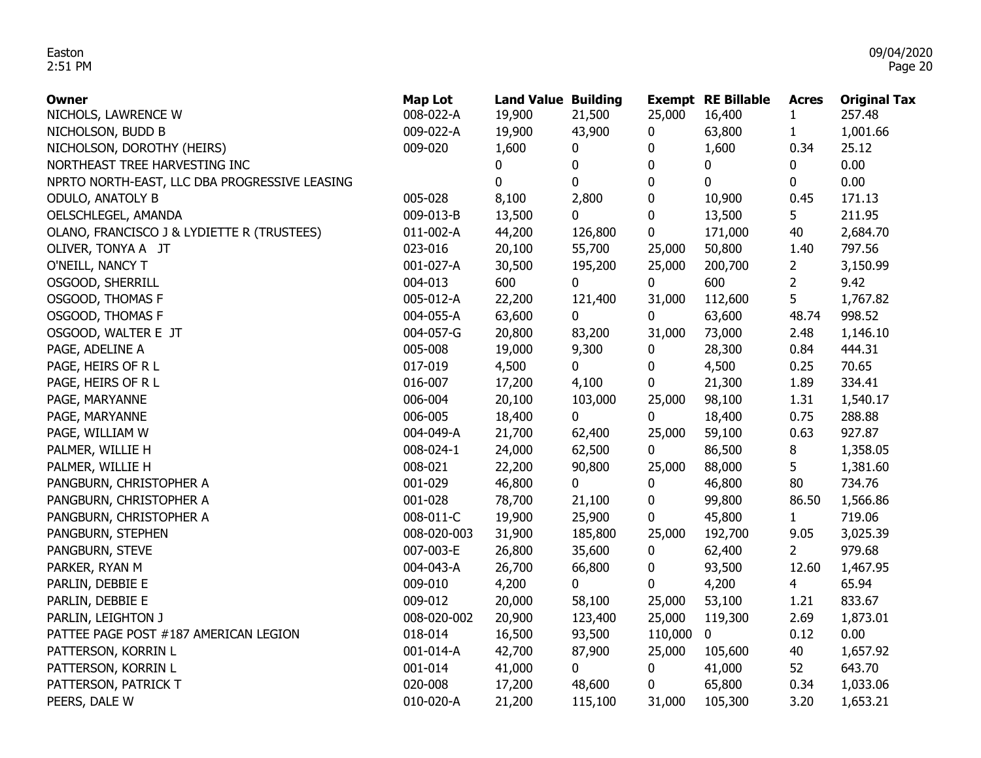| <b>Owner</b>                                  | <b>Map Lot</b> | <b>Land Value Building</b> |         |         | <b>Exempt RE Billable</b> | <b>Acres</b>   | <b>Original Tax</b> |
|-----------------------------------------------|----------------|----------------------------|---------|---------|---------------------------|----------------|---------------------|
| NICHOLS, LAWRENCE W                           | 008-022-A      | 19,900                     | 21,500  | 25,000  | 16,400                    | $\mathbf{1}$   | 257.48              |
| NICHOLSON, BUDD B                             | 009-022-A      | 19,900                     | 43,900  | 0       | 63,800                    | $\mathbf{1}$   | 1,001.66            |
| NICHOLSON, DOROTHY (HEIRS)                    | 009-020        | 1,600                      | 0       | 0       | 1,600                     | 0.34           | 25.12               |
| NORTHEAST TREE HARVESTING INC                 |                | 0                          | 0       | 0       | 0                         | 0              | 0.00                |
| NPRTO NORTH-EAST, LLC DBA PROGRESSIVE LEASING |                | $\mathbf 0$                | 0       | 0       | $\mathbf 0$               | 0              | 0.00                |
| ODULO, ANATOLY B                              | 005-028        | 8,100                      | 2,800   | 0       | 10,900                    | 0.45           | 171.13              |
| OELSCHLEGEL, AMANDA                           | 009-013-B      | 13,500                     | 0       | 0       | 13,500                    | 5              | 211.95              |
| OLANO, FRANCISCO J & LYDIETTE R (TRUSTEES)    | 011-002-A      | 44,200                     | 126,800 | 0       | 171,000                   | 40             | 2,684.70            |
| OLIVER, TONYA A JT                            | 023-016        | 20,100                     | 55,700  | 25,000  | 50,800                    | 1.40           | 797.56              |
| O'NEILL, NANCY T                              | 001-027-A      | 30,500                     | 195,200 | 25,000  | 200,700                   | $\overline{2}$ | 3,150.99            |
| OSGOOD, SHERRILL                              | 004-013        | 600                        | 0       | 0       | 600                       | $\overline{2}$ | 9.42                |
| OSGOOD, THOMAS F                              | 005-012-A      | 22,200                     | 121,400 | 31,000  | 112,600                   | 5              | 1,767.82            |
| OSGOOD, THOMAS F                              | 004-055-A      | 63,600                     | 0       | 0       | 63,600                    | 48.74          | 998.52              |
| OSGOOD, WALTER E JT                           | 004-057-G      | 20,800                     | 83,200  | 31,000  | 73,000                    | 2.48           | 1,146.10            |
| PAGE, ADELINE A                               | 005-008        | 19,000                     | 9,300   | 0       | 28,300                    | 0.84           | 444.31              |
| PAGE, HEIRS OF R L                            | 017-019        | 4,500                      | 0       | 0       | 4,500                     | 0.25           | 70.65               |
| PAGE, HEIRS OF R L                            | 016-007        | 17,200                     | 4,100   | 0       | 21,300                    | 1.89           | 334.41              |
| PAGE, MARYANNE                                | 006-004        | 20,100                     | 103,000 | 25,000  | 98,100                    | 1.31           | 1,540.17            |
| PAGE, MARYANNE                                | 006-005        | 18,400                     | 0       | 0       | 18,400                    | 0.75           | 288.88              |
| PAGE, WILLIAM W                               | 004-049-A      | 21,700                     | 62,400  | 25,000  | 59,100                    | 0.63           | 927.87              |
| PALMER, WILLIE H                              | 008-024-1      | 24,000                     | 62,500  | 0       | 86,500                    | 8              | 1,358.05            |
| PALMER, WILLIE H                              | 008-021        | 22,200                     | 90,800  | 25,000  | 88,000                    | 5              | 1,381.60            |
| PANGBURN, CHRISTOPHER A                       | 001-029        | 46,800                     | 0       | 0       | 46,800                    | 80             | 734.76              |
| PANGBURN, CHRISTOPHER A                       | 001-028        | 78,700                     | 21,100  | 0       | 99,800                    | 86.50          | 1,566.86            |
| PANGBURN, CHRISTOPHER A                       | 008-011-C      | 19,900                     | 25,900  | 0       | 45,800                    | $\mathbf{1}$   | 719.06              |
| PANGBURN, STEPHEN                             | 008-020-003    | 31,900                     | 185,800 | 25,000  | 192,700                   | 9.05           | 3,025.39            |
| PANGBURN, STEVE                               | 007-003-E      | 26,800                     | 35,600  | 0       | 62,400                    | $\overline{2}$ | 979.68              |
| PARKER, RYAN M                                | 004-043-A      | 26,700                     | 66,800  | 0       | 93,500                    | 12.60          | 1,467.95            |
| PARLIN, DEBBIE E                              | 009-010        | 4,200                      | 0       | 0       | 4,200                     | $\overline{4}$ | 65.94               |
| PARLIN, DEBBIE E                              | 009-012        | 20,000                     | 58,100  | 25,000  | 53,100                    | 1.21           | 833.67              |
| PARLIN, LEIGHTON J                            | 008-020-002    | 20,900                     | 123,400 | 25,000  | 119,300                   | 2.69           | 1,873.01            |
| PATTEE PAGE POST #187 AMERICAN LEGION         | 018-014        | 16,500                     | 93,500  | 110,000 | $\mathbf 0$               | 0.12           | 0.00                |
| PATTERSON, KORRIN L                           | 001-014-A      | 42,700                     | 87,900  | 25,000  | 105,600                   | 40             | 1,657.92            |
| PATTERSON, KORRIN L                           | 001-014        | 41,000                     | 0       | 0       | 41,000                    | 52             | 643.70              |
| PATTERSON, PATRICK T                          | 020-008        | 17,200                     | 48,600  | 0       | 65,800                    | 0.34           | 1,033.06            |
| PEERS, DALE W                                 | 010-020-A      | 21,200                     | 115,100 | 31,000  | 105,300                   | 3.20           | 1,653.21            |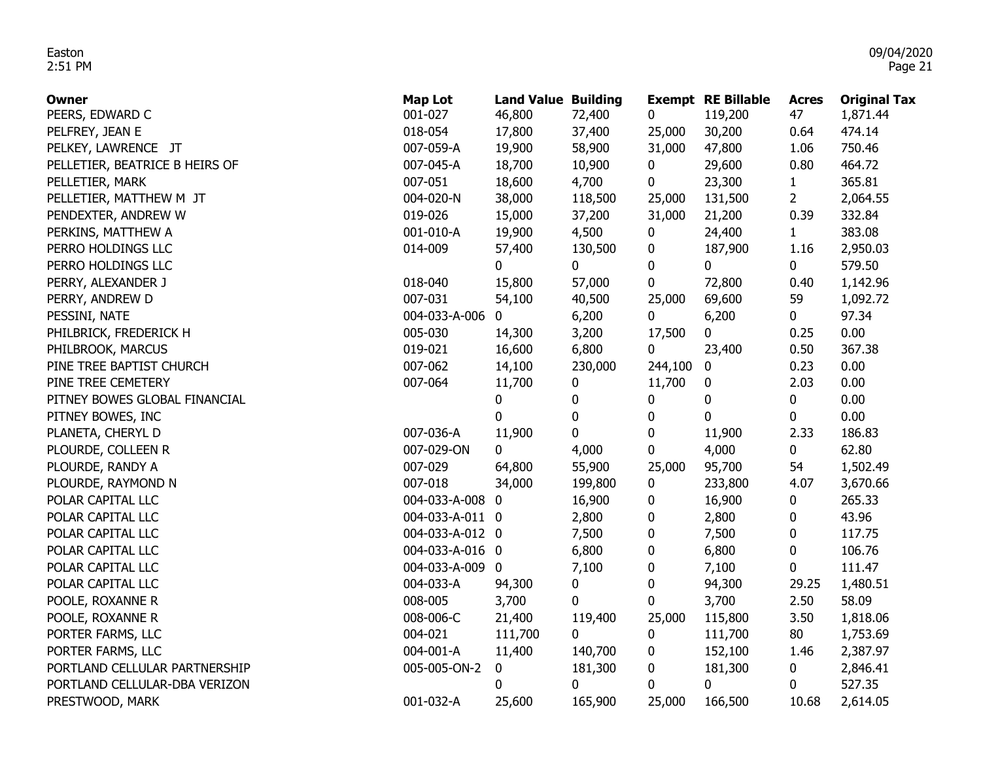| Owner                          | <b>Map Lot</b>  | <b>Land Value Building</b> |             |                  | <b>Exempt RE Billable</b> | <b>Acres</b>   | <b>Original Tax</b> |
|--------------------------------|-----------------|----------------------------|-------------|------------------|---------------------------|----------------|---------------------|
| PEERS, EDWARD C                | 001-027         | 46,800                     | 72,400      | 0                | 119,200                   | 47             | 1,871.44            |
| PELFREY, JEAN E                | 018-054         | 17,800                     | 37,400      | 25,000           | 30,200                    | 0.64           | 474.14              |
| PELKEY, LAWRENCE JT            | 007-059-A       | 19,900                     | 58,900      | 31,000           | 47,800                    | 1.06           | 750.46              |
| PELLETIER, BEATRICE B HEIRS OF | 007-045-A       | 18,700                     | 10,900      | 0                | 29,600                    | 0.80           | 464.72              |
| PELLETIER, MARK                | 007-051         | 18,600                     | 4,700       | 0                | 23,300                    | $\mathbf{1}$   | 365.81              |
| PELLETIER, MATTHEW M JT        | 004-020-N       | 38,000                     | 118,500     | 25,000           | 131,500                   | $\overline{2}$ | 2,064.55            |
| PENDEXTER, ANDREW W            | 019-026         | 15,000                     | 37,200      | 31,000           | 21,200                    | 0.39           | 332.84              |
| PERKINS, MATTHEW A             | 001-010-A       | 19,900                     | 4,500       | 0                | 24,400                    | $\mathbf{1}$   | 383.08              |
| PERRO HOLDINGS LLC             | 014-009         | 57,400                     | 130,500     | 0                | 187,900                   | 1.16           | 2,950.03            |
| PERRO HOLDINGS LLC             |                 | 0                          | 0           | $\bf{0}$         | 0                         | 0              | 579.50              |
| PERRY, ALEXANDER J             | 018-040         | 15,800                     | 57,000      | 0                | 72,800                    | 0.40           | 1,142.96            |
| PERRY, ANDREW D                | 007-031         | 54,100                     | 40,500      | 25,000           | 69,600                    | 59             | 1,092.72            |
| PESSINI, NATE                  | 004-033-A-006   | 0.                         | 6,200       | 0                | 6,200                     | 0              | 97.34               |
| PHILBRICK, FREDERICK H         | 005-030         | 14,300                     | 3,200       | 17,500           | 0                         | 0.25           | 0.00                |
| PHILBROOK, MARCUS              | 019-021         | 16,600                     | 6,800       | 0                | 23,400                    | 0.50           | 367.38              |
| PINE TREE BAPTIST CHURCH       | 007-062         | 14,100                     | 230,000     | 244,100          | $\boldsymbol{0}$          | 0.23           | 0.00                |
| PINE TREE CEMETERY             | 007-064         | 11,700                     | 0           | 11,700           | 0                         | 2.03           | 0.00                |
| PITNEY BOWES GLOBAL FINANCIAL  |                 | 0                          | 0           | 0                | 0                         | 0              | 0.00                |
| PITNEY BOWES, INC              |                 | 0                          | $\mathbf 0$ | $\bf{0}$         | 0                         | 0              | 0.00                |
| PLANETA, CHERYL D              | 007-036-A       | 11,900                     | 0           | $\bf{0}$         | 11,900                    | 2.33           | 186.83              |
| PLOURDE, COLLEEN R             | 007-029-ON      | 0                          | 4,000       | 0                | 4,000                     | 0              | 62.80               |
| PLOURDE, RANDY A               | 007-029         | 64,800                     | 55,900      | 25,000           | 95,700                    | 54             | 1,502.49            |
| PLOURDE, RAYMOND N             | 007-018         | 34,000                     | 199,800     | 0                | 233,800                   | 4.07           | 3,670.66            |
| POLAR CAPITAL LLC              | 004-033-A-008 0 |                            | 16,900      | 0                | 16,900                    | 0              | 265.33              |
| POLAR CAPITAL LLC              | 004-033-A-011 0 |                            | 2,800       | 0                | 2,800                     | 0              | 43.96               |
| POLAR CAPITAL LLC              | 004-033-A-012 0 |                            | 7,500       | 0                | 7,500                     | 0              | 117.75              |
| POLAR CAPITAL LLC              | 004-033-A-016 0 |                            | 6,800       | 0                | 6,800                     | 0              | 106.76              |
| POLAR CAPITAL LLC              | 004-033-A-009 0 |                            | 7,100       | $\boldsymbol{0}$ | 7,100                     | 0              | 111.47              |
| POLAR CAPITAL LLC              | 004-033-A       | 94,300                     | 0           | $\bf{0}$         | 94,300                    | 29.25          | 1,480.51            |
| POOLE, ROXANNE R               | 008-005         | 3,700                      | 0           | 0                | 3,700                     | 2.50           | 58.09               |
| POOLE, ROXANNE R               | 008-006-C       | 21,400                     | 119,400     | 25,000           | 115,800                   | 3.50           | 1,818.06            |
| PORTER FARMS, LLC              | 004-021         | 111,700                    | $\mathbf 0$ | 0                | 111,700                   | 80             | 1,753.69            |
| PORTER FARMS, LLC              | 004-001-A       | 11,400                     | 140,700     | $\pmb{0}$        | 152,100                   | 1.46           | 2,387.97            |
| PORTLAND CELLULAR PARTNERSHIP  | 005-005-ON-2    | 0                          | 181,300     | $\pmb{0}$        | 181,300                   | 0              | 2,846.41            |
| PORTLAND CELLULAR-DBA VERIZON  |                 | 0                          | 0           | 0                | 0                         | 0              | 527.35              |
| PRESTWOOD, MARK                | 001-032-A       | 25,600                     | 165,900     | 25,000           | 166,500                   | 10.68          | 2,614.05            |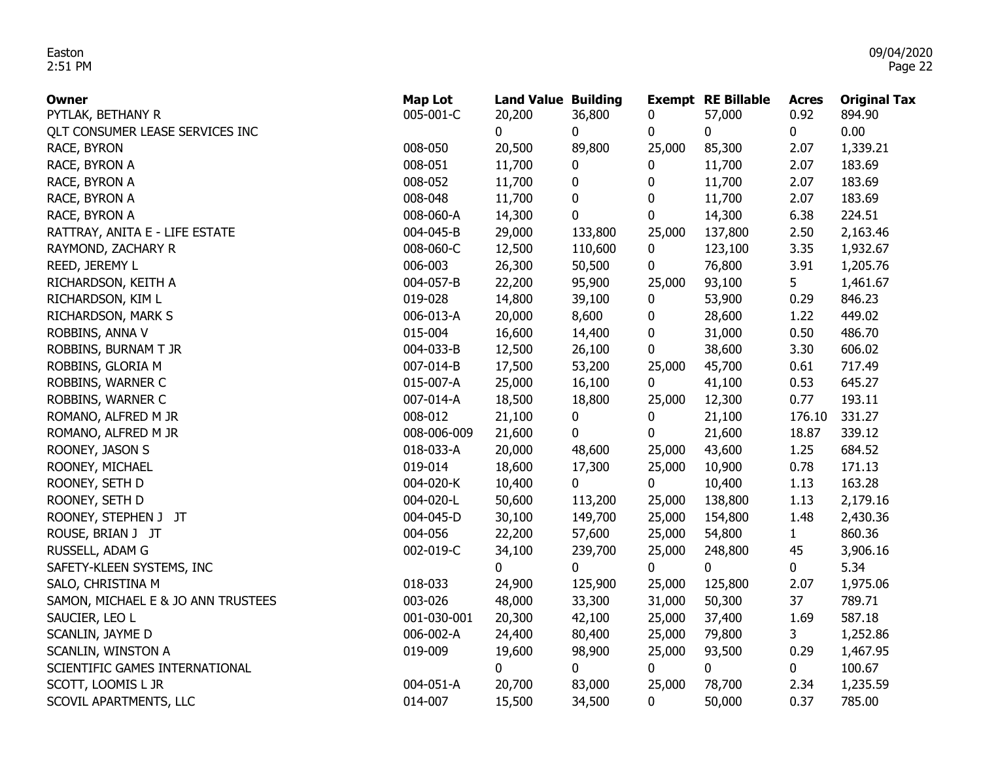| Owner                              | <b>Map Lot</b> | <b>Land Value Building</b> |         |             | <b>Exempt RE Billable</b> | <b>Acres</b>   | <b>Original Tax</b> |
|------------------------------------|----------------|----------------------------|---------|-------------|---------------------------|----------------|---------------------|
| PYTLAK, BETHANY R                  | 005-001-C      | 20,200                     | 36,800  | 0           | 57,000                    | 0.92           | 894.90              |
| QLT CONSUMER LEASE SERVICES INC    |                | 0                          | 0       | 0           | $\mathbf 0$               | 0              | 0.00                |
| RACE, BYRON                        | 008-050        | 20,500                     | 89,800  | 25,000      | 85,300                    | 2.07           | 1,339.21            |
| RACE, BYRON A                      | 008-051        | 11,700                     | 0       | 0           | 11,700                    | 2.07           | 183.69              |
| RACE, BYRON A                      | 008-052        | 11,700                     | 0       | 0           | 11,700                    | 2.07           | 183.69              |
| RACE, BYRON A                      | 008-048        | 11,700                     | 0       | $\bf{0}$    | 11,700                    | 2.07           | 183.69              |
| RACE, BYRON A                      | 008-060-A      | 14,300                     | 0       | 0           | 14,300                    | 6.38           | 224.51              |
| RATTRAY, ANITA E - LIFE ESTATE     | 004-045-B      | 29,000                     | 133,800 | 25,000      | 137,800                   | 2.50           | 2,163.46            |
| RAYMOND, ZACHARY R                 | 008-060-C      | 12,500                     | 110,600 | 0           | 123,100                   | 3.35           | 1,932.67            |
| REED, JEREMY L                     | 006-003        | 26,300                     | 50,500  | 0           | 76,800                    | 3.91           | 1,205.76            |
| RICHARDSON, KEITH A                | 004-057-B      | 22,200                     | 95,900  | 25,000      | 93,100                    | 5 <sub>1</sub> | 1,461.67            |
| RICHARDSON, KIM L                  | 019-028        | 14,800                     | 39,100  | 0           | 53,900                    | 0.29           | 846.23              |
| RICHARDSON, MARK S                 | 006-013-A      | 20,000                     | 8,600   | 0           | 28,600                    | 1.22           | 449.02              |
| ROBBINS, ANNA V                    | 015-004        | 16,600                     | 14,400  | 0           | 31,000                    | 0.50           | 486.70              |
| ROBBINS, BURNAM T JR               | 004-033-B      | 12,500                     | 26,100  | 0           | 38,600                    | 3.30           | 606.02              |
| ROBBINS, GLORIA M                  | 007-014-B      | 17,500                     | 53,200  | 25,000      | 45,700                    | 0.61           | 717.49              |
| ROBBINS, WARNER C                  | 015-007-A      | 25,000                     | 16,100  | $\mathbf 0$ | 41,100                    | 0.53           | 645.27              |
| ROBBINS, WARNER C                  | 007-014-A      | 18,500                     | 18,800  | 25,000      | 12,300                    | 0.77           | 193.11              |
| ROMANO, ALFRED M JR                | 008-012        | 21,100                     | 0       | 0           | 21,100                    | 176.10         | 331.27              |
| ROMANO, ALFRED M JR                | 008-006-009    | 21,600                     | 0       | 0           | 21,600                    | 18.87          | 339.12              |
| ROONEY, JASON S                    | 018-033-A      | 20,000                     | 48,600  | 25,000      | 43,600                    | 1.25           | 684.52              |
| ROONEY, MICHAEL                    | 019-014        | 18,600                     | 17,300  | 25,000      | 10,900                    | 0.78           | 171.13              |
| ROONEY, SETH D                     | 004-020-K      | 10,400                     | 0       | $\mathbf 0$ | 10,400                    | 1.13           | 163.28              |
| ROONEY, SETH D                     | 004-020-L      | 50,600                     | 113,200 | 25,000      | 138,800                   | 1.13           | 2,179.16            |
| ROONEY, STEPHEN J JT               | 004-045-D      | 30,100                     | 149,700 | 25,000      | 154,800                   | 1.48           | 2,430.36            |
| ROUSE, BRIAN J JT                  | 004-056        | 22,200                     | 57,600  | 25,000      | 54,800                    | $\mathbf{1}$   | 860.36              |
| RUSSELL, ADAM G                    | 002-019-C      | 34,100                     | 239,700 | 25,000      | 248,800                   | 45             | 3,906.16            |
| SAFETY-KLEEN SYSTEMS, INC          |                | 0                          | 0       | 0           | 0                         | 0              | 5.34                |
| SALO, CHRISTINA M                  | 018-033        | 24,900                     | 125,900 | 25,000      | 125,800                   | 2.07           | 1,975.06            |
| SAMON, MICHAEL E & JO ANN TRUSTEES | 003-026        | 48,000                     | 33,300  | 31,000      | 50,300                    | 37             | 789.71              |
| SAUCIER, LEO L                     | 001-030-001    | 20,300                     | 42,100  | 25,000      | 37,400                    | 1.69           | 587.18              |
| SCANLIN, JAYME D                   | 006-002-A      | 24,400                     | 80,400  | 25,000      | 79,800                    | 3              | 1,252.86            |
| SCANLIN, WINSTON A                 | 019-009        | 19,600                     | 98,900  | 25,000      | 93,500                    | 0.29           | 1,467.95            |
| SCIENTIFIC GAMES INTERNATIONAL     |                | 0                          | 0       | 0           | $\mathbf 0$               | 0              | 100.67              |
| SCOTT, LOOMIS L JR                 | 004-051-A      | 20,700                     | 83,000  | 25,000      | 78,700                    | 2.34           | 1,235.59            |
| SCOVIL APARTMENTS, LLC             | 014-007        | 15,500                     | 34,500  | 0           | 50,000                    | 0.37           | 785.00              |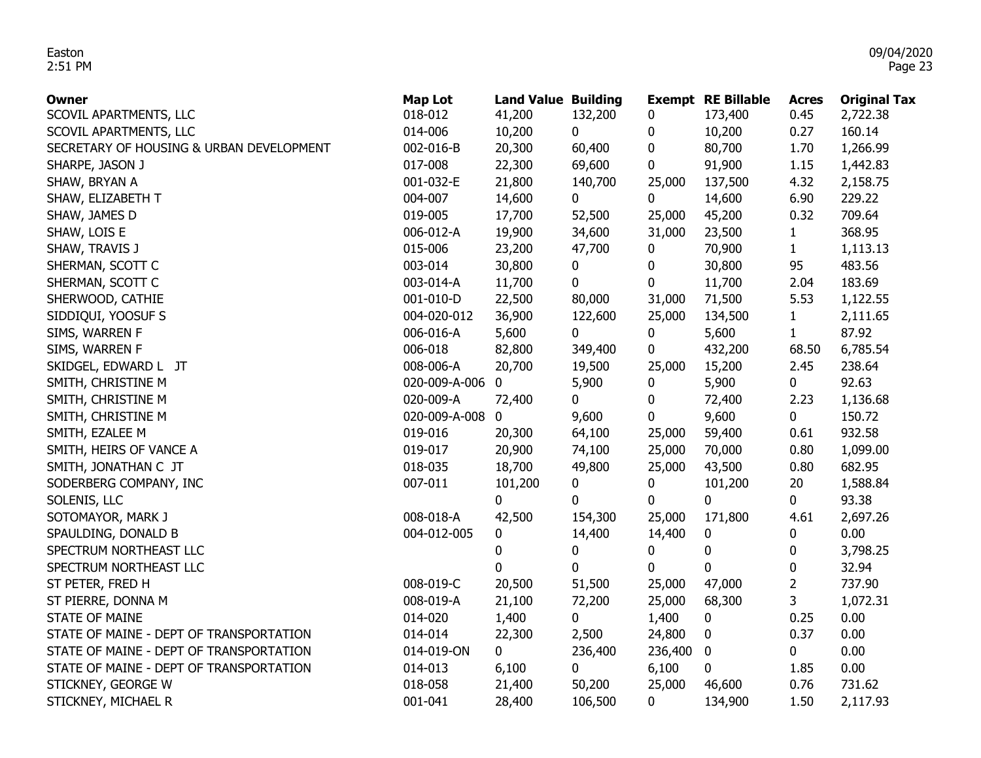| Owner                                    | <b>Map Lot</b> | <b>Land Value Building</b> |             |             | <b>Exempt RE Billable</b> | <b>Acres</b>   | <b>Original Tax</b> |
|------------------------------------------|----------------|----------------------------|-------------|-------------|---------------------------|----------------|---------------------|
| SCOVIL APARTMENTS, LLC                   | 018-012        | 41,200                     | 132,200     | 0           | 173,400                   | 0.45           | 2,722.38            |
| SCOVIL APARTMENTS, LLC                   | 014-006        | 10,200                     | $\mathbf 0$ | 0           | 10,200                    | 0.27           | 160.14              |
| SECRETARY OF HOUSING & URBAN DEVELOPMENT | 002-016-B      | 20,300                     | 60,400      | 0           | 80,700                    | 1.70           | 1,266.99            |
| SHARPE, JASON J                          | 017-008        | 22,300                     | 69,600      | 0           | 91,900                    | 1.15           | 1,442.83            |
| SHAW, BRYAN A                            | 001-032-E      | 21,800                     | 140,700     | 25,000      | 137,500                   | 4.32           | 2,158.75            |
| SHAW, ELIZABETH T                        | 004-007        | 14,600                     | $\mathbf 0$ | $\mathbf 0$ | 14,600                    | 6.90           | 229.22              |
| SHAW, JAMES D                            | 019-005        | 17,700                     | 52,500      | 25,000      | 45,200                    | 0.32           | 709.64              |
| SHAW, LOIS E                             | 006-012-A      | 19,900                     | 34,600      | 31,000      | 23,500                    | $\mathbf{1}$   | 368.95              |
| SHAW, TRAVIS J                           | 015-006        | 23,200                     | 47,700      | 0           | 70,900                    | $\mathbf{1}$   | 1,113.13            |
| SHERMAN, SCOTT C                         | 003-014        | 30,800                     | 0           | 0           | 30,800                    | 95             | 483.56              |
| SHERMAN, SCOTT C                         | 003-014-A      | 11,700                     | 0           | 0           | 11,700                    | 2.04           | 183.69              |
| SHERWOOD, CATHIE                         | 001-010-D      | 22,500                     | 80,000      | 31,000      | 71,500                    | 5.53           | 1,122.55            |
| SIDDIQUI, YOOSUF S                       | 004-020-012    | 36,900                     | 122,600     | 25,000      | 134,500                   | $\mathbf{1}$   | 2,111.65            |
| SIMS, WARREN F                           | 006-016-A      | 5,600                      | 0           | 0           | 5,600                     | $\mathbf{1}$   | 87.92               |
| SIMS, WARREN F                           | 006-018        | 82,800                     | 349,400     | 0           | 432,200                   | 68.50          | 6,785.54            |
| SKIDGEL, EDWARD L JT                     | 008-006-A      | 20,700                     | 19,500      | 25,000      | 15,200                    | 2.45           | 238.64              |
| SMITH, CHRISTINE M                       | 020-009-A-006  | 0                          | 5,900       | 0           | 5,900                     | 0              | 92.63               |
| SMITH, CHRISTINE M                       | 020-009-A      | 72,400                     | 0           | 0           | 72,400                    | 2.23           | 1,136.68            |
| SMITH, CHRISTINE M                       | 020-009-A-008  | 0                          | 9,600       | 0           | 9,600                     | $\mathbf 0$    | 150.72              |
| SMITH, EZALEE M                          | 019-016        | 20,300                     | 64,100      | 25,000      | 59,400                    | 0.61           | 932.58              |
| SMITH, HEIRS OF VANCE A                  | 019-017        | 20,900                     | 74,100      | 25,000      | 70,000                    | 0.80           | 1,099.00            |
| SMITH, JONATHAN C JT                     | 018-035        | 18,700                     | 49,800      | 25,000      | 43,500                    | 0.80           | 682.95              |
| SODERBERG COMPANY, INC                   | 007-011        | 101,200                    | 0           | 0           | 101,200                   | 20             | 1,588.84            |
| SOLENIS, LLC                             |                | 0                          | 0           | $\bf{0}$    | 0                         | 0              | 93.38               |
| SOTOMAYOR, MARK J                        | 008-018-A      | 42,500                     | 154,300     | 25,000      | 171,800                   | 4.61           | 2,697.26            |
| SPAULDING, DONALD B                      | 004-012-005    | 0                          | 14,400      | 14,400      | 0                         | 0              | 0.00                |
| SPECTRUM NORTHEAST LLC                   |                | 0                          | 0           | 0           | $\bf{0}$                  | 0              | 3,798.25            |
| SPECTRUM NORTHEAST LLC                   |                | 0                          | $\mathbf 0$ | 0           | $\mathbf{0}$              | 0              | 32.94               |
| ST PETER, FRED H                         | 008-019-C      | 20,500                     | 51,500      | 25,000      | 47,000                    | $\overline{2}$ | 737.90              |
| ST PIERRE, DONNA M                       | 008-019-A      | 21,100                     | 72,200      | 25,000      | 68,300                    | 3              | 1,072.31            |
| <b>STATE OF MAINE</b>                    | 014-020        | 1,400                      | 0           | 1,400       | 0                         | 0.25           | 0.00                |
| STATE OF MAINE - DEPT OF TRANSPORTATION  | 014-014        | 22,300                     | 2,500       | 24,800      | 0                         | 0.37           | 0.00                |
| STATE OF MAINE - DEPT OF TRANSPORTATION  | 014-019-ON     | 0                          | 236,400     | 236,400     | $\bf{0}$                  | 0              | 0.00                |
| STATE OF MAINE - DEPT OF TRANSPORTATION  | 014-013        | 6,100                      | 0           | 6,100       | 0                         | 1.85           | 0.00                |
| STICKNEY, GEORGE W                       | 018-058        | 21,400                     | 50,200      | 25,000      | 46,600                    | 0.76           | 731.62              |
| STICKNEY, MICHAEL R                      | 001-041        | 28,400                     | 106,500     | 0           | 134,900                   | 1.50           | 2,117.93            |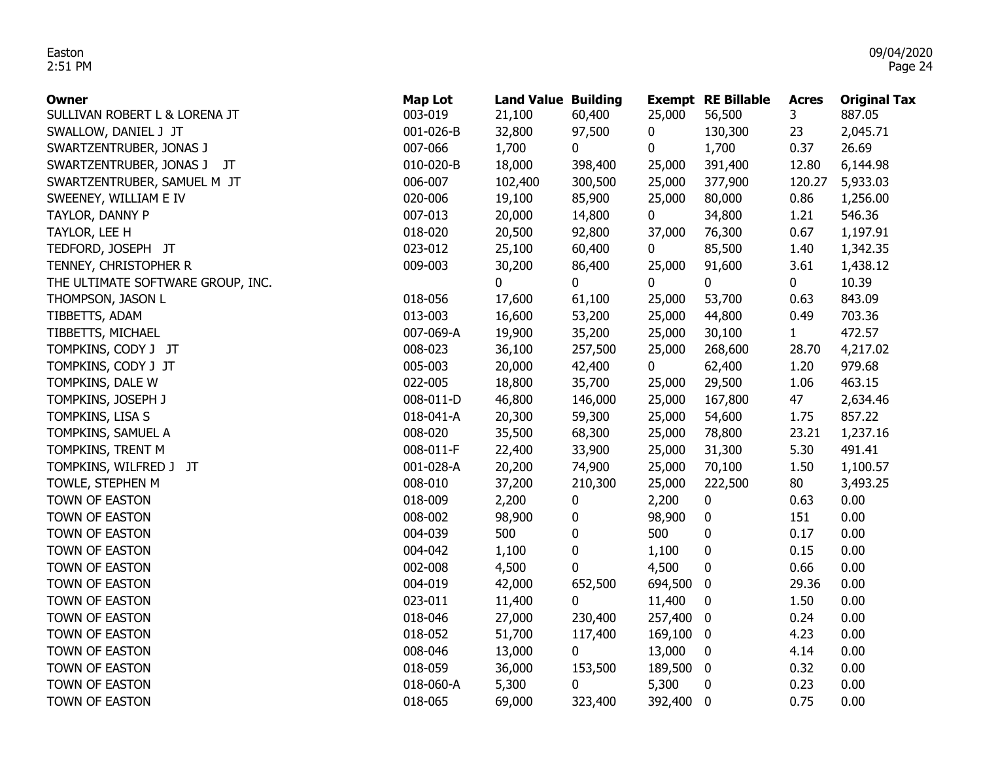| Owner                             | <b>Map Lot</b> | <b>Land Value Building</b> |         |             | <b>Exempt RE Billable</b> | <b>Acres</b> | <b>Original Tax</b> |
|-----------------------------------|----------------|----------------------------|---------|-------------|---------------------------|--------------|---------------------|
| SULLIVAN ROBERT L & LORENA JT     | 003-019        | 21,100                     | 60,400  | 25,000      | 56,500                    | 3            | 887.05              |
| SWALLOW, DANIEL J JT              | 001-026-B      | 32,800                     | 97,500  | 0           | 130,300                   | 23           | 2,045.71            |
| SWARTZENTRUBER, JONAS J           | 007-066        | 1,700                      | 0       | 0           | 1,700                     | 0.37         | 26.69               |
| SWARTZENTRUBER, JONAS J<br>JT     | 010-020-B      | 18,000                     | 398,400 | 25,000      | 391,400                   | 12.80        | 6,144.98            |
| SWARTZENTRUBER, SAMUEL M JT       | 006-007        | 102,400                    | 300,500 | 25,000      | 377,900                   | 120.27       | 5,933.03            |
| SWEENEY, WILLIAM E IV             | 020-006        | 19,100                     | 85,900  | 25,000      | 80,000                    | 0.86         | 1,256.00            |
| TAYLOR, DANNY P                   | 007-013        | 20,000                     | 14,800  | $\mathbf 0$ | 34,800                    | 1.21         | 546.36              |
| TAYLOR, LEE H                     | 018-020        | 20,500                     | 92,800  | 37,000      | 76,300                    | 0.67         | 1,197.91            |
| TEDFORD, JOSEPH JT                | 023-012        | 25,100                     | 60,400  | 0           | 85,500                    | 1.40         | 1,342.35            |
| TENNEY, CHRISTOPHER R             | 009-003        | 30,200                     | 86,400  | 25,000      | 91,600                    | 3.61         | 1,438.12            |
| THE ULTIMATE SOFTWARE GROUP, INC. |                | 0                          | 0       | 0           | 0                         | 0            | 10.39               |
| THOMPSON, JASON L                 | 018-056        | 17,600                     | 61,100  | 25,000      | 53,700                    | 0.63         | 843.09              |
| TIBBETTS, ADAM                    | 013-003        | 16,600                     | 53,200  | 25,000      | 44,800                    | 0.49         | 703.36              |
| TIBBETTS, MICHAEL                 | 007-069-A      | 19,900                     | 35,200  | 25,000      | 30,100                    | 1            | 472.57              |
| TOMPKINS, CODY J JT               | 008-023        | 36,100                     | 257,500 | 25,000      | 268,600                   | 28.70        | 4,217.02            |
| TOMPKINS, CODY J JT               | 005-003        | 20,000                     | 42,400  | $\mathbf 0$ | 62,400                    | 1.20         | 979.68              |
| TOMPKINS, DALE W                  | 022-005        | 18,800                     | 35,700  | 25,000      | 29,500                    | 1.06         | 463.15              |
| TOMPKINS, JOSEPH J                | 008-011-D      | 46,800                     | 146,000 | 25,000      | 167,800                   | 47           | 2,634.46            |
| TOMPKINS, LISA S                  | 018-041-A      | 20,300                     | 59,300  | 25,000      | 54,600                    | 1.75         | 857.22              |
| TOMPKINS, SAMUEL A                | 008-020        | 35,500                     | 68,300  | 25,000      | 78,800                    | 23.21        | 1,237.16            |
| TOMPKINS, TRENT M                 | 008-011-F      | 22,400                     | 33,900  | 25,000      | 31,300                    | 5.30         | 491.41              |
| TOMPKINS, WILFRED J JT            | 001-028-A      | 20,200                     | 74,900  | 25,000      | 70,100                    | 1.50         | 1,100.57            |
| TOWLE, STEPHEN M                  | 008-010        | 37,200                     | 210,300 | 25,000      | 222,500                   | 80           | 3,493.25            |
| TOWN OF EASTON                    | 018-009        | 2,200                      | 0       | 2,200       | $\boldsymbol{0}$          | 0.63         | 0.00                |
| TOWN OF EASTON                    | 008-002        | 98,900                     | 0       | 98,900      | $\boldsymbol{0}$          | 151          | 0.00                |
| TOWN OF EASTON                    | 004-039        | 500                        | 0       | 500         | $\boldsymbol{0}$          | 0.17         | 0.00                |
| TOWN OF EASTON                    | 004-042        | 1,100                      | 0       | 1,100       | $\boldsymbol{0}$          | 0.15         | 0.00                |
| TOWN OF EASTON                    | 002-008        | 4,500                      | 0       | 4,500       | 0                         | 0.66         | 0.00                |
| TOWN OF EASTON                    | 004-019        | 42,000                     | 652,500 | 694,500     | $\bf{0}$                  | 29.36        | 0.00                |
| TOWN OF EASTON                    | 023-011        | 11,400                     | 0       | 11,400      | $\bf{0}$                  | 1.50         | 0.00                |
| TOWN OF EASTON                    | 018-046        | 27,000                     | 230,400 | 257,400 0   |                           | 0.24         | 0.00                |
| TOWN OF EASTON                    | 018-052        | 51,700                     | 117,400 | 169,100 0   |                           | 4.23         | 0.00                |
| TOWN OF EASTON                    | 008-046        | 13,000                     | 0       | 13,000      | $\bf{0}$                  | 4.14         | 0.00                |
| TOWN OF EASTON                    | 018-059        | 36,000                     | 153,500 | 189,500 0   |                           | 0.32         | 0.00                |
| TOWN OF EASTON                    | 018-060-A      | 5,300                      | 0       | 5,300       | 0                         | 0.23         | 0.00                |
| TOWN OF EASTON                    | 018-065        | 69,000                     | 323,400 | 392,400 0   |                           | 0.75         | 0.00                |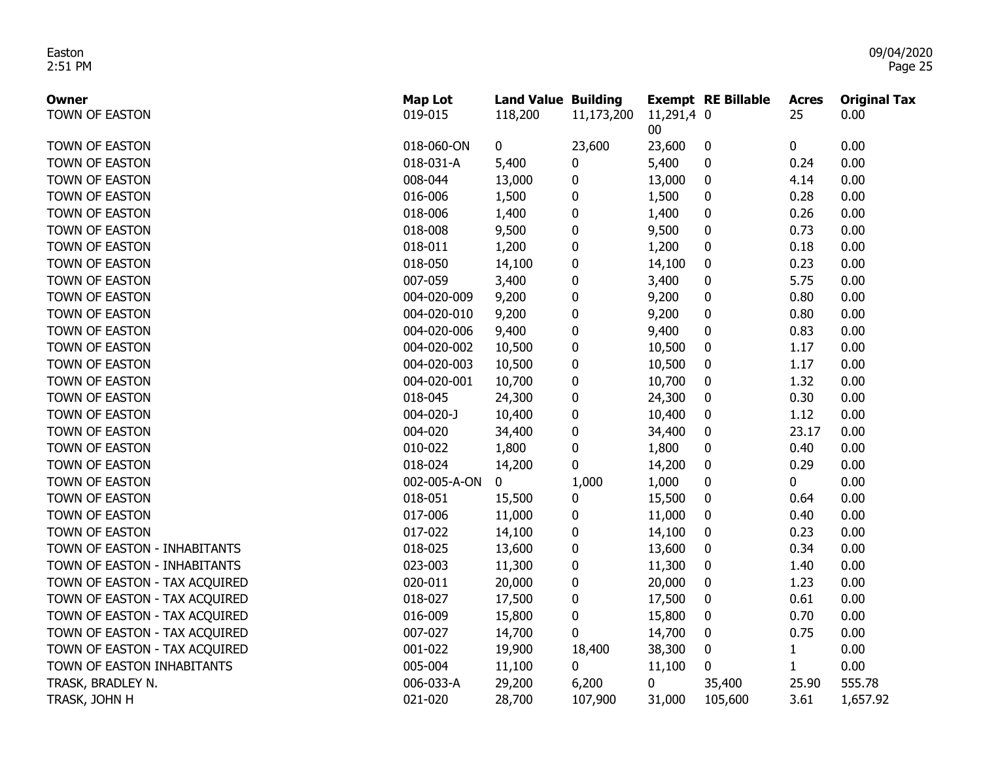| Owner                         | <b>Map Lot</b>  | <b>Land Value Building</b> |             |                      | <b>Exempt RE Billable</b> | <b>Acres</b> | <b>Original Tax</b> |
|-------------------------------|-----------------|----------------------------|-------------|----------------------|---------------------------|--------------|---------------------|
| TOWN OF EASTON                | 019-015         | 118,200                    | 11,173,200  | 11,291,4 0<br>$00\,$ |                           | 25           | 0.00                |
| TOWN OF EASTON                | 018-060-ON      | 0                          | 23,600      | 23,600               | $\bf{0}$                  | 0            | 0.00                |
| TOWN OF EASTON                | 018-031-A       | 5,400                      | $\pmb{0}$   | 5,400                | 0                         | 0.24         | 0.00                |
| TOWN OF EASTON                | 008-044         | 13,000                     | $\pmb{0}$   | 13,000               | 0                         | 4.14         | 0.00                |
| TOWN OF EASTON                | 016-006         | 1,500                      | $\pmb{0}$   | 1,500                | 0                         | 0.28         | 0.00                |
| TOWN OF EASTON                | 018-006         | 1,400                      | $\pmb{0}$   | 1,400                | $\mathbf 0$               | 0.26         | 0.00                |
| TOWN OF EASTON                | 018-008         | 9,500                      | $\pmb{0}$   | 9,500                | $\mathbf 0$               | 0.73         | 0.00                |
| TOWN OF EASTON                | 018-011         | 1,200                      | $\pmb{0}$   | 1,200                | 0                         | 0.18         | 0.00                |
| TOWN OF EASTON                | 018-050         | 14,100                     | $\pmb{0}$   | 14,100               | $\mathbf 0$               | 0.23         | 0.00                |
| TOWN OF EASTON                | 007-059         | 3,400                      | $\pmb{0}$   | 3,400                | 0                         | 5.75         | 0.00                |
| TOWN OF EASTON                | 004-020-009     | 9,200                      | $\pmb{0}$   | 9,200                | $\mathbf 0$               | 0.80         | 0.00                |
| TOWN OF EASTON                | 004-020-010     | 9,200                      | $\pmb{0}$   | 9,200                | $\mathbf 0$               | 0.80         | 0.00                |
| TOWN OF EASTON                | 004-020-006     | 9,400                      | $\pmb{0}$   | 9,400                | 0                         | 0.83         | 0.00                |
| TOWN OF EASTON                | 004-020-002     | 10,500                     | $\pmb{0}$   | 10,500               | 0                         | 1.17         | 0.00                |
| TOWN OF EASTON                | 004-020-003     | 10,500                     | $\pmb{0}$   | 10,500               | 0                         | 1.17         | 0.00                |
| TOWN OF EASTON                | 004-020-001     | 10,700                     | 0           | 10,700               | 0                         | 1.32         | 0.00                |
| TOWN OF EASTON                | 018-045         | 24,300                     | $\pmb{0}$   | 24,300               | 0                         | 0.30         | 0.00                |
| TOWN OF EASTON                | $004 - 020 - J$ | 10,400                     | 0           | 10,400               | 0                         | 1.12         | 0.00                |
| TOWN OF EASTON                | 004-020         | 34,400                     | 0           | 34,400               | 0                         | 23.17        | 0.00                |
| TOWN OF EASTON                | 010-022         | 1,800                      | $\mathbf 0$ | 1,800                | 0                         | 0.40         | 0.00                |
| TOWN OF EASTON                | 018-024         | 14,200                     | $\mathbf 0$ | 14,200               | 0                         | 0.29         | 0.00                |
| TOWN OF EASTON                | 002-005-A-ON    | 0                          | 1,000       | 1,000                | $\mathbf 0$               | 0            | 0.00                |
| TOWN OF EASTON                | 018-051         | 15,500                     | 0           | 15,500               | $\mathbf 0$               | 0.64         | 0.00                |
| TOWN OF EASTON                | 017-006         | 11,000                     | 0           | 11,000               | $\mathbf 0$               | 0.40         | 0.00                |
| TOWN OF EASTON                | 017-022         | 14,100                     | $\pmb{0}$   | 14,100               | $\mathbf 0$               | 0.23         | 0.00                |
| TOWN OF EASTON - INHABITANTS  | 018-025         | 13,600                     | 0           | 13,600               | $\mathbf 0$               | 0.34         | 0.00                |
| TOWN OF EASTON - INHABITANTS  | 023-003         | 11,300                     | 0           | 11,300               | $\boldsymbol{0}$          | 1.40         | 0.00                |
| TOWN OF EASTON - TAX ACQUIRED | 020-011         | 20,000                     | $\pmb{0}$   | 20,000               | 0                         | 1.23         | 0.00                |
| TOWN OF EASTON - TAX ACQUIRED | 018-027         | 17,500                     | $\pmb{0}$   | 17,500               | 0                         | 0.61         | 0.00                |
| TOWN OF EASTON - TAX ACQUIRED | 016-009         | 15,800                     | 0           | 15,800               | $\boldsymbol{0}$          | 0.70         | 0.00                |
| TOWN OF EASTON - TAX ACQUIRED | 007-027         | 14,700                     | $\mathbf 0$ | 14,700               | $\mathbf 0$               | 0.75         | 0.00                |
| TOWN OF EASTON - TAX ACQUIRED | 001-022         | 19,900                     | 18,400      | 38,300               | $\bf{0}$                  | $\mathbf{1}$ | 0.00                |
| TOWN OF EASTON INHABITANTS    | 005-004         | 11,100                     | $\mathbf 0$ | 11,100               | $\mathbf{0}$              | $\mathbf{1}$ | 0.00                |
| TRASK, BRADLEY N.             | 006-033-A       | 29,200                     | 6,200       | 0                    | 35,400                    | 25.90        | 555.78              |
| TRASK, JOHN H                 | 021-020         | 28,700                     | 107,900     | 31,000               | 105,600                   | 3.61         | 1,657.92            |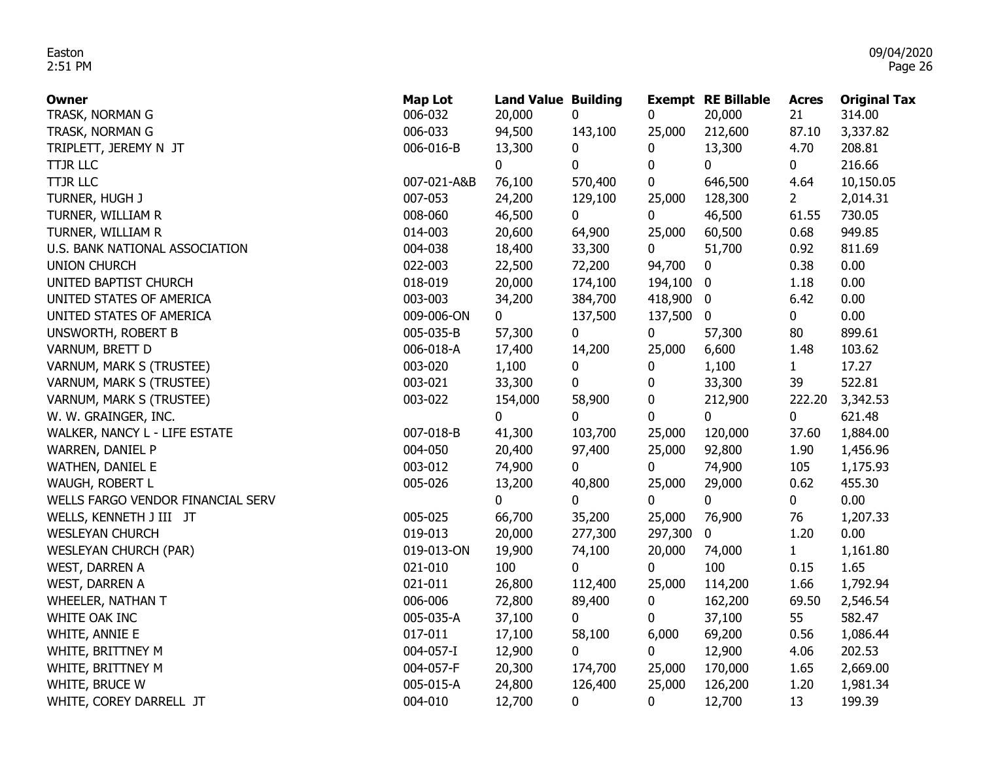| Owner                                    | <b>Map Lot</b><br>006-032 | <b>Land Value Building</b> |              |             | <b>Exempt RE Billable</b> | <b>Acres</b><br>21 | <b>Original Tax</b><br>314.00 |
|------------------------------------------|---------------------------|----------------------------|--------------|-------------|---------------------------|--------------------|-------------------------------|
| TRASK, NORMAN G                          | 006-033                   | 20,000<br>94,500           | 0<br>143,100 | 0<br>25,000 | 20,000<br>212,600         | 87.10              | 3,337.82                      |
| TRASK, NORMAN G                          | 006-016-B                 | 13,300                     | 0            | 0           | 13,300                    | 4.70               | 208.81                        |
| TRIPLETT, JEREMY N JT<br><b>TTJR LLC</b> |                           | 0                          | 0            | 0           | $\mathbf{0}$              | 0                  | 216.66                        |
| <b>TTJR LLC</b>                          | 007-021-A&B               | 76,100                     | 570,400      | 0           | 646,500                   | 4.64               | 10,150.05                     |
| TURNER, HUGH J                           | 007-053                   | 24,200                     | 129,100      | 25,000      | 128,300                   | $2^{\circ}$        | 2,014.31                      |
|                                          | 008-060                   |                            | 0            | $\mathbf 0$ | 46,500                    | 61.55              | 730.05                        |
| TURNER, WILLIAM R<br>TURNER, WILLIAM R   | 014-003                   | 46,500<br>20,600           |              | 25,000      | 60,500                    | 0.68               | 949.85                        |
| U.S. BANK NATIONAL ASSOCIATION           | 004-038                   | 18,400                     | 64,900       |             | 51,700                    | 0.92               | 811.69                        |
|                                          | 022-003                   |                            | 33,300       | $\mathbf 0$ |                           |                    | 0.00                          |
| <b>UNION CHURCH</b>                      | 018-019                   | 22,500                     | 72,200       | 94,700      | 0                         | 0.38               | 0.00                          |
| UNITED BAPTIST CHURCH                    |                           | 20,000                     | 174,100      | 194,100 0   |                           | 1.18               | 0.00                          |
| UNITED STATES OF AMERICA                 | 003-003                   | 34,200                     | 384,700      | 418,900 0   |                           | 6.42               |                               |
| UNITED STATES OF AMERICA                 | 009-006-ON                | $\mathbf{0}$               | 137,500      | 137,500     | $\bf{0}$                  | $\mathbf 0$        | 0.00                          |
| UNSWORTH, ROBERT B                       | 005-035-B                 | 57,300                     | 0            | $\mathbf 0$ | 57,300                    | 80                 | 899.61                        |
| VARNUM, BRETT D                          | 006-018-A                 | 17,400                     | 14,200       | 25,000      | 6,600                     | 1.48               | 103.62                        |
| VARNUM, MARK S (TRUSTEE)                 | 003-020                   | 1,100                      | 0            | 0           | 1,100                     | $\mathbf{1}$       | 17.27                         |
| VARNUM, MARK S (TRUSTEE)                 | 003-021                   | 33,300                     | 0            | 0           | 33,300                    | 39                 | 522.81                        |
| VARNUM, MARK S (TRUSTEE)                 | 003-022                   | 154,000                    | 58,900       | 0           | 212,900                   | 222.20             | 3,342.53                      |
| W. W. GRAINGER, INC.                     |                           | 0                          | 0            | 0           | $\mathbf{0}$              | 0                  | 621.48                        |
| WALKER, NANCY L - LIFE ESTATE            | 007-018-B                 | 41,300                     | 103,700      | 25,000      | 120,000                   | 37.60              | 1,884.00                      |
| WARREN, DANIEL P                         | 004-050                   | 20,400                     | 97,400       | 25,000      | 92,800                    | 1.90               | 1,456.96                      |
| WATHEN, DANIEL E                         | 003-012                   | 74,900                     | 0            | 0           | 74,900                    | 105                | 1,175.93                      |
| WAUGH, ROBERT L                          | 005-026                   | 13,200                     | 40,800       | 25,000      | 29,000                    | 0.62               | 455.30                        |
| WELLS FARGO VENDOR FINANCIAL SERV        |                           | $\overline{0}$             | 0            | 0           | 0                         | 0                  | 0.00                          |
| WELLS, KENNETH J III JT                  | 005-025                   | 66,700                     | 35,200       | 25,000      | 76,900                    | 76                 | 1,207.33                      |
| <b>WESLEYAN CHURCH</b>                   | 019-013                   | 20,000                     | 277,300      | 297,300     | $\mathbf 0$               | 1.20               | 0.00                          |
| <b>WESLEYAN CHURCH (PAR)</b>             | 019-013-ON                | 19,900                     | 74,100       | 20,000      | 74,000                    | 1                  | 1,161.80                      |
| <b>WEST, DARREN A</b>                    | 021-010                   | 100                        | 0            | 0           | 100                       | 0.15               | 1.65                          |
| WEST, DARREN A                           | 021-011                   | 26,800                     | 112,400      | 25,000      | 114,200                   | 1.66               | 1,792.94                      |
| WHEELER, NATHAN T                        | 006-006                   | 72,800                     | 89,400       | 0           | 162,200                   | 69.50              | 2,546.54                      |
| WHITE OAK INC                            | 005-035-A                 | 37,100                     | 0            | 0           | 37,100                    | 55                 | 582.47                        |
| WHITE, ANNIE E                           | 017-011                   | 17,100                     | 58,100       | 6,000       | 69,200                    | 0.56               | 1,086.44                      |
| WHITE, BRITTNEY M                        | 004-057-I                 | 12,900                     | 0            | 0           | 12,900                    | 4.06               | 202.53                        |
| WHITE, BRITTNEY M                        | 004-057-F                 | 20,300                     | 174,700      | 25,000      | 170,000                   | 1.65               | 2,669.00                      |
| WHITE, BRUCE W                           | 005-015-A                 | 24,800                     | 126,400      | 25,000      | 126,200                   | 1.20               | 1,981.34                      |
| WHITE, COREY DARRELL JT                  | 004-010                   | 12,700                     | 0            | 0           | 12,700                    | 13                 | 199.39                        |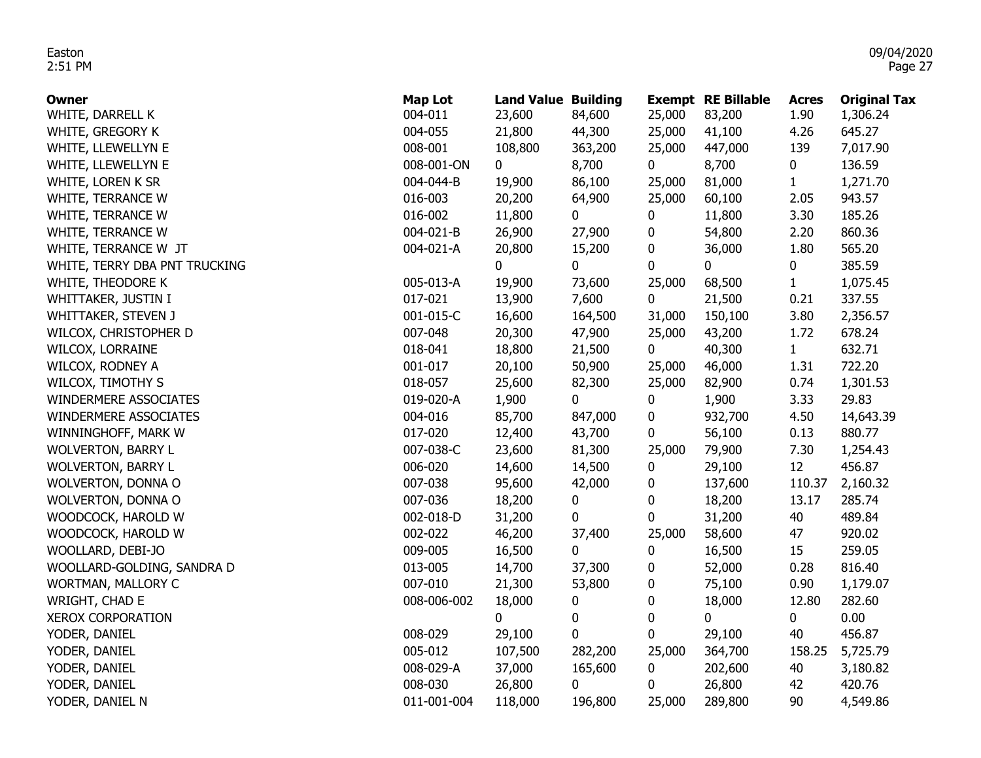| Owner                         | <b>Map Lot</b> | <b>Land Value Building</b> |             |                  | <b>Exempt RE Billable</b> | <b>Acres</b>      | <b>Original Tax</b> |
|-------------------------------|----------------|----------------------------|-------------|------------------|---------------------------|-------------------|---------------------|
| WHITE, DARRELL K              | 004-011        | 23,600                     | 84,600      | 25,000           | 83,200                    | 1.90              | 1,306.24            |
| WHITE, GREGORY K              | 004-055        | 21,800                     | 44,300      | 25,000           | 41,100                    | 4.26              | 645.27              |
| WHITE, LLEWELLYN E            | 008-001        | 108,800                    | 363,200     | 25,000           | 447,000                   | 139               | 7,017.90            |
| WHITE, LLEWELLYN E            | 008-001-ON     | $\mathbf 0$                | 8,700       | $\mathbf 0$      | 8,700                     | 0                 | 136.59              |
| WHITE, LOREN K SR             | 004-044-B      | 19,900                     | 86,100      | 25,000           | 81,000                    | $\mathbf{1}$      | 1,271.70            |
| WHITE, TERRANCE W             | 016-003        | 20,200                     | 64,900      | 25,000           | 60,100                    | 2.05              | 943.57              |
| WHITE, TERRANCE W             | 016-002        | 11,800                     | 0           | 0                | 11,800                    | 3.30              | 185.26              |
| WHITE, TERRANCE W             | 004-021-B      | 26,900                     | 27,900      | 0                | 54,800                    | 2.20              | 860.36              |
| WHITE, TERRANCE W JT          | 004-021-A      | 20,800                     | 15,200      | 0                | 36,000                    | 1.80              | 565.20              |
| WHITE, TERRY DBA PNT TRUCKING |                | 0                          | 0           | 0                | 0                         | 0                 | 385.59              |
| WHITE, THEODORE K             | 005-013-A      | 19,900                     | 73,600      | 25,000           | 68,500                    | $\mathbf{1}$      | 1,075.45            |
| WHITTAKER, JUSTIN I           | 017-021        | 13,900                     | 7,600       | 0                | 21,500                    | 0.21              | 337.55              |
| WHITTAKER, STEVEN J           | 001-015-C      | 16,600                     | 164,500     | 31,000           | 150,100                   | 3.80              | 2,356.57            |
| WILCOX, CHRISTOPHER D         | 007-048        | 20,300                     | 47,900      | 25,000           | 43,200                    | 1.72              | 678.24              |
| WILCOX, LORRAINE              | 018-041        | 18,800                     | 21,500      | $\mathbf 0$      | 40,300                    | 1                 | 632.71              |
| WILCOX, RODNEY A              | 001-017        | 20,100                     | 50,900      | 25,000           | 46,000                    | 1.31              | 722.20              |
| WILCOX, TIMOTHY S             | 018-057        | 25,600                     | 82,300      | 25,000           | 82,900                    | 0.74              | 1,301.53            |
| WINDERMERE ASSOCIATES         | 019-020-A      | 1,900                      | 0           | 0                | 1,900                     | 3.33              | 29.83               |
| WINDERMERE ASSOCIATES         | 004-016        | 85,700                     | 847,000     | 0                | 932,700                   | 4.50              | 14,643.39           |
| WINNINGHOFF, MARK W           | 017-020        | 12,400                     | 43,700      | 0                | 56,100                    | 0.13              | 880.77              |
| <b>WOLVERTON, BARRY L</b>     | 007-038-C      | 23,600                     | 81,300      | 25,000           | 79,900                    | 7.30              | 1,254.43            |
| <b>WOLVERTON, BARRY L</b>     | 006-020        | 14,600                     | 14,500      | 0                | 29,100                    | $12 \overline{ }$ | 456.87              |
| WOLVERTON, DONNA O            | 007-038        | 95,600                     | 42,000      | 0                | 137,600                   | 110.37            | 2,160.32            |
| WOLVERTON, DONNA O            | 007-036        | 18,200                     | 0           | 0                | 18,200                    | 13.17             | 285.74              |
| WOODCOCK, HAROLD W            | 002-018-D      | 31,200                     | 0           | 0                | 31,200                    | 40                | 489.84              |
| WOODCOCK, HAROLD W            | 002-022        | 46,200                     | 37,400      | 25,000           | 58,600                    | 47                | 920.02              |
| WOOLLARD, DEBI-JO             | 009-005        | 16,500                     | 0           | 0                | 16,500                    | 15                | 259.05              |
| WOOLLARD-GOLDING, SANDRA D    | 013-005        | 14,700                     | 37,300      | 0                | 52,000                    | 0.28              | 816.40              |
| WORTMAN, MALLORY C            | 007-010        | 21,300                     | 53,800      | 0                | 75,100                    | 0.90              | 1,179.07            |
| WRIGHT, CHAD E                | 008-006-002    | 18,000                     | 0           | 0                | 18,000                    | 12.80             | 282.60              |
| <b>XEROX CORPORATION</b>      |                | $\mathbf 0$                | 0           | $\pmb{0}$        | 0                         | 0                 | 0.00                |
| YODER, DANIEL                 | 008-029        | 29,100                     | $\mathbf 0$ | $\boldsymbol{0}$ | 29,100                    | 40                | 456.87              |
| YODER, DANIEL                 | 005-012        | 107,500                    | 282,200     | 25,000           | 364,700                   | 158.25            | 5,725.79            |
| YODER, DANIEL                 | 008-029-A      | 37,000                     | 165,600     | 0                | 202,600                   | 40                | 3,180.82            |
| YODER, DANIEL                 | 008-030        | 26,800                     | 0           | 0                | 26,800                    | 42                | 420.76              |
| YODER, DANIEL N               | 011-001-004    | 118,000                    | 196,800     | 25,000           | 289,800                   | 90                | 4,549.86            |